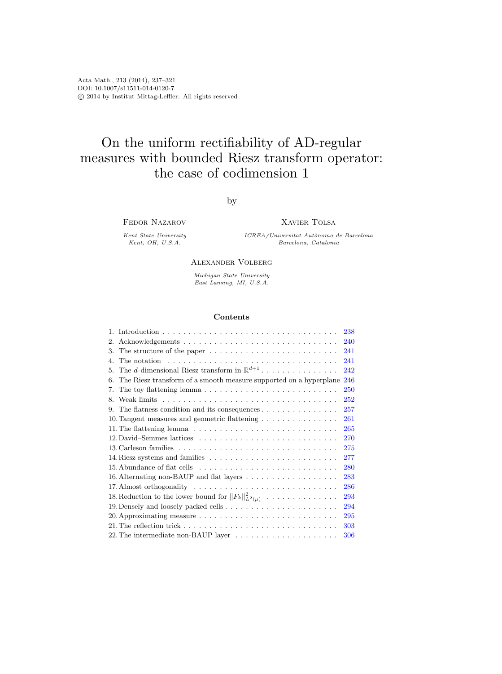# On the uniform rectifiability of AD-regular measures with bounded Riesz transform operator: the case of codimension 1

by

Fedor Nazarov

Kent State University Kent, OH, U.S.A.

Xavier Tolsa

ICREA/Universitat Autònoma de Barcelona Barcelona, Catalonia

### Alexander Volberg

Michigan State University East Lansing, MI, U.S.A.

#### Contents

| 238                                                                                                           |     |
|---------------------------------------------------------------------------------------------------------------|-----|
| 2.                                                                                                            | 240 |
| The structure of the paper $\dots \dots \dots \dots \dots \dots \dots \dots \dots$<br>241<br>3.               |     |
| The notation $\ldots \ldots \ldots \ldots \ldots \ldots \ldots \ldots \ldots \ldots$<br>241<br>$\mathbf{4}$ . |     |
| The d-dimensional Riesz transform in $\mathbb{R}^{d+1}$<br>5.                                                 | 242 |
| The Riesz transform of a smooth measure supported on a hyperplane<br>246<br>6.                                |     |
| 7.                                                                                                            | 250 |
| 8.                                                                                                            | 252 |
| The flatness condition and its consequences $\dots \dots \dots \dots \dots$<br>257<br>9.                      |     |
| 10. Tangent measures and geometric flattening<br>261                                                          |     |
|                                                                                                               | 265 |
|                                                                                                               | 270 |
| 275                                                                                                           |     |
| 277                                                                                                           |     |
|                                                                                                               | 280 |
|                                                                                                               | 283 |
|                                                                                                               | 286 |
| 18. Reduction to the lower bound for $  F_k  ^2_{L^2(\mu)} \dots \dots \dots \dots \dots$                     | 293 |
|                                                                                                               | 294 |
|                                                                                                               | 295 |
|                                                                                                               | 303 |
|                                                                                                               | 306 |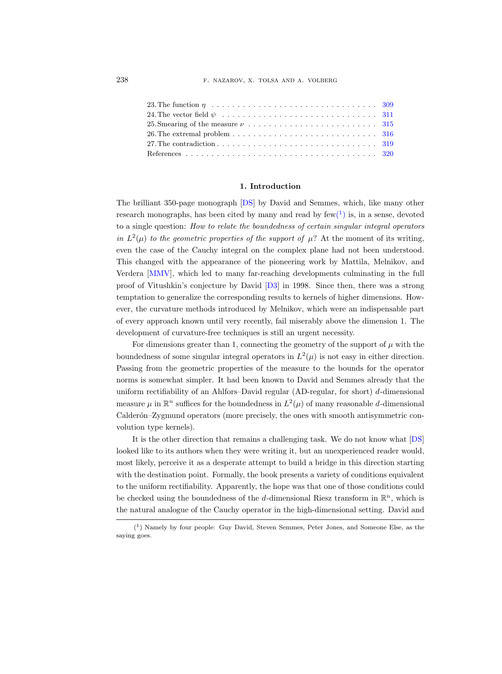| 26. The extremal problem $\dots \dots \dots \dots \dots \dots \dots \dots \dots \dots \dots \dots$ 316 |  |
|--------------------------------------------------------------------------------------------------------|--|
| 27. The contradiction $\ldots \ldots \ldots \ldots \ldots \ldots \ldots \ldots \ldots \ldots$ 319      |  |
|                                                                                                        |  |

# 1. Introduction

<span id="page-1-0"></span>The brilliant 350-page monograph [\[DS\]](#page-84-0) by David and Semmes, which, like many other research monographs, has been cited by many and read by  $few(^{1})$  $few(^{1})$  $few(^{1})$  is, in a sense, devoted to a single question: How to relate the boundedness of certain singular integral operators in  $L^2(\mu)$  to the geometric properties of the support of  $\mu$ ? At the moment of its writing, even the case of the Cauchy integral on the complex plane had not been understood. This changed with the appearance of the pioneering work by Mattila, Melnikov, and Verdera [\[MMV\]](#page-84-1), which led to many far-reaching developments culminating in the full proof of Vitushkin's conjecture by David [\[D3\]](#page-84-2) in 1998. Since then, there was a strong temptation to generalize the corresponding results to kernels of higher dimensions. However, the curvature methods introduced by Melnikov, which were an indispensable part of every approach known until very recently, fail miserably above the dimension 1. The development of curvature-free techniques is still an urgent necessity.

For dimensions greater than 1, connecting the geometry of the support of  $\mu$  with the boundedness of some singular integral operators in  $L^2(\mu)$  is not easy in either direction. Passing from the geometric properties of the measure to the bounds for the operator norms is somewhat simpler. It had been known to David and Semmes already that the uniform rectifiability of an Ahlfors–David regular (AD-regular, for short)  $d$ -dimensional measure  $\mu$  in  $\mathbb{R}^n$  suffices for the boundedness in  $L^2(\mu)$  of many reasonable d-dimensional Calderón–Zygmund operators (more precisely, the ones with smooth antisymmetric convolution type kernels).

It is the other direction that remains a challenging task. We do not know what [\[DS\]](#page-84-0) looked like to its authors when they were writing it, but an unexperienced reader would, most likely, perceive it as a desperate attempt to build a bridge in this direction starting with the destination point. Formally, the book presents a variety of conditions equivalent to the uniform rectifiability. Apparently, the hope was that one of those conditions could be checked using the boundedness of the d-dimensional Riesz transform in  $\mathbb{R}^n$ , which is the natural analogue of the Cauchy operator in the high-dimensional setting. David and

<span id="page-1-1"></span><sup>(</sup> 1 ) Namely by four people: Guy David, Steven Semmes, Peter Jones, and Someone Else, as the saying goes.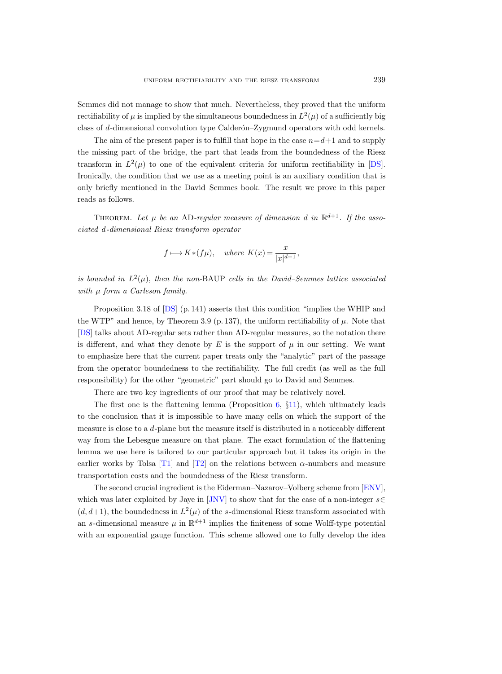Semmes did not manage to show that much. Nevertheless, they proved that the uniform rectifiability of  $\mu$  is implied by the simultaneous boundedness in  $L^2(\mu)$  of a sufficiently big class of d-dimensional convolution type Calderón–Zygmund operators with odd kernels.

The aim of the present paper is to fulfill that hope in the case  $n=d+1$  and to supply the missing part of the bridge, the part that leads from the boundedness of the Riesz transform in  $L^2(\mu)$  to one of the equivalent criteria for uniform rectifiability in [\[DS\]](#page-84-0). Ironically, the condition that we use as a meeting point is an auxiliary condition that is only briefly mentioned in the David–Semmes book. The result we prove in this paper reads as follows.

THEOREM. Let  $\mu$  be an AD-regular measure of dimension d in  $\mathbb{R}^{d+1}$ . If the associated d-dimensional Riesz transform operator

$$
f \longmapsto K * (f\mu)
$$
, where  $K(x) = \frac{x}{|x|^{d+1}}$ ,

is bounded in  $L^2(\mu)$ , then the non-BAUP cells in the David–Semmes lattice associated with  $\mu$  form a Carleson family.

Proposition 3.18 of [\[DS\]](#page-84-0) (p. 141) asserts that this condition "implies the WHIP and the WTP" and hence, by Theorem 3.9 (p. 137), the uniform rectifiability of  $\mu$ . Note that [\[DS\]](#page-84-0) talks about AD-regular sets rather than AD-regular measures, so the notation there is different, and what they denote by  $E$  is the support of  $\mu$  in our setting. We want to emphasize here that the current paper treats only the "analytic" part of the passage from the operator boundedness to the rectifiability. The full credit (as well as the full responsibility) for the other "geometric" part should go to David and Semmes.

There are two key ingredients of our proof that may be relatively novel.

The first one is the flattening lemma (Proposition  $6, \{11\}$  $6, \{11\}$ ), which ultimately leads to the conclusion that it is impossible to have many cells on which the support of the measure is close to a d-plane but the measure itself is distributed in a noticeably different way from the Lebesgue measure on that plane. The exact formulation of the flattening lemma we use here is tailored to our particular approach but it takes its origin in the earlier works by Tolsa [\[T1\]](#page-84-3) and [\[T2\]](#page-84-4) on the relations between  $\alpha$ -numbers and measure transportation costs and the boundedness of the Riesz transform.

The second crucial ingredient is the Eiderman–Nazarov–Volberg scheme from [\[ENV\]](#page-84-5), which was later exploited by Jaye in [\[JNV\]](#page-84-6) to show that for the case of a non-integer  $s \in$  $(d, d+1)$ , the boundedness in  $L^2(\mu)$  of the s-dimensional Riesz transform associated with an s-dimensional measure  $\mu$  in  $\mathbb{R}^{d+1}$  implies the finiteness of some Wolff-type potential with an exponential gauge function. This scheme allowed one to fully develop the idea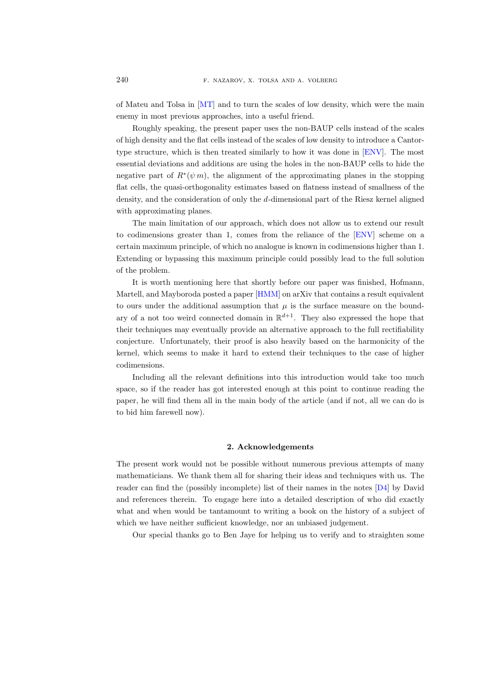of Mateu and Tolsa in [\[MT\]](#page-84-7) and to turn the scales of low density, which were the main enemy in most previous approaches, into a useful friend.

Roughly speaking, the present paper uses the non-BAUP cells instead of the scales of high density and the flat cells instead of the scales of low density to introduce a Cantortype structure, which is then treated similarly to how it was done in [\[ENV\]](#page-84-5). The most essential deviations and additions are using the holes in the non-BAUP cells to hide the negative part of  $R^*(\psi m)$ , the alignment of the approximating planes in the stopping flat cells, the quasi-orthogonality estimates based on flatness instead of smallness of the density, and the consideration of only the d-dimensional part of the Riesz kernel aligned with approximating planes.

The main limitation of our approach, which does not allow us to extend our result to codimensions greater than 1, comes from the reliance of the [\[ENV\]](#page-84-5) scheme on a certain maximum principle, of which no analogue is known in codimensions higher than 1. Extending or bypassing this maximum principle could possibly lead to the full solution of the problem.

It is worth mentioning here that shortly before our paper was finished, Hofmann, Martell, and Mayboroda posted a paper [\[HMM\]](#page-84-8) on arXiv that contains a result equivalent to ours under the additional assumption that  $\mu$  is the surface measure on the boundary of a not too weird connected domain in  $\mathbb{R}^{d+1}$ . They also expressed the hope that their techniques may eventually provide an alternative approach to the full rectifiability conjecture. Unfortunately, their proof is also heavily based on the harmonicity of the kernel, which seems to make it hard to extend their techniques to the case of higher codimensions.

Including all the relevant definitions into this introduction would take too much space, so if the reader has got interested enough at this point to continue reading the paper, he will find them all in the main body of the article (and if not, all we can do is to bid him farewell now).

#### 2. Acknowledgements

<span id="page-3-0"></span>The present work would not be possible without numerous previous attempts of many mathematicians. We thank them all for sharing their ideas and techniques with us. The reader can find the (possibly incomplete) list of their names in the notes [\[D4\]](#page-84-9) by David and references therein. To engage here into a detailed description of who did exactly what and when would be tantamount to writing a book on the history of a subject of which we have neither sufficient knowledge, nor an unbiased judgement.

Our special thanks go to Ben Jaye for helping us to verify and to straighten some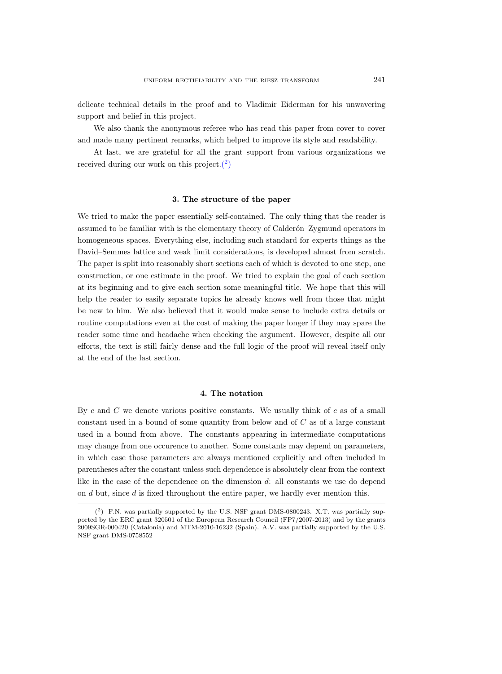delicate technical details in the proof and to Vladimir Eiderman for his unwavering support and belief in this project.

We also thank the anonymous referee who has read this paper from cover to cover and made many pertinent remarks, which helped to improve its style and readability.

At last, we are grateful for all the grant support from various organizations we received during our work on this project. $(2)$ 

#### 3. The structure of the paper

<span id="page-4-0"></span>We tried to make the paper essentially self-contained. The only thing that the reader is assumed to be familiar with is the elementary theory of Calderon–Zygmund operators in homogeneous spaces. Everything else, including such standard for experts things as the David–Semmes lattice and weak limit considerations, is developed almost from scratch. The paper is split into reasonably short sections each of which is devoted to one step, one construction, or one estimate in the proof. We tried to explain the goal of each section at its beginning and to give each section some meaningful title. We hope that this will help the reader to easily separate topics he already knows well from those that might be new to him. We also believed that it would make sense to include extra details or routine computations even at the cost of making the paper longer if they may spare the reader some time and headache when checking the argument. However, despite all our efforts, the text is still fairly dense and the full logic of the proof will reveal itself only at the end of the last section.

### 4. The notation

<span id="page-4-1"></span>By c and C we denote various positive constants. We usually think of c as of a small constant used in a bound of some quantity from below and of C as of a large constant used in a bound from above. The constants appearing in intermediate computations may change from one occurence to another. Some constants may depend on parameters, in which case those parameters are always mentioned explicitly and often included in parentheses after the constant unless such dependence is absolutely clear from the context like in the case of the dependence on the dimension d: all constants we use do depend on  $d$  but, since  $d$  is fixed throughout the entire paper, we hardly ever mention this.

<span id="page-4-2"></span> $(2)$  F.N. was partially supported by the U.S. NSF grant DMS-0800243. X.T. was partially supported by the ERC grant 320501 of the European Research Council (FP7/2007-2013) and by the grants 2009SGR-000420 (Catalonia) and MTM-2010-16232 (Spain). A.V. was partially supported by the U.S. NSF grant DMS-0758552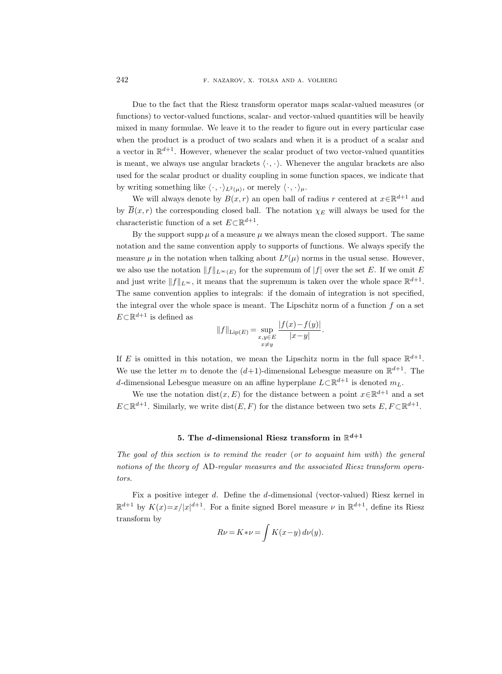Due to the fact that the Riesz transform operator maps scalar-valued measures (or functions) to vector-valued functions, scalar- and vector-valued quantities will be heavily mixed in many formulae. We leave it to the reader to figure out in every particular case when the product is a product of two scalars and when it is a product of a scalar and a vector in  $\mathbb{R}^{d+1}$ . However, whenever the scalar product of two vector-valued quantities is meant, we always use angular brackets  $\langle \cdot, \cdot \rangle$ . Whenever the angular brackets are also used for the scalar product or duality coupling in some function spaces, we indicate that by writing something like  $\langle \cdot, \cdot \rangle_{L^2(\mu)}$ , or merely  $\langle \cdot, \cdot \rangle_{\mu}$ .

We will always denote by  $B(x, r)$  an open ball of radius r centered at  $x \in \mathbb{R}^{d+1}$  and by  $\overline{B}(x,r)$  the corresponding closed ball. The notation  $\chi_E$  will always be used for the characteristic function of a set  $E \subset \mathbb{R}^{d+1}$ .

By the support supp  $\mu$  of a measure  $\mu$  we always mean the closed support. The same notation and the same convention apply to supports of functions. We always specify the measure  $\mu$  in the notation when talking about  $L^p(\mu)$  norms in the usual sense. However, we also use the notation  $||f||_{L^{\infty}(E)}$  for the supremum of  $|f|$  over the set E. If we omit E and just write  $||f||_{L^{\infty}}$ , it means that the supremum is taken over the whole space  $\mathbb{R}^{d+1}$ . The same convention applies to integrals: if the domain of integration is not specified, the integral over the whole space is meant. The Lipschitz norm of a function  $f$  on a set  $E \subset \mathbb{R}^{d+1}$  is defined as

$$
||f||_{\text{Lip}(E)} = \sup_{\substack{x,y \in E \\ x \neq y}} \frac{|f(x) - f(y)|}{|x - y|}.
$$

If E is omitted in this notation, we mean the Lipschitz norm in the full space  $\mathbb{R}^{d+1}$ . We use the letter m to denote the  $(d+1)$ -dimensional Lebesgue measure on  $\mathbb{R}^{d+1}$ . The d-dimensional Lebesgue measure on an affine hyperplane  $L\subset \mathbb{R}^{d+1}$  is denoted  $m_L$ .

We use the notation dist $(x, E)$  for the distance between a point  $x \in \mathbb{R}^{d+1}$  and a set  $E \subset \mathbb{R}^{d+1}$ . Similarly, we write  $dist(E, F)$  for the distance between two sets  $E, F \subset \mathbb{R}^{d+1}$ .

# 5. The d-dimensional Riesz transform in  $\mathbb{R}^{d+1}$

<span id="page-5-0"></span>The goal of this section is to remind the reader (or to acquaint him with) the general notions of the theory of AD-regular measures and the associated Riesz transform operators.

Fix a positive integer d. Define the d-dimensional (vector-valued) Riesz kernel in  $\mathbb{R}^{d+1}$  by  $K(x)=x/|x|^{d+1}$ . For a finite signed Borel measure  $\nu$  in  $\mathbb{R}^{d+1}$ , define its Riesz transform by

$$
R\nu = K * \nu = \int K(x - y) d\nu(y).
$$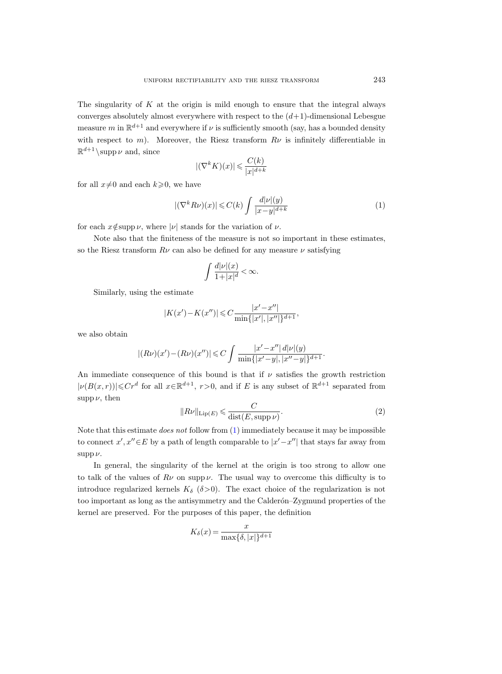The singularity of  $K$  at the origin is mild enough to ensure that the integral always converges absolutely almost everywhere with respect to the  $(d+1)$ -dimensional Lebesgue measure m in  $\mathbb{R}^{d+1}$  and everywhere if  $\nu$  is sufficiently smooth (say, has a bounded density with respect to m). Moreover, the Riesz transform  $R\nu$  is infinitely differentiable in  $\mathbb{R}^{d+1}$  \supp  $\nu$  and, since

$$
|(\nabla^k K)(x)| \leqslant \frac{C(k)}{|x|^{d+k}}
$$

for all  $x\neq0$  and each  $k\geq0$ , we have

<span id="page-6-0"></span>
$$
|(\nabla^k R\nu)(x)| \leqslant C(k) \int \frac{d|\nu|(y)}{|x-y|^{d+k}}\tag{1}
$$

for each  $x \notin \text{supp }\nu$ , where  $|\nu|$  stands for the variation of  $\nu$ .

Note also that the finiteness of the measure is not so important in these estimates, so the Riesz transform  $R\nu$  can also be defined for any measure  $\nu$  satisfying

$$
\int \frac{d|\nu|(x)}{1+|x|^d} < \infty.
$$

Similarly, using the estimate

$$
|K(x') - K(x'')| \leq C \frac{|x' - x''|}{\min\{|x'|, |x''|\}^{d+1}},
$$

we also obtain

$$
|(R\nu)(x') - (R\nu)(x'')| \leq C \int \frac{|x'-x''| \, d|\nu|(y)}{\min\{|x'-y|, |x''-y|\}^{d+1}}.
$$

An immediate consequence of this bound is that if  $\nu$  satisfies the growth restriction  $|\nu(B(x,r))| \leqslant Cr^d$  for all  $x \in \mathbb{R}^{d+1}$ ,  $r > 0$ , and if E is any subset of  $\mathbb{R}^{d+1}$  separated from supp  $\nu$ , then

$$
||R\nu||_{\text{Lip}(E)} \leqslant \frac{C}{\text{dist}(E, \text{supp}\,\nu)}.
$$
\n<sup>(2)</sup>

Note that this estimate does not follow from [\(1\)](#page-6-0) immediately because it may be impossible to connect  $x', x'' \in E$  by a path of length comparable to  $|x'-x''|$  that stays far away from  $supp \nu$ .

In general, the singularity of the kernel at the origin is too strong to allow one to talk of the values of  $R\nu$  on supp  $\nu$ . The usual way to overcome this difficulty is to introduce regularized kernels  $K_{\delta}$  ( $\delta > 0$ ). The exact choice of the regularization is not too important as long as the antisymmetry and the Calderón–Zygmund properties of the kernel are preserved. For the purposes of this paper, the definition

$$
K_{\delta}(x) = \frac{x}{\max\{\delta, |x|\}^{d+1}}
$$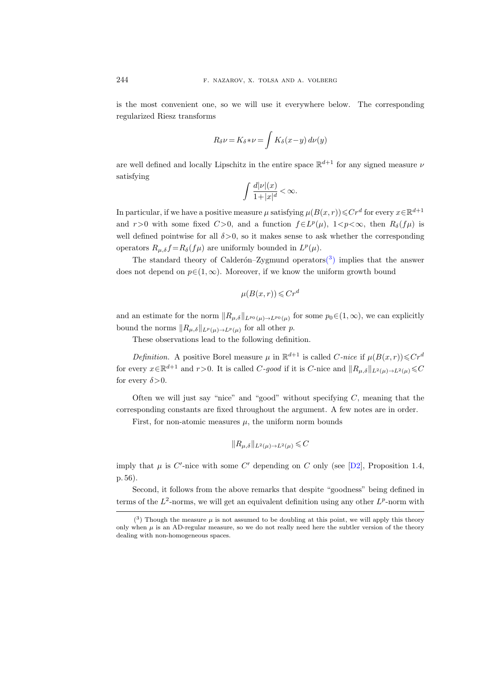is the most convenient one, so we will use it everywhere below. The corresponding regularized Riesz transforms

$$
R_{\delta}\nu = K_{\delta} * \nu = \int K_{\delta}(x - y) d\nu(y)
$$

are well defined and locally Lipschitz in the entire space  $\mathbb{R}^{d+1}$  for any signed measure  $\nu$ satisfying

$$
\int \frac{d|\nu|(x)}{1+|x|^d} < \infty.
$$

In particular, if we have a positive measure  $\mu$  satisfying  $\mu(B(x,r))\leqslant Cr^d$  for every  $x\in\mathbb{R}^{d+1}$ and r>0 with some fixed C>0, and a function  $f \in L^p(\mu)$ , 1<p< $\infty$ , then  $R_\delta(f\mu)$  is well defined pointwise for all  $\delta > 0$ , so it makes sense to ask whether the corresponding operators  $R_{\mu,\delta} f = R_{\delta}(f\mu)$  are uniformly bounded in  $L^p(\mu)$ .

The standard theory of Calderón–Zygmund operators<sup>(3)</sup> implies that the answer does not depend on  $p \in (1,\infty)$ . Moreover, if we know the uniform growth bound

$$
\mu(B(x,r)) \leqslant Cr^d
$$

and an estimate for the norm  $||R_{\mu,\delta}||_{L^{p_0}(\mu) \to L^{p_0}(\mu)}$  for some  $p_0 \in (1,\infty)$ , we can explicitly bound the norms  $||R_{\mu,\delta}||_{L^p(\mu)\to L^p(\mu)}$  for all other p.

These observations lead to the following definition.

*Definition.* A positive Borel measure  $\mu$  in  $\mathbb{R}^{d+1}$  is called C-nice if  $\mu(B(x,r))\leq Cr^d$ for every  $x \in \mathbb{R}^{d+1}$  and  $r > 0$ . It is called C-good if it is C-nice and  $||R_{\mu,\delta}||_{L^2(\mu) \to L^2(\mu)} \leq C$ for every  $\delta$  > 0.

Often we will just say "nice" and "good" without specifying  $C$ , meaning that the corresponding constants are fixed throughout the argument. A few notes are in order.

First, for non-atomic measures  $\mu$ , the uniform norm bounds

$$
\|R_{\mu,\delta}\|_{L^2(\mu)\to L^2(\mu)}\leqslant C
$$

imply that  $\mu$  is C'-nice with some C' depending on C only (see [\[D2\]](#page-84-10), Proposition 1.4, p. 56).

Second, it follows from the above remarks that despite "goodness" being defined in terms of the  $L^2$ -norms, we will get an equivalent definition using any other  $L^p$ -norm with

<span id="page-7-0"></span> $(3)$  Though the measure  $\mu$  is not assumed to be doubling at this point, we will apply this theory only when  $\mu$  is an AD-regular measure, so we do not really need here the subtler version of the theory dealing with non-homogeneous spaces.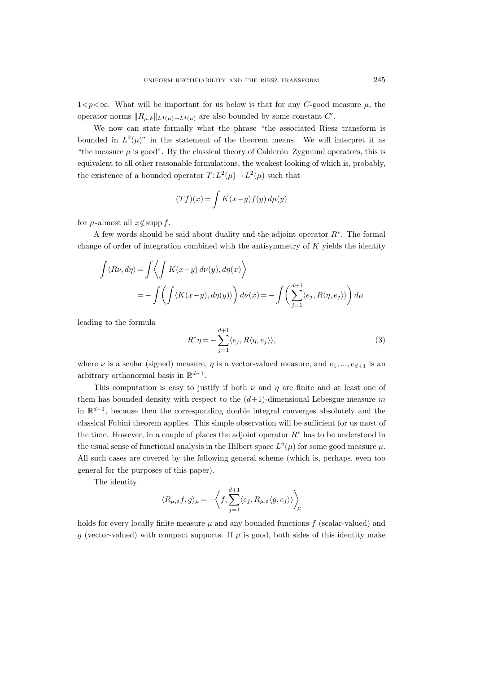$1 < p < \infty$ . What will be important for us below is that for any C-good measure  $\mu$ , the operator norms  $||R_{\mu,\delta}||_{L^4(\mu) \to L^4(\mu)}$  are also bounded by some constant C'.

We now can state formally what the phrase "the associated Riesz transform is bounded in  $L^2(\mu)$ " in the statement of the theorem means. We will interpret it as "the measure  $\mu$  is good". By the classical theory of Calderón–Zygmund operators, this is equivalent to all other reasonable formulations, the weakest looking of which is, probably, the existence of a bounded operator  $T: L^2(\mu) \to L^2(\mu)$  such that

$$
(Tf)(x) = \int K(x-y)f(y) d\mu(y)
$$

for  $\mu$ -almost all  $x \notin \mathrm{supp} f$ .

A few words should be said about duality and the adjoint operator R<sup>∗</sup> . The formal change of order of integration combined with the antisymmetry of  $K$  yields the identity

$$
\int \langle R\nu, d\eta \rangle = \int \langle \int K(x - y) d\nu(y), d\eta(x) \rangle
$$
  
= 
$$
- \int \left( \int \langle K(x - y), d\eta(y) \rangle \right) d\nu(x) = - \int \left( \sum_{j=1}^{d+1} \langle e_j, R\langle \eta, e_j \rangle \rangle \right) d\mu
$$

leading to the formula

<span id="page-8-0"></span>
$$
R^*\eta = -\sum_{j=1}^{d+1} \langle e_j, R\langle \eta, e_j \rangle \rangle, \tag{3}
$$

where  $\nu$  is a scalar (signed) measure,  $\eta$  is a vector-valued measure, and  $e_1, ..., e_{d+1}$  is an arbitrary orthonormal basis in  $\mathbb{R}^{d+1}$ .

This computation is easy to justify if both  $\nu$  and  $\eta$  are finite and at least one of them has bounded density with respect to the  $(d+1)$ -dimensional Lebesgue measure m in  $\mathbb{R}^{d+1}$ , because then the corresponding double integral converges absolutely and the classical Fubini theorem applies. This simple observation will be sufficient for us most of the time. However, in a couple of places the adjoint operator R<sup>∗</sup> has to be understood in the usual sense of functional analysis in the Hilbert space  $L^2(\mu)$  for some good measure  $\mu$ . All such cases are covered by the following general scheme (which is, perhaps, even too general for the purposes of this paper).

The identity

$$
\langle R_{\mu,\delta}f,g\rangle_{\mu}=-\bigg\langle f,\sum_{j=1}^{d+1}\langle e_j,R_{\mu,\delta}\langle g,e_j\rangle\rangle\bigg\rangle_{\mu}
$$

holds for every locally finite measure  $\mu$  and any bounded functions  $f$  (scalar-valued) and g (vector-valued) with compact supports. If  $\mu$  is good, both sides of this identity make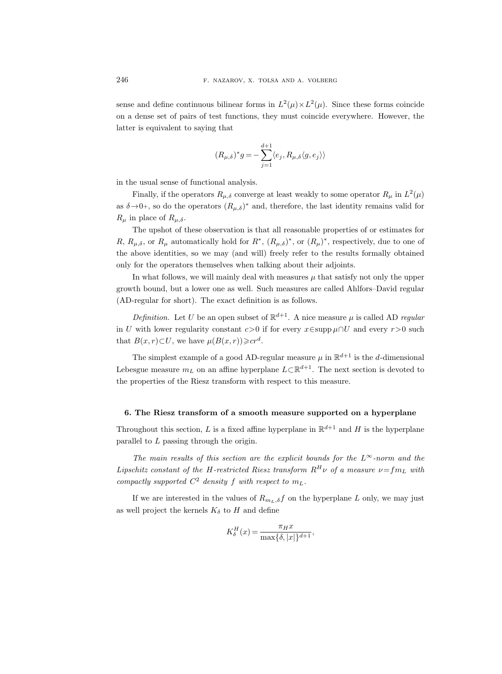sense and define continuous bilinear forms in  $L^2(\mu) \times L^2(\mu)$ . Since these forms coincide on a dense set of pairs of test functions, they must coincide everywhere. However, the latter is equivalent to saying that

$$
(R_{\mu,\delta})^* g = -\sum_{j=1}^{d+1} \langle e_j, R_{\mu,\delta} \langle g, e_j \rangle \rangle
$$

in the usual sense of functional analysis.

Finally, if the operators  $R_{\mu,\delta}$  converge at least weakly to some operator  $R_{\mu}$  in  $L^2(\mu)$ as  $\delta \rightarrow 0^+$ , so do the operators  $(R_{\mu,\delta})^*$  and, therefore, the last identity remains valid for  $R_\mu$  in place of  $R_{\mu,\delta}$ .

The upshot of these observation is that all reasonable properties of or estimates for R,  $R_{\mu,\delta}$ , or  $R_{\mu}$  automatically hold for  $R^*$ ,  $(R_{\mu,\delta})^*$ , or  $(R_{\mu})^*$ , respectively, due to one of the above identities, so we may (and will) freely refer to the results formally obtained only for the operators themselves when talking about their adjoints.

In what follows, we will mainly deal with measures  $\mu$  that satisfy not only the upper growth bound, but a lower one as well. Such measures are called Ahlfors–David regular (AD-regular for short). The exact definition is as follows.

*Definition*. Let U be an open subset of  $\mathbb{R}^{d+1}$ . A nice measure  $\mu$  is called AD regular in U with lower regularity constant c>0 if for every  $x \in supp \mu \cap U$  and every  $r > 0$  such that  $B(x,r) \subset U$ , we have  $\mu(B(x,r)) \geqslant c r^d$ .

The simplest example of a good AD-regular measure  $\mu$  in  $\mathbb{R}^{d+1}$  is the d-dimensional Lebesgue measure  $m_L$  on an affine hyperplane  $L\subset \mathbb{R}^{d+1}$ . The next section is devoted to the properties of the Riesz transform with respect to this measure.

### <span id="page-9-0"></span>6. The Riesz transform of a smooth measure supported on a hyperplane

Throughout this section, L is a fixed affine hyperplane in  $\mathbb{R}^{d+1}$  and H is the hyperplane parallel to L passing through the origin.

The main results of this section are the explicit bounds for the  $L^{\infty}$ -norm and the Lipschitz constant of the H-restricted Riesz transform  $R^H \nu$  of a measure  $\nu = f m_L$  with compactly supported  $C^2$  density f with respect to  $m_L$ .

If we are interested in the values of  $R_{m_L,\delta}f$  on the hyperplane L only, we may just as well project the kernels  $K_{\delta}$  to H and define

$$
K_{\delta}^{H}(x) = \frac{\pi_{H}x}{\max\{\delta, |x|\}^{d+1}},
$$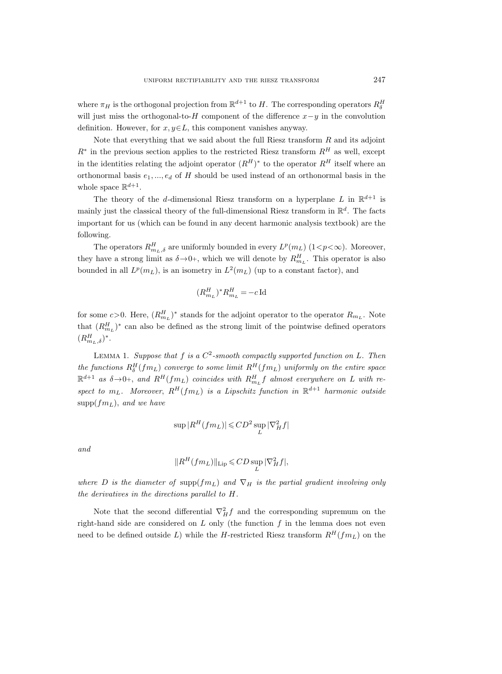where  $\pi_H$  is the orthogonal projection from  $\mathbb{R}^{d+1}$  to H. The corresponding operators  $R_\delta^H$ will just miss the orthogonal-to-H component of the difference  $x-y$  in the convolution definition. However, for  $x, y \in L$ , this component vanishes anyway.

Note that everything that we said about the full Riesz transform  $R$  and its adjoint  $R^*$  in the previous section applies to the restricted Riesz transform  $R^H$  as well, except in the identities relating the adjoint operator  $(R^H)^*$  to the operator  $R^H$  itself where an orthonormal basis  $e_1, ..., e_d$  of H should be used instead of an orthonormal basis in the whole space  $\mathbb{R}^{d+1}$ .

The theory of the d-dimensional Riesz transform on a hyperplane L in  $\mathbb{R}^{d+1}$  is mainly just the classical theory of the full-dimensional Riesz transform in  $\mathbb{R}^d$ . The facts important for us (which can be found in any decent harmonic analysis textbook) are the following.

The operators  $R_{m_L,\delta}^H$  are uniformly bounded in every  $L^p(m_L)$   $(1 < p < \infty)$ . Moreover, they have a strong limit as  $\delta \rightarrow 0^+$ , which we will denote by  $R_{m_L}^H$ . This operator is also bounded in all  $L^p(m_L)$ , is an isometry in  $L^2(m_L)$  (up to a constant factor), and

$$
(R_{m_L}^H)^* R_{m_L}^H = -c \operatorname{Id}
$$

for some  $c > 0$ . Here,  $(R_{m_L}^H)^*$  stands for the adjoint operator to the operator  $R_{m_L}$ . Note that  $(R_{m<sub>L</sub>}^H)$ <sup>\*</sup> can also be defined as the strong limit of the pointwise defined operators  $(R_{m_L,\delta}^H)^*$ .

<span id="page-10-0"></span>LEMMA 1. Suppose that  $f$  is a  $C^2$ -smooth compactly supported function on  $L$ . Then the functions  $R_{\delta}^{H}(fm_L)$  converge to some limit  $R^{H}(fm_L)$  uniformly on the entire space  $\mathbb{R}^{d+1}$  as  $\delta \rightarrow 0^+$ , and  $R^H(fm_L)$  coincides with  $R^H_{m_L}f$  almost everywhere on L with respect to  $m_L$ . Moreover,  $R^H(fm_L)$  is a Lipschitz function in  $\mathbb{R}^{d+1}$  harmonic outside  $\text{supp}(fm_L)$ , and we have

$$
\sup |R^H(fm_L)|\!\leqslant\! CD^2\sup_L |\nabla^2_H f|
$$

and

$$
||R^H(fm_L)||_{\text{Lip}} \leqslant CD \sup_L |\nabla^2_H f|,
$$

where D is the diameter of supp $(fm_L)$  and  $\nabla_H$  is the partial gradient involving only the derivatives in the directions parallel to H.

Note that the second differential  $\nabla_H^2 f$  and the corresponding supremum on the right-hand side are considered on  $L$  only (the function  $f$  in the lemma does not even need to be defined outside L) while the H-restricted Riesz transform  $R^H(fm_L)$  on the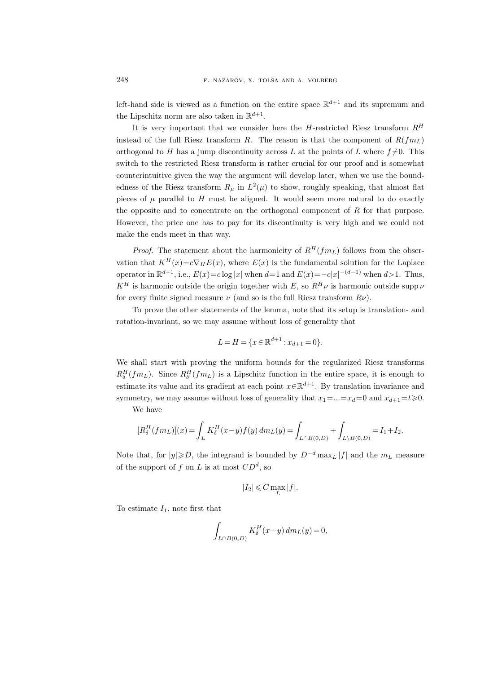left-hand side is viewed as a function on the entire space  $\mathbb{R}^{d+1}$  and its supremum and the Lipschitz norm are also taken in  $\mathbb{R}^{d+1}$ .

It is very important that we consider here the H-restricted Riesz transform  $R^H$ instead of the full Riesz transform R. The reason is that the component of  $R(fm_L)$ orthogonal to H has a jump discontinuity across L at the points of L where  $f\neq 0$ . This switch to the restricted Riesz transform is rather crucial for our proof and is somewhat counterintuitive given the way the argument will develop later, when we use the boundedness of the Riesz transform  $R_{\mu}$  in  $L^2(\mu)$  to show, roughly speaking, that almost flat pieces of  $\mu$  parallel to H must be aligned. It would seem more natural to do exactly the opposite and to concentrate on the orthogonal component of  $R$  for that purpose. However, the price one has to pay for its discontinuity is very high and we could not make the ends meet in that way.

*Proof.* The statement about the harmonicity of  $R^H(fm_L)$  follows from the observation that  $K^H(x)=c\nabla_H E(x)$ , where  $E(x)$  is the fundamental solution for the Laplace operator in  $\mathbb{R}^{d+1}$ , i.e.,  $E(x) = c \log |x|$  when  $d=1$  and  $E(x) = -c|x|^{-(d-1)}$  when  $d>1$ . Thus,  $K^H$  is harmonic outside the origin together with E, so  $R^H \nu$  is harmonic outside supp  $\nu$ for every finite signed measure  $\nu$  (and so is the full Riesz transform  $R\nu$ ).

To prove the other statements of the lemma, note that its setup is translation- and rotation-invariant, so we may assume without loss of generality that

$$
L = H = \{ x \in \mathbb{R}^{d+1} : x_{d+1} = 0 \}.
$$

We shall start with proving the uniform bounds for the regularized Riesz transforms  $R_{\delta}^{H}(fm_L)$ . Since  $R_{\delta}^{H}(fm_L)$  is a Lipschitz function in the entire space, it is enough to estimate its value and its gradient at each point  $x \in \mathbb{R}^{d+1}$ . By translation invariance and symmetry, we may assume without loss of generality that  $x_1 = ... = x_d = 0$  and  $x_{d+1} = t \ge 0$ .

We have

$$
[R_{\delta}^{H}(fm_{L})](x) = \int_{L} K_{\delta}^{H}(x-y)f(y) dm_{L}(y) = \int_{L \cap B(0,D)} + \int_{L \setminus B(0,D)} = I_{1} + I_{2}.
$$

Note that, for  $|y|\geqslant D$ , the integrand is bounded by  $D^{-d}$  max<sub>L</sub>  $|f|$  and the  $m<sub>L</sub>$  measure of the support of f on L is at most  $CD<sup>d</sup>$ , so

$$
|I_2|\leqslant C\max_{L}|f|.
$$

To estimate  $I_1$ , note first that

$$
\int_{L\cap B(0,D)} K_{\delta}^H(x-y) dm_L(y) = 0,
$$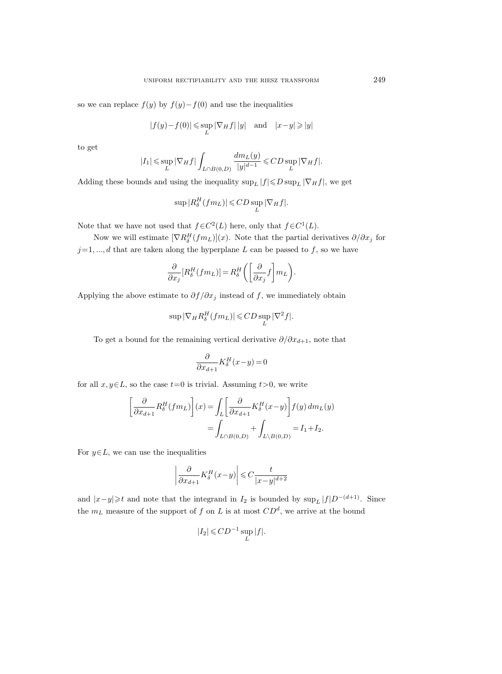so we can replace  $f(y)$  by  $f(y) - f(0)$  and use the inequalities

$$
|f(y) - f(0)| \le \sup_{L} |\nabla_H f| \, |y| \quad \text{and} \quad |x - y| \ge |y|
$$

to get

$$
|I_1| \le \sup_L |\nabla_H f| \int_{L \cap B(0,D)} \frac{dm_L(y)}{|y|^{d-1}} \le CD \sup_L |\nabla_H f|.
$$

Adding these bounds and using the inequality  $\sup_L |f| \leq D \sup_L |\nabla_H f|$ , we get

$$
\sup |R_{\delta}^H(fm_L)| \leqslant CD \sup_L |\nabla_H f|.
$$

Note that we have not used that  $f \in C^2(L)$  here, only that  $f \in C^1(L)$ .

Now we will estimate  $[\nabla R_{\delta}^{H}(fm_{L})](x)$ . Note that the partial derivatives  $\partial/\partial x_{j}$  for  $j=1, ..., d$  that are taken along the hyperplane L can be passed to f, so we have

$$
\frac{\partial}{\partial x_j} [R_{\delta}^H(fm_L)] = R_{\delta}^H \bigg( \bigg[ \frac{\partial}{\partial x_j} f \bigg] m_L \bigg).
$$

Applying the above estimate to  $\partial f/\partial x_j$  instead of f, we immediately obtain

$$
\sup |\nabla_H R_\delta^H(fm_L)| \leqslant CD \sup_L |\nabla^2 f|.
$$

To get a bound for the remaining vertical derivative  $\partial/\partial x_{d+1}$ , note that

$$
\frac{\partial}{\partial x_{d+1}} K_{\delta}^H(x-y) = 0
$$

for all  $x, y \in L$ , so the case  $t=0$  is trivial. Assuming  $t>0$ , we write

$$
\left[\frac{\partial}{\partial x_{d+1}} R_{\delta}^{H}(fm_L)\right](x) = \int_{L} \left[\frac{\partial}{\partial x_{d+1}} K_{\delta}^{H}(x-y)\right] f(y) dm_L(y)
$$

$$
= \int_{L \cap B(0,D)} + \int_{L \setminus B(0,D)} = I_1 + I_2.
$$

For  $y \in L$ , we can use the inequalities

$$
\left|\frac{\partial}{\partial x_{d+1}}K_{\delta}^H(x-y)\right|\leqslant C\frac{t}{|x-y|^{d+2}}
$$

and  $|x-y| \geq t$  and note that the integrand in  $I_2$  is bounded by  $\sup_L |f| D^{-(d+1)}$ . Since the  $m_L$  measure of the support of f on L is at most  $CD<sup>d</sup>$ , we arrive at the bound

$$
|I_2| \leqslant CD^{-1} \sup_L |f|.
$$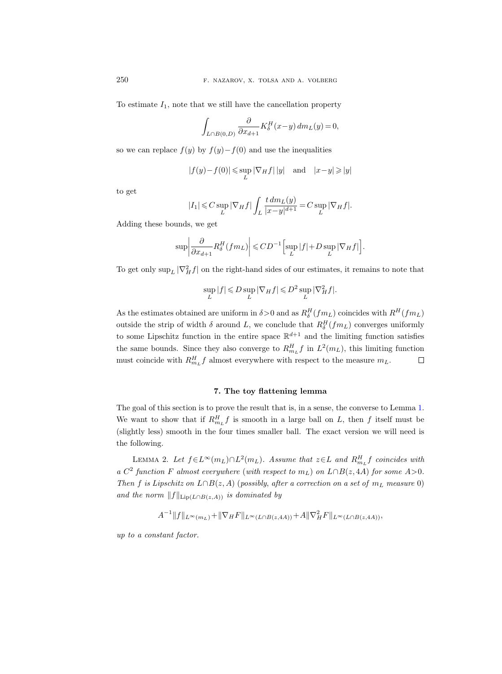To estimate  $I_1$ , note that we still have the cancellation property

$$
\int_{L \cap B(0,D)} \frac{\partial}{\partial x_{d+1}} K_{\delta}^H(x-y) \, dm_L(y) = 0,
$$

so we can replace  $f(y)$  by  $f(y)-f(0)$  and use the inequalities

$$
|f(y)-f(0)| \leqslant \sup_{L} |\nabla_H f| \, |y| \quad \text{and} \quad |x-y| \geqslant |y|
$$

to get

$$
|I_1| \leqslant C \sup_L |\nabla_H f| \int_L \frac{t \, dm_L(y)}{|x - y|^{d+1}} = C \sup_L |\nabla_H f|.
$$

Adding these bounds, we get

$$
\sup \left| \frac{\partial}{\partial x_{d+1}} R_{\delta}^H(f m_L) \right| \leqslant CD^{-1} \Big[ \sup_L |f| + D \sup_L |\nabla_H f| \Big].
$$

To get only  $\sup_L |\nabla_H^2 f|$  on the right-hand sides of our estimates, it remains to note that

$$
\sup_{L} |f| \leqslant D \sup_{L} |\nabla_H f| \leqslant D^2 \sup_{L} |\nabla^2_H f|.
$$

As the estimates obtained are uniform in  $\delta > 0$  and as  $R_{\delta}^{H}(fm_L)$  coincides with  $R^{H}(fm_L)$ outside the strip of width  $\delta$  around L, we conclude that  $R_{\delta}^{H}(fm_L)$  converges uniformly to some Lipschitz function in the entire space  $\mathbb{R}^{d+1}$  and the limiting function satisfies the same bounds. Since they also converge to  $R_{m_L}^H f$  in  $L^2(m_L)$ , this limiting function must coincide with  $R_{m_L}^H f$  almost everywhere with respect to the measure  $m_L$ .  $\Box$ 

# 7. The toy flattening lemma

<span id="page-13-0"></span>The goal of this section is to prove the result that is, in a sense, the converse to Lemma [1.](#page-10-0) We want to show that if  $R_{m_L}^H f$  is smooth in a large ball on L, then f itself must be (slightly less) smooth in the four times smaller ball. The exact version we will need is the following.

<span id="page-13-1"></span>LEMMA 2. Let  $f \in L^{\infty}(m_L) \cap L^2(m_L)$ . Assume that  $z \in L$  and  $R_{m_L}^H f$  coincides with a  $C^2$  function F almost everywhere (with respect to  $m_L$ ) on  $L \cap B(z, 4A)$  for some  $A > 0$ . Then f is Lipschitz on  $L \cap B(z, A)$  (possibly, after a correction on a set of  $m<sub>L</sub>$  measure 0) and the norm  $||f||_{\text{Lip}(L\cap B(z,A))}$  is dominated by

$$
A^{-1}||f||_{L^{\infty}(m_L)} + ||\nabla_H F||_{L^{\infty}(L \cap B(z, 4A))} + A||\nabla^2_H F||_{L^{\infty}(L \cap B(z, 4A))},
$$

up to a constant factor.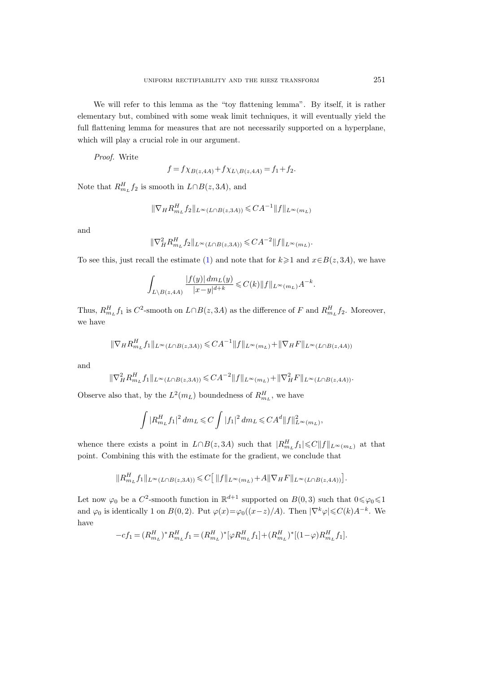We will refer to this lemma as the "toy flattening lemma". By itself, it is rather elementary but, combined with some weak limit techniques, it will eventually yield the full flattening lemma for measures that are not necessarily supported on a hyperplane, which will play a crucial role in our argument.

Proof. Write

$$
f = f \chi_{B(z, 4A)} + f \chi_{L \setminus B(z, 4A)} = f_1 + f_2.
$$

Note that  $R_{m_L}^H f_2$  is smooth in  $L \cap B(z, 3A)$ , and

$$
\|\nabla_H R_{m_L}^H f_2\|_{L^\infty(L \cap B(z,3A))} \leqslant C A^{-1} \|f\|_{L^\infty(m_L)}
$$

and

$$
\|\nabla_H^2 R_{m_L}^H f_2\|_{L^\infty(L \cap B(z,3A))} \leq C A^{-2} \|f\|_{L^\infty(m_L)}.
$$

To see this, just recall the estimate [\(1\)](#page-6-0) and note that for  $k\geq 1$  and  $x\in B(z, 3A)$ , we have

$$
\int_{L \setminus B(z,4A)} \frac{|f(y)| \, dm_L(y)}{|x-y|^{d+k}} \leqslant C(k) \|f\|_{L^{\infty}(m_L)} A^{-k}.
$$

Thus,  $R_{m_L}^H f_1$  is  $C^2$ -smooth on  $L \cap B(z, 3A)$  as the difference of F and  $R_{m_L}^H f_2$ . Moreover, we have

$$
\|\nabla_H R_{m_L}^H f_1\|_{L^\infty(L \cap B(z,3A))} \leq C A^{-1} \|f\|_{L^\infty(m_L)} + \|\nabla_H F\|_{L^\infty(L \cap B(z,4A))}
$$

and

$$
\|\nabla^2_H R^H_{mL} f_1\|_{L^\infty(L \cap B(z,3A))} \leq C A^{-2} \|f\|_{L^\infty(m_L)} + \|\nabla^2_H F\|_{L^\infty(L \cap B(z,4A))}.
$$

Observe also that, by the  $L^2(m_L)$  boundedness of  $R_{m_L}^H$ , we have

$$
\int |R_{m_L}^H f_1|^2 \, dm_L \leqslant C \int |f_1|^2 \, dm_L \leqslant C A^d \|f\|_{L^{\infty}(m_L)}^2,
$$

whence there exists a point in  $L \cap B(z, 3A)$  such that  $|R_{m_L}^H f_1| \leqslant C ||f||_{L^{\infty}(m_L)}$  at that point. Combining this with the estimate for the gradient, we conclude that

$$
||R_{m_L}^H f_1||_{L^\infty(L\cap B(z,3A))} \leqslant C\big[\,||f||_{L^\infty(m_L)} + A||\nabla_H F||_{L^\infty(L\cap B(z,4A))}\big].
$$

Let now  $\varphi_0$  be a C<sup>2</sup>-smooth function in  $\mathbb{R}^{d+1}$  supported on  $B(0,3)$  such that  $0 \le \varphi_0 \le 1$ and  $\varphi_0$  is identically 1 on  $B(0, 2)$ . Put  $\varphi(x) = \varphi_0((x-z)/A)$ . Then  $|\nabla^k \varphi| \leq C(k)A^{-k}$ . We have

$$
-cf_1 = (R^H_{m_L})^* R^H_{m_L} f_1 = (R^H_{m_L})^* [\varphi R^H_{m_L} f_1] + (R^H_{m_L})^* [(1-\varphi)R^H_{m_L} f_1].
$$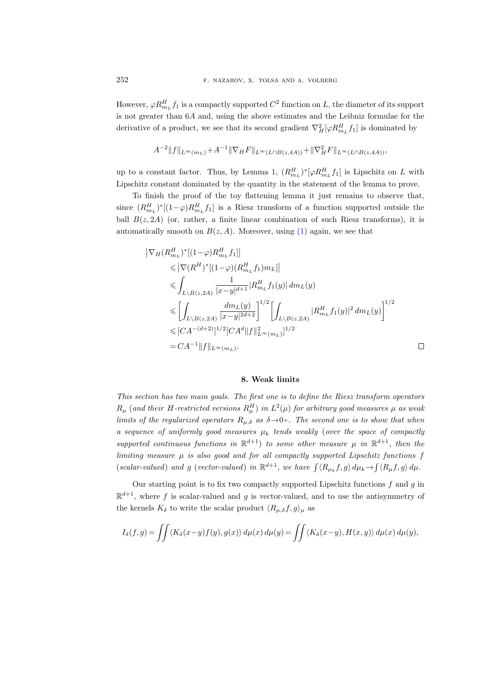However,  $\varphi R_{m_L}^H f_1$  is a compactly supported  $C^2$  function on L, the diameter of its support is not greater than 6A and, using the above estimates and the Leibniz formulae for the derivative of a product, we see that its second gradient  $\nabla^2_H[\varphi R^H_{m_L} f_1]$  is dominated by

$$
A^{-2}||f||_{L^{\infty}(m_L)} + A^{-1}||\nabla_H F||_{L^{\infty}(L \cap B(z, 4A))} + ||\nabla^2_H F||_{L^{\infty}(L \cap B(z, 4A))},
$$

up to a constant factor. Thus, by Lemma [1,](#page-10-0)  $(R_{m_L}^H)^*[\varphi R_{m_L}^H f_1]$  is Lipschitz on L with Lipschitz constant dominated by the quantity in the statement of the lemma to prove.

To finish the proof of the toy flattening lemma it just remains to observe that, since  $(R_{m_L}^H)^*[(1-\varphi)R_{m_L}^H f_1]$  is a Riesz transform of a function supported outside the ball  $B(z, 2A)$  (or, rather, a finite linear combination of such Riesz transforms), it is automatically smooth on  $B(z, A)$ . Moreover, using [\(1\)](#page-6-0) again, we see that

$$
\begin{aligned} &\left|\nabla_{H}(R_{m_{L}}^{H})^{*}[(1-\varphi)R_{m_{L}}^{H}f_{1}]\right|\\ &\leqslant\left|\nabla(R^{H})^{*}[(1-\varphi)(R_{m_{L}}^{H}f_{1})m_{L}]\right|\\ &\leqslant \int_{L\setminus B(z,2A)}\frac{1}{|x-y|^{d+1}}|R_{m_{L}}^{H}f_{1}(y)|\,dm_{L}(y)\\ &\leqslant\left[\int_{L\setminus B(z,2A)}\frac{dm_{L}(y)}{|x-y|^{2d+2}}\right]^{1/2}\left[\int_{L\setminus B(z,2A)}|R_{m_{L}}^{H}f_{1}(y)|^{2}\,dm_{L}(y)\right]^{1/2}\\ &\leqslant [CA^{-(d+2)}]^{1/2}[CA^{d}\|f\|_{L^{\infty}(m_{L})}^{2}]^{1/2}\\ &=CA^{-1}\|f\|_{L^{\infty}(m_{L})}. \end{aligned}
$$

#### 8. Weak limits

<span id="page-15-0"></span>This section has two main goals. The first one is to define the Riesz transform operators  $R_\mu$  (and their H-restricted versions  $R_\mu^H$ ) in  $L^2(\mu)$  for arbitrary good measures  $\mu$  as weak limits of the regularized operators  $R_{\mu,\delta}$  as  $\delta \rightarrow 0+$ . The second one is to show that when a sequence of uniformly good measures  $\mu_k$  tends weakly (over the space of compactly supported continuous functions in  $\mathbb{R}^{d+1}$  to some other measure  $\mu$  in  $\mathbb{R}^{d+1}$ , then the limiting measure  $\mu$  is also good and for all compactly supported Lipschitz functions f (scalar-valued) and g (vector-valued) in  $\mathbb{R}^{d+1}$ , we have  $\int \langle R_{\mu_k} f, g \rangle d\mu_k \rightarrow \int \langle R_{\mu} f, g \rangle d\mu$ .

Our starting point is to fix two compactly supported Lipschitz functions  $f$  and  $g$  in  $\mathbb{R}^{d+1}$ , where f is scalar-valued and g is vector-valued, and to use the antisymmetry of the kernels  $K_{\delta}$  to write the scalar product  $\langle R_{\mu,\delta}f, g \rangle_{\mu}$  as

$$
I_{\delta}(f,g) = \iint \langle K_{\delta}(x-y)f(y), g(x) \rangle d\mu(x) d\mu(y) = \iint \langle K_{\delta}(x-y), H(x,y) \rangle d\mu(x) d\mu(y),
$$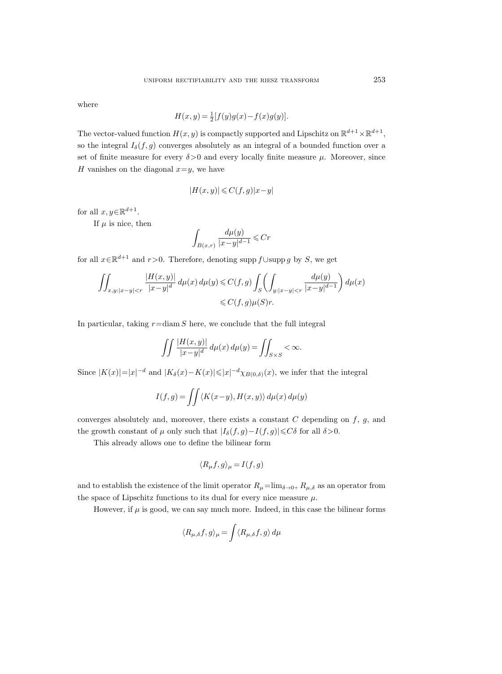where

$$
H(x, y) = \frac{1}{2}[f(y)g(x) - f(x)g(y)].
$$

The vector-valued function  $H(x, y)$  is compactly supported and Lipschitz on  $\mathbb{R}^{d+1} \times \mathbb{R}^{d+1}$ , so the integral  $I_{\delta}(f, g)$  converges absolutely as an integral of a bounded function over a set of finite measure for every  $\delta > 0$  and every locally finite measure  $\mu$ . Moreover, since H vanishes on the diagonal  $x=y$ , we have

$$
|H(x,y)| \leqslant C(f,g)|x-y|
$$

for all  $x, y \in \mathbb{R}^{d+1}$ .

If  $\mu$  is nice, then

$$
\int_{B(x,r)} \frac{d\mu(y)}{|x-y|^{d-1}} \leqslant Cr
$$

for all  $x \in \mathbb{R}^{d+1}$  and  $r > 0$ . Therefore, denoting supp  $f \cup \text{supp } g$  by S, we get

$$
\iint_{x,y:|x-y|
$$

In particular, taking  $r = \text{diam } S$  here, we conclude that the full integral

$$
\iint \frac{|H(x,y)|}{|x-y|^d} d\mu(x) d\mu(y) = \iint_{S \times S} <\infty.
$$

Since  $|K(x)|=|x|^{-d}$  and  $|K_{\delta}(x)-K(x)| \leq |x|^{-d} \chi_{B(0,\delta)}(x)$ , we infer that the integral

$$
I(f,g) = \iint \langle K(x-y), H(x,y) \rangle d\mu(x) d\mu(y)
$$

converges absolutely and, moreover, there exists a constant  $C$  depending on  $f, g$ , and the growth constant of  $\mu$  only such that  $|I_{\delta}(f, g)-I(f, g)|{\leq}C\delta$  for all  $\delta{>}0$ .

This already allows one to define the bilinear form

$$
\langle R_{\mu}f, g \rangle_{\mu} = I(f, g)
$$

and to establish the existence of the limit operator  $R_\mu = \lim_{\delta \to 0+} R_{\mu,\delta}$  as an operator from the space of Lipschitz functions to its dual for every nice measure  $\mu$ .

However, if  $\mu$  is good, we can say much more. Indeed, in this case the bilinear forms

$$
\langle R_{\mu,\delta}f,g\rangle_{\mu} = \int \langle R_{\mu,\delta}f,g\rangle \,d\mu
$$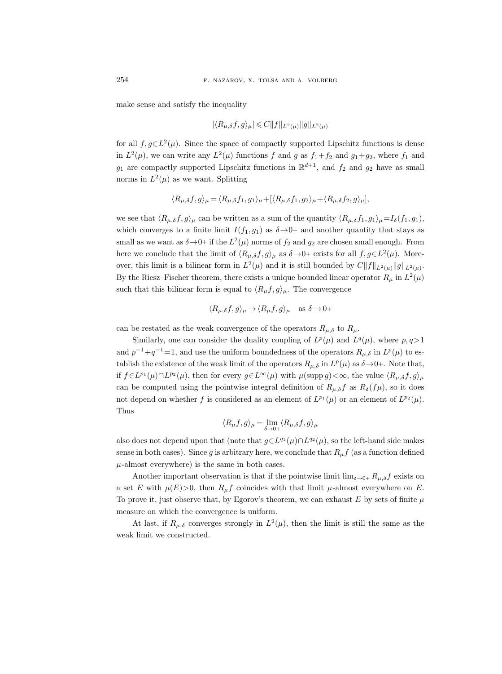make sense and satisfy the inequality

$$
|\langle R_{\mu,\delta}f,g\rangle_\mu|\leqslant C\|f\|_{L^2(\mu)}\|g\|_{L^2(\mu)}
$$

for all  $f, g \in L^2(\mu)$ . Since the space of compactly supported Lipschitz functions is dense in  $L^2(\mu)$ , we can write any  $L^2(\mu)$  functions f and g as  $f_1+f_2$  and  $g_1+g_2$ , where  $f_1$  and  $g_1$  are compactly supported Lipschitz functions in  $\mathbb{R}^{d+1}$ , and  $f_2$  and  $g_2$  have as small norms in  $L^2(\mu)$  as we want. Splitting

$$
\langle R_{\mu,\delta}f,g\rangle_{\mu} = \langle R_{\mu,\delta}f_1,g_1\rangle_{\mu} + [\langle R_{\mu,\delta}f_1,g_2\rangle_{\mu} + \langle R_{\mu,\delta}f_2,g\rangle_{\mu}],
$$

we see that  $\langle R_{\mu,\delta}f, g\rangle_{\mu}$  can be written as a sum of the quantity  $\langle R_{\mu,\delta}f_1, g_1\rangle_{\mu}=I_{\delta}(f_1, g_1),$ which converges to a finite limit  $I(f_1, g_1)$  as  $\delta \rightarrow 0+$  and another quantity that stays as small as we want as  $\delta \rightarrow 0+$  if the  $L^2(\mu)$  norms of  $f_2$  and  $g_2$  are chosen small enough. From here we conclude that the limit of  $\langle R_{\mu,\delta}f, g \rangle_{\mu}$  as  $\delta \to 0+$  exists for all  $f, g \in L^2(\mu)$ . Moreover, this limit is a bilinear form in  $L^2(\mu)$  and it is still bounded by  $C||f||_{L^2(\mu)}||g||_{L^2(\mu)}$ . By the Riesz–Fischer theorem, there exists a unique bounded linear operator  $R_{\mu}$  in  $L^2(\mu)$ such that this bilinear form is equal to  $\langle R_\mu f, g \rangle_\mu$ . The convergence

$$
\langle R_{\mu,\delta}f, g \rangle_{\mu} \to \langle R_{\mu}f, g \rangle_{\mu} \quad \text{as } \delta \to 0+
$$

can be restated as the weak convergence of the operators  $R_{\mu,\delta}$  to  $R_{\mu}$ .

Similarly, one can consider the duality coupling of  $L^p(\mu)$  and  $L^q(\mu)$ , where  $p, q>1$ and  $p^{-1}+q^{-1}=1$ , and use the uniform boundedness of the operators  $R_{\mu,\delta}$  in  $L^p(\mu)$  to establish the existence of the weak limit of the operators  $R_{\mu,\delta}$  in  $L^p(\mu)$  as  $\delta \rightarrow 0+$ . Note that, if  $f \in L^{p_1}(\mu) \cap L^{p_2}(\mu)$ , then for every  $g \in L^{\infty}(\mu)$  with  $\mu(\text{supp } g) < \infty$ , the value  $\langle R_{\mu,\delta}f, g \rangle_{\mu}$ can be computed using the pointwise integral definition of  $R_{\mu,\delta}f$  as  $R_{\delta}(f\mu)$ , so it does not depend on whether f is considered as an element of  $L^{p_1}(\mu)$  or an element of  $L^{p_2}(\mu)$ . Thus

$$
\langle R_{\mu}f, g \rangle_{\mu} = \lim_{\delta \to 0+} \langle R_{\mu,\delta}f, g \rangle_{\mu}
$$

also does not depend upon that (note that  $g \in L^{q_1}(\mu) \cap L^{q_2}(\mu)$ , so the left-hand side makes sense in both cases). Since g is arbitrary here, we conclude that  $R_{\mu}f$  (as a function defined  $\mu$ -almost everywhere) is the same in both cases.

Another important observation is that if the pointwise limit  $\lim_{\delta \to 0+} R_{\mu,\delta} f$  exists on a set E with  $\mu(E) > 0$ , then  $R_{\mu}f$  coincides with that limit  $\mu$ -almost everywhere on E. To prove it, just observe that, by Egorov's theorem, we can exhaust  $E$  by sets of finite  $\mu$ measure on which the convergence is uniform.

At last, if  $R_{\mu,\delta}$  converges strongly in  $L^2(\mu)$ , then the limit is still the same as the weak limit we constructed.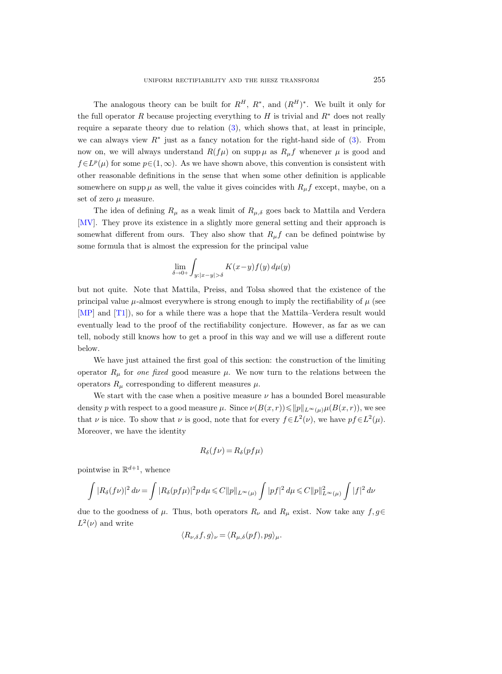The analogous theory can be built for  $R^H$ ,  $R^*$ , and  $(R^H)^*$ . We built it only for the full operator R because projecting everything to H is trivial and  $R^*$  does not really require a separate theory due to relation [\(3\)](#page-8-0), which shows that, at least in principle, we can always view  $R^*$  just as a fancy notation for the right-hand side of  $(3)$ . From now on, we will always understand  $R(f\mu)$  on supp  $\mu$  as  $R_{\mu}f$  whenever  $\mu$  is good and  $f\in L^p(\mu)$  for some  $p\in (1,\infty)$ . As we have shown above, this convention is consistent with other reasonable definitions in the sense that when some other definition is applicable somewhere on supp  $\mu$  as well, the value it gives coincides with  $R_{\mu}f$  except, maybe, on a set of zero  $\mu$  measure.

The idea of defining  $R_{\mu}$  as a weak limit of  $R_{\mu,\delta}$  goes back to Mattila and Verdera [\[MV\]](#page-84-11). They prove its existence in a slightly more general setting and their approach is somewhat different from ours. They also show that  $R_{\mu}f$  can be defined pointwise by some formula that is almost the expression for the principal value

$$
\lim_{\delta \to 0+} \int_{y:|x-y| > \delta} K(x-y) f(y) d\mu(y)
$$

but not quite. Note that Mattila, Preiss, and Tolsa showed that the existence of the principal value  $\mu$ -almost everywhere is strong enough to imply the rectifiability of  $\mu$  (see [\[MP\]](#page-84-12) and [\[T1\]](#page-84-3)), so for a while there was a hope that the Mattila–Verdera result would eventually lead to the proof of the rectifiability conjecture. However, as far as we can tell, nobody still knows how to get a proof in this way and we will use a different route below.

We have just attained the first goal of this section: the construction of the limiting operator  $R_{\mu}$  for one fixed good measure  $\mu$ . We now turn to the relations between the operators  $R_{\mu}$  corresponding to different measures  $\mu$ .

We start with the case when a positive measure  $\nu$  has a bounded Borel measurable density p with respect to a good measure  $\mu$ . Since  $\nu(B(x,r)) \le ||p||_{L^{\infty}(\mu)} \mu(B(x,r))$ , we see that  $\nu$  is nice. To show that  $\nu$  is good, note that for every  $f \in L^2(\nu)$ , we have  $pf \in L^2(\mu)$ . Moreover, we have the identity

$$
R_{\delta}(f\nu) = R_{\delta}(pf\mu)
$$

pointwise in  $\mathbb{R}^{d+1}$ , whence

$$
\int |R_{\delta}(f\nu)|^2 \, d\nu = \int |R_{\delta}(pf\mu)|^2 p \, d\mu \leq C ||p||_{L^{\infty}(\mu)} \int |pf|^2 \, d\mu \leq C ||p||_{L^{\infty}(\mu)}^2 \int |f|^2 \, d\nu
$$

due to the goodness of  $\mu$ . Thus, both operators  $R_{\nu}$  and  $R_{\mu}$  exist. Now take any  $f, g \in$  $L^2(\nu)$  and write

$$
\langle R_{\nu,\delta}f, g \rangle_{\nu} = \langle R_{\mu,\delta}(pf), pg \rangle_{\mu}.
$$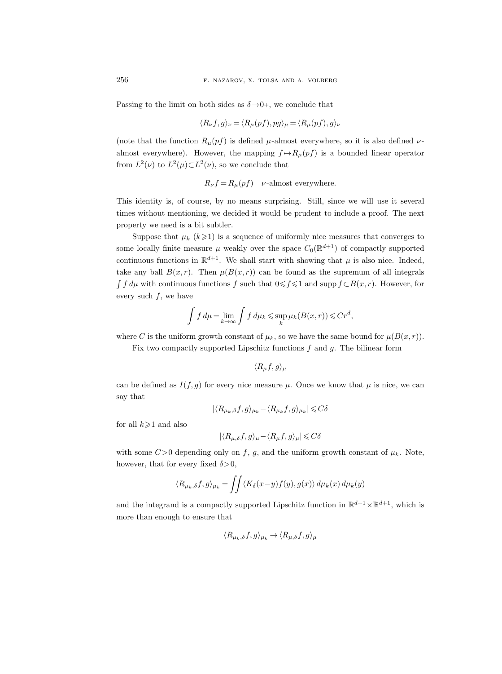Passing to the limit on both sides as  $\delta \rightarrow 0^+$ , we conclude that

$$
\langle R_{\nu}f, g \rangle_{\nu} = \langle R_{\mu}(pf), pg \rangle_{\mu} = \langle R_{\mu}(pf), g \rangle_{\nu}
$$

(note that the function  $R_{\mu}(pf)$  is defined  $\mu$ -almost everywhere, so it is also defined  $\nu$ almost everywhere). However, the mapping  $f \mapsto R_\mu(pf)$  is a bounded linear operator from  $L^2(\nu)$  to  $L^2(\mu) \subset L^2(\nu)$ , so we conclude that

$$
R_{\nu}f = R_{\mu}(pf) \quad \nu\text{-almost everywhere.}
$$

This identity is, of course, by no means surprising. Still, since we will use it several times without mentioning, we decided it would be prudent to include a proof. The next property we need is a bit subtler.

Suppose that  $\mu_k$   $(k \geq 1)$  is a sequence of uniformly nice measures that converges to some locally finite measure  $\mu$  weakly over the space  $C_0(\mathbb{R}^{d+1})$  of compactly supported continuous functions in  $\mathbb{R}^{d+1}$ . We shall start with showing that  $\mu$  is also nice. Indeed, take any ball  $B(x, r)$ . Then  $\mu(B(x, r))$  can be found as the supremum of all integrals  $\int f d\mu$  with continuous functions f such that  $0 \leq f \leq 1$  and supp  $f \subset B(x, r)$ . However, for every such  $f$ , we have

$$
\int f d\mu = \lim_{k \to \infty} \int f d\mu_k \leq \sup_k \mu_k(B(x, r)) \leq C r^d,
$$

where C is the uniform growth constant of  $\mu_k$ , so we have the same bound for  $\mu(B(x, r))$ .

Fix two compactly supported Lipschitz functions  $f$  and  $g$ . The bilinear form

$$
\langle R_\mu f, g \rangle_\mu
$$

can be defined as  $I(f,g)$  for every nice measure  $\mu$ . Once we know that  $\mu$  is nice, we can say that

$$
|\langle R_{\mu_k,\delta}f,g\rangle_{\mu_k}-\langle R_{\mu_k}f,g\rangle_{\mu_k}|\leqslant C\delta
$$

for all  $k\geqslant 1$  and also

$$
|\langle R_{\mu,\delta}f,g\rangle_\mu-\langle R_\mu f,g\rangle_\mu|\leqslant C\delta
$$

with some  $C>0$  depending only on f, g, and the uniform growth constant of  $\mu_k$ . Note, however, that for every fixed  $\delta > 0$ ,

$$
\langle R_{\mu_k,\delta}f,g\rangle_{\mu_k} = \iint \langle K_{\delta}(x-y)f(y),g(x)\rangle d\mu_k(x) d\mu_k(y)
$$

and the integrand is a compactly supported Lipschitz function in  $\mathbb{R}^{d+1}\times\mathbb{R}^{d+1}$ , which is more than enough to ensure that

$$
\langle R_{\mu_k,\delta}f,g\rangle_{\mu_k}\to \langle R_{\mu,\delta}f,g\rangle_{\mu}
$$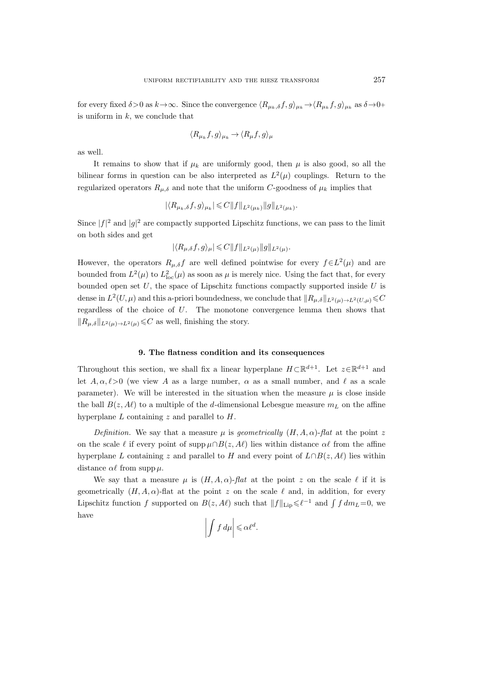for every fixed  $\delta > 0$  as  $k \to \infty$ . Since the convergence  $\langle R_{\mu_k,\delta}f,g \rangle_{\mu_k} \to \langle R_{\mu_k}f,g \rangle_{\mu_k}$  as  $\delta \to 0+$ is uniform in  $k$ , we conclude that

$$
\langle R_{\mu_k}f, g \rangle_{\mu_k} \to \langle R_{\mu}f, g \rangle_{\mu}
$$

as well.

It remains to show that if  $\mu_k$  are uniformly good, then  $\mu$  is also good, so all the bilinear forms in question can be also interpreted as  $L^2(\mu)$  couplings. Return to the regularized operators  $R_{\mu,\delta}$  and note that the uniform C-goodness of  $\mu_k$  implies that

$$
|\langle R_{\mu_k,\delta}f,g\rangle_{\mu_k}|\leqslant C\|f\|_{L^2(\mu_k)}\|g\|_{L^2(\mu_k)}
$$

.

Since  $|f|^2$  and  $|g|^2$  are compactly supported Lipschitz functions, we can pass to the limit on both sides and get

$$
|\langle R_{\mu,\delta}f,g\rangle_{\mu}|\leqslant C||f||_{L^{2}(\mu)}||g||_{L^{2}(\mu)}.
$$

However, the operators  $R_{\mu,\delta}f$  are well defined pointwise for every  $f\in L^2(\mu)$  and are bounded from  $L^2(\mu)$  to  $L^2_{loc}(\mu)$  as soon as  $\mu$  is merely nice. Using the fact that, for every bounded open set  $U$ , the space of Lipschitz functions compactly supported inside  $U$  is dense in  $L^2(U,\mu)$  and this a-priori boundedness, we conclude that  $||R_{\mu,\delta}||_{L^2(\mu)\to L^2(U,\mu)} \leq C$ regardless of the choice of U. The monotone convergence lemma then shows that  $||R_{\mu,\delta}||_{L^2(\mu)\to L^2(\mu)} \leqslant C$  as well, finishing the story.

### 9. The flatness condition and its consequences

<span id="page-20-0"></span>Throughout this section, we shall fix a linear hyperplane  $H\subset \mathbb{R}^{d+1}$ . Let  $z\in \mathbb{R}^{d+1}$  and let  $A, \alpha, \ell > 0$  (we view A as a large number,  $\alpha$  as a small number, and  $\ell$  as a scale parameter). We will be interested in the situation when the measure  $\mu$  is close inside the ball  $B(z, A\ell)$  to a multiple of the d-dimensional Lebesgue measure  $m<sub>L</sub>$  on the affine hyperplane  $L$  containing  $z$  and parallel to  $H$ .

Definition. We say that a measure  $\mu$  is geometrically  $(H, A, \alpha)$ -flat at the point z on the scale  $\ell$  if every point of supp  $\mu \cap B(z, A\ell)$  lies within distance  $\alpha\ell$  from the affine hyperplane L containing z and parallel to H and every point of  $L \cap B(z, A\ell)$  lies within distance  $\alpha\ell$  from supp  $\mu$ .

We say that a measure  $\mu$  is  $(H, A, \alpha)$ -flat at the point z on the scale  $\ell$  if it is geometrically  $(H, A, \alpha)$ -flat at the point z on the scale  $\ell$  and, in addition, for every Lipschitz function f supported on  $B(z, A\ell)$  such that  $||f||_{\text{Lip}} \leq \ell^{-1}$  and  $\int f dm_L = 0$ , we have

$$
\left| \int f \, d\mu \right| \leqslant \alpha \ell^d.
$$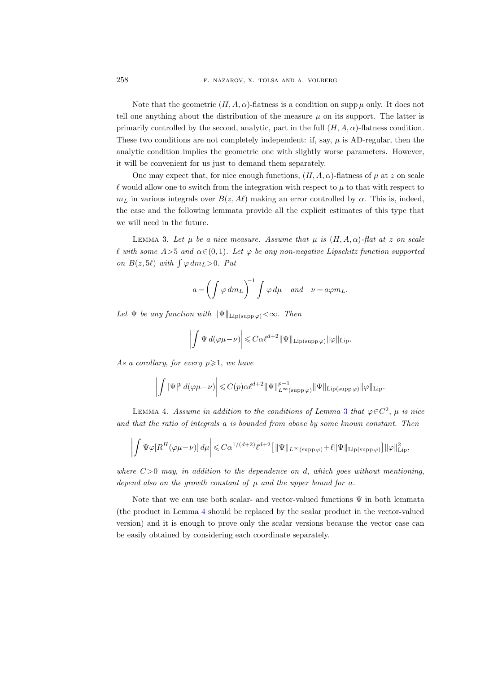Note that the geometric  $(H, A, \alpha)$ -flatness is a condition on supp  $\mu$  only. It does not tell one anything about the distribution of the measure  $\mu$  on its support. The latter is primarily controlled by the second, analytic, part in the full  $(H, A, \alpha)$ -flatness condition. These two conditions are not completely independent: if, say,  $\mu$  is AD-regular, then the analytic condition implies the geometric one with slightly worse parameters. However, it will be convenient for us just to demand them separately.

One may expect that, for nice enough functions,  $(H, A, \alpha)$ -flatness of  $\mu$  at z on scale  $\ell$  would allow one to switch from the integration with respect to  $\mu$  to that with respect to  $m<sub>L</sub>$  in various integrals over  $B(z, A\ell)$  making an error controlled by  $\alpha$ . This is, indeed, the case and the following lemmata provide all the explicit estimates of this type that we will need in the future.

<span id="page-21-0"></span>LEMMA 3. Let  $\mu$  be a nice measure. Assume that  $\mu$  is  $(H, A, \alpha)$ -flat at z on scale  $\ell$  with some A>5 and  $\alpha \in (0, 1)$ . Let  $\varphi$  be any non-negative Lipschitz function supported on  $B(z, 5\ell)$  with  $\int \varphi dm_L > 0$ . Put

$$
a = \left(\int \varphi \, dm_L\right)^{-1} \int \varphi \, d\mu \quad and \quad \nu = a \varphi m_L.
$$

Let  $\Psi$  be any function with  $\|\Psi\|_{\text{Lip(supp }\varphi)} < \infty$ . Then

$$
\left| \int \Psi \, d(\varphi \mu - \nu) \right| \leqslant C \alpha \ell^{d+2} \|\Psi\|_{\text{Lip(supp }\varphi)} \|\varphi\|_{\text{Lip}}.
$$

As a corollary, for every  $p \geqslant 1$ , we have

$$
\left| \int |\Psi|^p \, d(\varphi \mu - \nu) \right| \leqslant C(p) \alpha \ell^{d+2} \|\Psi\|_{L^{\infty}(\text{supp}\,\varphi)}^{p-1} \|\Psi\|_{\text{Lip}(\text{supp}\,\varphi)} \|\varphi\|_{\text{Lip}}.
$$

<span id="page-21-1"></span>LEMMA 4. Assume in addition to the conditions of Lemma [3](#page-21-0) that  $\varphi \in C^2$ ,  $\mu$  is nice and that the ratio of integrals a is bounded from above by some known constant. Then

$$
\left|\int \Psi \varphi[R^H(\varphi \mu - \nu)] d\mu\right| \leqslant C \alpha^{1/(d+2)} \ell^{d+2} \big[ \|\Psi\|_{L^\infty(\mathrm{supp}\,\varphi)} + \ell \|\Psi\|_{\mathrm{Lip}(\mathrm{supp}\,\varphi)}\big] \|\varphi\|_{\mathrm{Lip}}^2,
$$

where  $C>0$  may, in addition to the dependence on d, which goes without mentioning, depend also on the growth constant of  $\mu$  and the upper bound for a.

Note that we can use both scalar- and vector-valued functions  $\Psi$  in both lemmata (the product in Lemma [4](#page-21-1) should be replaced by the scalar product in the vector-valued version) and it is enough to prove only the scalar versions because the vector case can be easily obtained by considering each coordinate separately.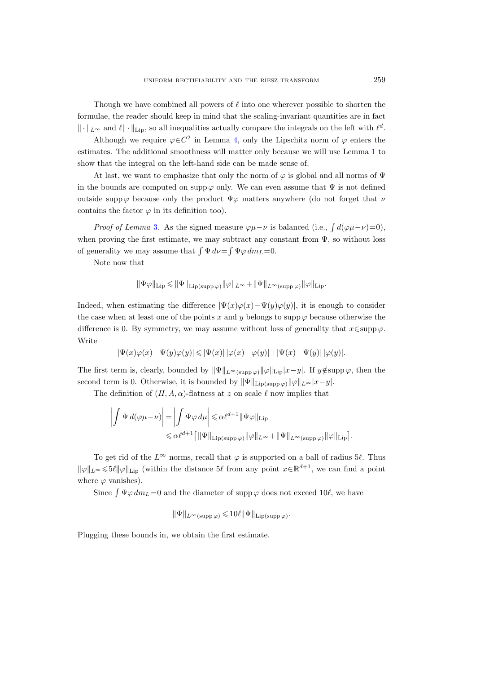Though we have combined all powers of  $\ell$  into one wherever possible to shorten the formulae, the reader should keep in mind that the scaling-invariant quantities are in fact  $\|\cdot\|_{L^{\infty}}$  and  $\ell\|\cdot\|_{\text{Lip}}$ , so all inequalities actually compare the integrals on the left with  $\ell^d$ .

Although we require  $\varphi \in C^2$  in Lemma [4,](#page-21-1) only the Lipschitz norm of  $\varphi$  enters the estimates. The additional smoothness will matter only because we will use Lemma [1](#page-10-0) to show that the integral on the left-hand side can be made sense of.

At last, we want to emphasize that only the norm of  $\varphi$  is global and all norms of  $\Psi$ in the bounds are computed on supp  $\varphi$  only. We can even assume that  $\Psi$  is not defined outside supp  $\varphi$  because only the product  $\Psi \varphi$  matters anywhere (do not forget that  $\nu$ contains the factor  $\varphi$  in its definition too).

*Proof of Lemma* [3](#page-21-0). As the signed measure  $\varphi\mu-\nu$  is balanced (i.e.,  $\int d(\varphi\mu-\nu)=0$ ), when proving the first estimate, we may subtract any constant from  $\Psi$ , so without loss of generality we may assume that  $\int \Psi d\nu = \int \Psi \varphi dm_L = 0$ .

Note now that

$$
\|\Psi \varphi\|_{\operatorname{Lip}} \leqslant \|\Psi\|_{\operatorname{Lip}(\operatorname{supp} \varphi)} \|\varphi\|_{L^\infty} + \|\Psi\|_{L^\infty(\operatorname{supp} \varphi)} \|\varphi\|_{\operatorname{Lip}}.
$$

Indeed, when estimating the difference  $|\Psi(x)\varphi(x)-\Psi(y)\varphi(y)|$ , it is enough to consider the case when at least one of the points x and y belongs to supp  $\varphi$  because otherwise the difference is 0. By symmetry, we may assume without loss of generality that  $x \in \text{supp }\varphi$ . Write

$$
|\Psi(x)\varphi(x)-\Psi(y)\varphi(y)|\leqslant \left|\Psi(x)\right||\varphi(x)-\varphi(y)|+|\Psi(x)-\Psi(y)|\,|\varphi(y)|.
$$

The first term is, clearly, bounded by  $\|\Psi\|_{L^{\infty}(\text{supp }\varphi)}\|\varphi\|_{\text{Lip}}|x-y|$ . If  $y \notin \text{supp }\varphi$ , then the second term is 0. Otherwise, it is bounded by  $\|\Psi\|_{\text{Lip(supp }\varphi)}\|\varphi\|_{L^{\infty}}|x-y|$ .

The definition of  $(H, A, \alpha)$ -flatness at z on scale  $\ell$  now implies that

$$
\left| \int \Psi \, d(\varphi \mu - \nu) \right| = \left| \int \Psi \varphi \, d\mu \right| \leq \alpha \ell^{d+1} \|\Psi \varphi\|_{\mathrm{Lip}} \leq \alpha \ell^{d+1} \left[ \|\Psi\|_{\mathrm{Lip}(\mathrm{supp}\,\varphi)} \|\varphi\|_{L^{\infty}} + \|\Psi\|_{L^{\infty}(\mathrm{supp}\,\varphi)} \|\varphi\|_{\mathrm{Lip}} \right].
$$

To get rid of the  $L^{\infty}$  norms, recall that  $\varphi$  is supported on a ball of radius 5 $\ell$ . Thus  $\|\varphi\|_{L^{\infty}} \leqslant 5\ell \|\varphi\|_{\text{Lip}}$  (within the distance 5 $\ell$  from any point  $x \in \mathbb{R}^{d+1}$ , we can find a point where  $\varphi$  vanishes).

Since  $\int \Psi \varphi \, dm_L = 0$  and the diameter of supp  $\varphi$  does not exceed 10 $\ell$ , we have

$$
\|\Psi\|_{L^{\infty}(\text{supp }\varphi)} \leqslant 10\ell \|\Psi\|_{\text{Lip}(\text{supp }\varphi)}.
$$

Plugging these bounds in, we obtain the first estimate.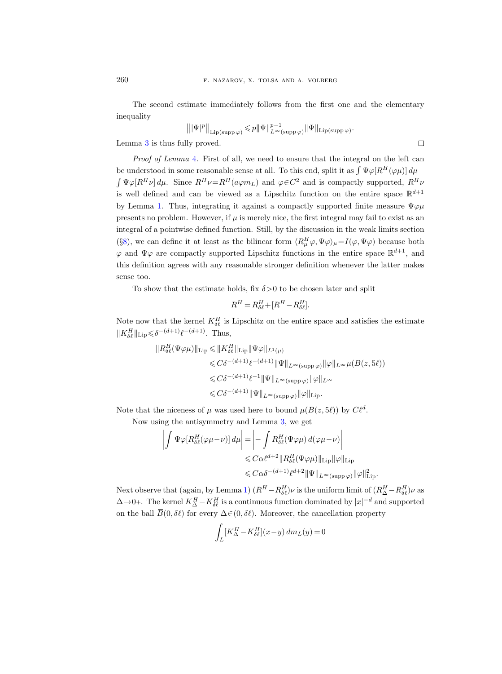The second estimate immediately follows from the first one and the elementary inequality

$$
\left\||\Psi|^p\right\|_{\text{Lip}(\text{supp}\,\varphi)} \leqslant p \|\Psi\|_{L^\infty(\text{supp}\,\varphi)}^{p-1}\|\Psi\|_{\text{Lip}(\text{supp}\,\varphi)}.
$$

Lemma [3](#page-21-0) is thus fully proved.

Proof of Lemma [4](#page-21-1). First of all, we need to ensure that the integral on the left can be understood in some reasonable sense at all. To this end, split it as  $\int \Psi \varphi[R^H(\varphi \mu)] d\mu \int \Psi \varphi[R^H \nu] d\mu$ . Since  $R^H \nu = R^H(a\varphi m_L)$  and  $\varphi \in C^2$  and is compactly supported,  $R^H \nu$ is well defined and can be viewed as a Lipschitz function on the entire space  $\mathbb{R}^{d+1}$ by Lemma [1.](#page-10-0) Thus, integrating it against a compactly supported finite measure  $\Psi \varphi \mu$ presents no problem. However, if  $\mu$  is merely nice, the first integral may fail to exist as an integral of a pointwise defined function. Still, by the discussion in the weak limits section (§[8\)](#page-15-0), we can define it at least as the bilinear form  $\langle R^H_\mu \varphi, \Psi \varphi \rangle_\mu = I(\varphi, \Psi \varphi)$  because both  $\varphi$  and  $\Psi\varphi$  are compactly supported Lipschitz functions in the entire space  $\mathbb{R}^{d+1}$ , and this definition agrees with any reasonable stronger definition whenever the latter makes sense too.

To show that the estimate holds, fix  $\delta > 0$  to be chosen later and split

$$
R^H=R^H_{\delta \ell}+[R^H-R^H_{\delta \ell}].
$$

Note now that the kernel  $K_{\delta\ell}^H$  is Lipschitz on the entire space and satisfies the estimate  $||K_{\delta\ell}^H||_{\text{Lip}} \leq \delta^{-(d+1)} \ell^{-(d+1)}$ . Thus,

$$
\|R_{\delta\ell}^H(\Psi\varphi\mu)\|_{\text{Lip}} \le \|K_{\delta\ell}^H\|_{\text{Lip}} \|\Psi\varphi\|_{L^1(\mu)}
$$
  
\n
$$
\le C\delta^{-(d+1)}\ell^{-(d+1)} \|\Psi\|_{L^\infty(\text{supp}\,\varphi)} \|\varphi\|_{L^\infty} \mu(B(z,5\ell))
$$
  
\n
$$
\le C\delta^{-(d+1)}\ell^{-1} \|\Psi\|_{L^\infty(\text{supp}\,\varphi)} \|\varphi\|_{L^\infty}
$$
  
\n
$$
\le C\delta^{-(d+1)} \|\Psi\|_{L^\infty(\text{supp}\,\varphi)} \|\varphi\|_{\text{Lip}}.
$$

Note that the niceness of  $\mu$  was used here to bound  $\mu(B(z, 5\ell))$  by  $C\ell^d$ .

Now using the antisymmetry and Lemma [3,](#page-21-0) we get

$$
\left| \int \Psi \varphi [R_{\delta \ell}^H (\varphi \mu - \nu)] d\mu \right| = \left| - \int R_{\delta \ell}^H (\Psi \varphi \mu) d(\varphi \mu - \nu) \right|
$$
  

$$
\leq C \alpha \ell^{d+2} \| R_{\delta \ell}^H (\Psi \varphi \mu) \|_{\text{Lip}} \| \varphi \|_{\text{Lip}}
$$
  

$$
\leq C \alpha \delta^{-(d+1)} \ell^{d+2} \| \Psi \|_{L^{\infty}(\text{supp}\,\varphi)} \| \varphi \|_{\text{Lip}}^2.
$$

Next observe that (again, by Lemma [1\)](#page-10-0)  $(R^H - R^H_{\delta\ell})\nu$  is the uniform limit of  $(R^H_\Delta - R^H_{\delta\ell})\nu$  as  $\Delta \rightarrow 0+$ . The kernel  $K_{\Delta}^H - K_{\delta \ell}^H$  is a continuous function dominated by  $|x|^{-d}$  and supported on the ball  $\overline{B}(0, \delta\ell)$  for every  $\Delta \in (0, \delta\ell)$ . Moreover, the cancellation property

$$
\int_L [K^H_{\Delta} - K^H_{\delta \ell}](x-y) \, dm_L(y) = 0
$$

 $\Box$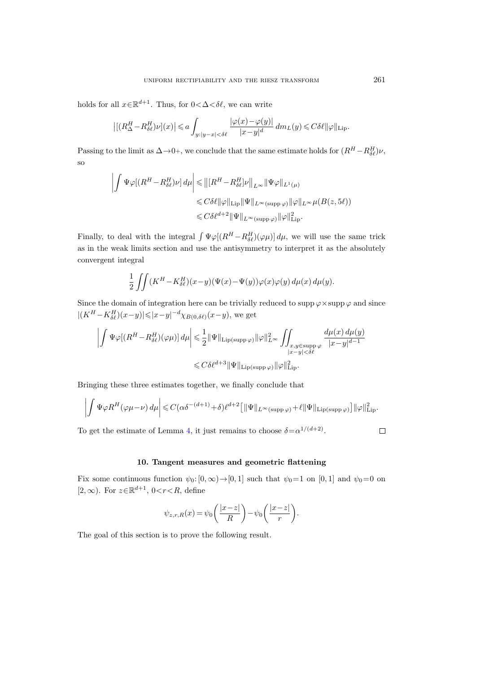holds for all  $x \in \mathbb{R}^{d+1}$ . Thus, for  $0 < \Delta < \delta \ell$ , we can write

$$
\left| \left[ (R_{\Delta}^H - R_{\delta \ell}^H) \nu \right] (x) \right| \leq a \int_{y:|y-x| < \delta \ell} \frac{\left| \varphi(x) - \varphi(y) \right|}{|x-y|^d} \, dm_L(y) \leqslant C \delta \ell ||\varphi||_{\text{Lip}}.
$$

Passing to the limit as  $\Delta \rightarrow 0+$ , we conclude that the same estimate holds for  $(R^H - R^H_{\delta\ell})\nu$ , so

$$
\left| \int \Psi \varphi \big[ (R^H - R^H_{\delta \ell}) \nu \big] \, d\mu \right| \leq \left\| \left[ R^H - R^H_{\delta \ell} \right] \nu \right\|_{L^{\infty}} \left\| \Psi \varphi \right\|_{L^1(\mu)} \n\leq C \delta \ell \|\varphi\|_{\mathrm{Lip}} \|\Psi\|_{L^{\infty}(\mathrm{supp}\,\varphi)} \|\varphi\|_{L^{\infty}} \mu(B(z,5\ell)) \n\leq C \delta \ell^{d+2} \|\Psi\|_{L^{\infty}(\mathrm{supp}\,\varphi)} \|\varphi\|_{\mathrm{Lip}}^2.
$$

Finally, to deal with the integral  $\int \Psi \varphi[(R^H - R^H_{\delta\ell})(\varphi\mu)] d\mu$ , we will use the same trick as in the weak limits section and use the antisymmetry to interpret it as the absolutely convergent integral

$$
\frac{1}{2} \iint (K^H - K_{\delta\ell}^H)(x - y) (\Psi(x) - \Psi(y)) \varphi(x) \varphi(y) d\mu(x) d\mu(y).
$$

Since the domain of integration here can be trivially reduced to supp  $\varphi \times \text{supp } \varphi$  and since  $|(K^H - K_{\delta\ell}^H)(x-y)|{\leqslant} |x-y|^{-d}\chi_{B(0,\delta\ell)}(x-y),$  we get

$$
\left|\int \Psi \varphi[(R^H-R^H_{\delta \ell})(\varphi \mu)] d\mu\right| \leqslant \frac{1}{2} \|\Psi\|_{\text{Lip(supp}\, \varphi)} \|\varphi\|_{L^\infty}^2 \int \!\!\!\!\!\int_{\substack{x,y\in \text{supp}\, \varphi \\ |x-y| < \delta \ell}} \frac{d\mu(x)\, d\mu(y)}{|x-y|^{d-1}} \\ \leqslant C \delta \ell^{d+3} \|\Psi\|_{\text{Lip(supp}\, \varphi)} \|\varphi\|_{\text{Lip}}^2.
$$

Bringing these three estimates together, we finally conclude that

$$
\left| \int \Psi \varphi R^{H}(\varphi \mu - \nu) d\mu \right| \leq C(\alpha \delta^{-(d+1)} + \delta) \ell^{d+2} \left[ \|\Psi\|_{L^{\infty}(\text{supp}\,\varphi)} + \ell \|\Psi\|_{\text{Lip}(\text{supp}\,\varphi)} \right] \|\varphi\|_{\text{Lip}}^{2}.
$$

To get the estimate of Lemma [4,](#page-21-1) it just remains to choose  $\delta = \alpha^{1/(d+2)}$ .

# 10. Tangent measures and geometric flattening

<span id="page-24-0"></span>Fix some continuous function  $\psi_0: [0, \infty) \to [0, 1]$  such that  $\psi_0 = 1$  on  $[0, 1]$  and  $\psi_0 = 0$  on [2,  $\infty$ ). For  $z \in \mathbb{R}^{d+1}$ ,  $0 < r < R$ , define

$$
\psi_{z,r,R}(x) = \psi_0\bigg(\frac{|x-z|}{R}\bigg) - \psi_0\bigg(\frac{|x-z|}{r}\bigg).
$$

<span id="page-24-1"></span>The goal of this section is to prove the following result.

 $\Box$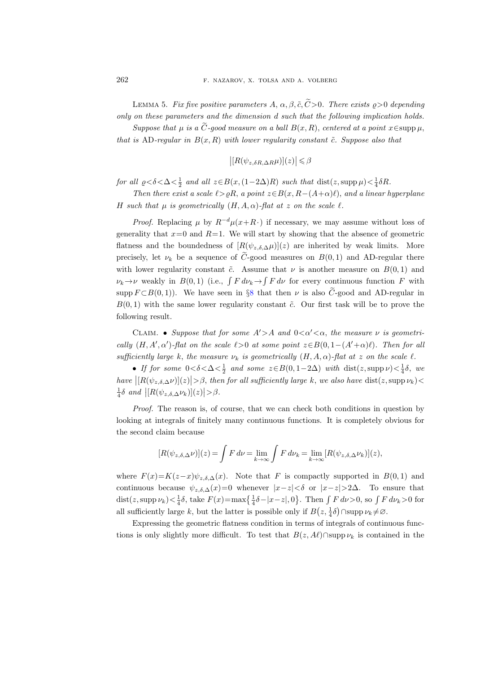LEMMA 5. Fix five positive parameters  $A, \alpha, \beta, \tilde{c}, \tilde{C} > 0$ . There exists  $\rho > 0$  depending only on these parameters and the dimension d such that the following implication holds.

Suppose that  $\mu$  is a  $\tilde{C}$ -good measure on a ball  $B(x, R)$ , centered at a point  $x \in \text{supp }\mu$ , that is AD-regular in  $B(x, R)$  with lower regularity constant  $\tilde{c}$ . Suppose also that

$$
| [R(\psi_{z,\delta R,\Delta R}\mu)](z)| \leq \beta
$$

for all  $\varrho < \delta < \Delta < \frac{1}{2}$  and all  $z \in B(x, (1-2\Delta)R)$  such that  $dist(z, \text{supp }\mu) < \frac{1}{4}\delta R$ .

Then there exist a scale  $\ell > \rho R$ , a point  $z \in B(x, R-(A+\alpha)\ell)$ , and a linear hyperplane H such that  $\mu$  is geometrically  $(H, A, \alpha)$ -flat at z on the scale  $\ell$ .

*Proof.* Replacing  $\mu$  by  $R^{-d}\mu(x+R)$  if necessary, we may assume without loss of generality that  $x=0$  and  $R=1$ . We will start by showing that the absence of geometric flatness and the boundedness of  $[R(\psi_{z,\delta,\Delta}\mu)](z)$  are inherited by weak limits. More precisely, let  $\nu_k$  be a sequence of  $\tilde{C}$ -good measures on  $B(0,1)$  and AD-regular there with lower regularity constant  $\tilde{c}$ . Assume that  $\nu$  is another measure on  $B(0,1)$  and  $\nu_k \to \nu$  weakly in  $B(0,1)$  (i.e.,  $\int F d\nu_k \to \int F d\nu$  for every continuous function F with supp  $F \subset B(0, 1)$ . We have seen in §[8](#page-15-0) that then  $\nu$  is also  $\widetilde{C}$ -good and AD-regular in  $B(0, 1)$  with the same lower regularity constant  $\tilde{c}$ . Our first task will be to prove the following result.

CLAIM. • Suppose that for some  $A' > A$  and  $0 < \alpha' < \alpha$ , the measure  $\nu$  is geometrically  $(H, A', \alpha')$ -flat on the scale  $\ell > 0$  at some point  $z \in B(0, 1-(A'+\alpha)\ell)$ . Then for all sufficiently large k, the measure  $\nu_k$  is geometrically  $(H, A, \alpha)$ -flat at z on the scale  $\ell$ .

• If for some  $0 < \delta < \Delta < \frac{1}{2}$  and some  $z \in B(0, 1-2\Delta)$  with  $dist(z, \text{supp }\nu) < \frac{1}{4}\delta$ , we have  $\left|\left[R(\psi_{z,\delta,\Delta} \nu)\right](z)\right| > \beta$ , then for all sufficiently large k, we also have  $\text{dist}(z, \text{supp } \nu_k) <$  $\frac{1}{4}\delta$  and  $\left| [R(\psi_{z,\delta,\Delta} \nu_k)](z) \right| > \beta$ .

Proof. The reason is, of course, that we can check both conditions in question by looking at integrals of finitely many continuous functions. It is completely obvious for the second claim because

$$
[R(\psi_{z,\delta,\Delta}\nu)](z) = \int F d\nu = \lim_{k \to \infty} \int F d\nu_k = \lim_{k \to \infty} [R(\psi_{z,\delta,\Delta}\nu_k)](z),
$$

where  $F(x)=K(z-x)\psi_{z,\delta,\Delta}(x)$ . Note that F is compactly supported in  $B(0,1)$  and continuous because  $\psi_{z,\delta,\Delta}(x)=0$  whenever  $|x-z|<\delta$  or  $|x-z|>2\Delta$ . To ensure that dist(z, supp  $\nu_k$ )  $\lt \frac{1}{4}\delta$ , take  $F(x) = \max\left\{\frac{1}{4}\delta - |x-z|, 0\right\}$ . Then  $\int F d\nu > 0$ , so  $\int F d\nu_k > 0$  for all sufficiently large k, but the latter is possible only if  $B(z, \frac{1}{4}\delta) \cap \text{supp}\nu_k \neq \emptyset$ .

Expressing the geometric flatness condition in terms of integrals of continuous functions is only slightly more difficult. To test that  $B(z, A\ell)$ ∩supp  $\nu_k$  is contained in the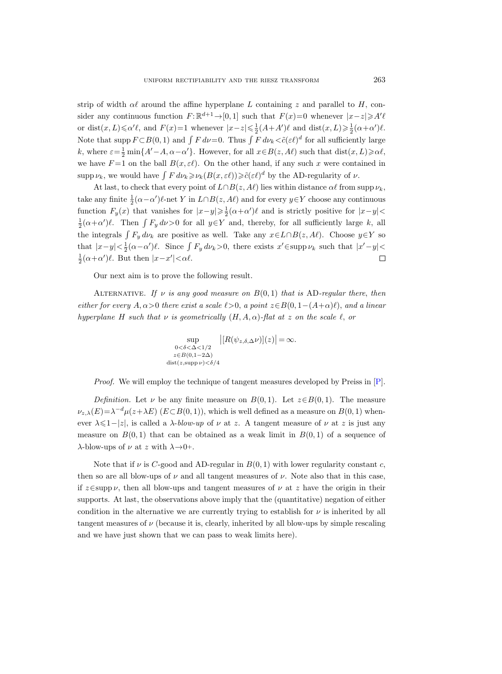strip of width  $\alpha\ell$  around the affine hyperplane L containing z and parallel to H, consider any continuous function  $F: \mathbb{R}^{d+1} \to [0, 1]$  such that  $F(x)=0$  whenever  $|x-z| \geq A' \ell$ or dist $(x, L) \le \alpha' \ell$ , and  $F(x)=1$  whenever  $|x-z| \le \frac{1}{2}(A+A')\ell$  and  $dist(x, L) \ge \frac{1}{2}(\alpha+\alpha')\ell$ . Note that supp  $F \subset B(0,1)$  and  $\int F d\nu = 0$ . Thus  $\int F d\nu_k < \tilde{c}(\varepsilon \ell)^d$  for all sufficiently large k, where  $\varepsilon = \frac{1}{2} \min\{A' - A, \alpha - \alpha'\}$ . However, for all  $x \in B(z, A\ell)$  such that  $dist(x, L) \geq \alpha\ell$ , we have  $F=1$  on the ball  $B(x, \varepsilon\ell)$ . On the other hand, if any such x were contained in supp  $\nu_k$ , we would have  $\int F d\nu_k \geqslant \nu_k(B(x, \varepsilon\ell)) \geqslant \tilde{c}(\varepsilon\ell)^d$  by the AD-regularity of  $\nu$ .

At last, to check that every point of  $L \cap B(z, A\ell)$  lies within distance  $\alpha\ell$  from supp  $\nu_k$ , take any finite  $\frac{1}{2}(\alpha - \alpha')\ell$ -net Y in  $L \cap B(z, A\ell)$  and for every  $y \in Y$  choose any continuous function  $F_y(x)$  that vanishes for  $|x-y| \ge \frac{1}{2}(\alpha + \alpha')\ell$  and is strictly positive for  $|x-y|$  $\frac{1}{2}(\alpha+\alpha')\ell$ . Then  $\int F_y d\nu>0$  for all  $y\in Y$  and, thereby, for all sufficiently large k, all the integrals  $\int F_y d\nu_k$  are positive as well. Take any  $x \in L \cap B(z, A\ell)$ . Choose  $y \in Y$  so that  $|x-y| < \frac{1}{2}(\alpha - \alpha')\ell$ . Since  $\int F_y \, d\nu_k > 0$ , there exists  $x' \in \text{supp } \nu_k$  such that  $|x'-y| <$  $\frac{1}{2}(\alpha+\alpha')\ell$ . But then  $|x-x'|<\alpha\ell$ .  $\Box$ 

Our next aim is to prove the following result.

ALTERNATIVE. If v is any good measure on  $B(0,1)$  that is AD-regular there, then either for every  $A, \alpha > 0$  there exist a scale  $\ell > 0$ , a point  $z \in B(0, 1-(A+\alpha)\ell)$ , and a linear hyperplane H such that  $\nu$  is geometrically  $(H, A, \alpha)$ -flat at z on the scale  $\ell$ , or

$$
\sup_{\substack{0<\delta<\Delta<1/2\\z\in B(0,1-2\Delta)\\ \text{dist}(z,\text{supp }\nu)<\delta/4}}\left|[R(\psi_{z,\delta,\Delta}\nu)](z)\right|=\infty.
$$

Proof. We will employ the technique of tangent measures developed by Preiss in [\[P\]](#page-84-13).

*Definition.* Let  $\nu$  be any finite measure on  $B(0,1)$ . Let  $z \in B(0,1)$ . The measure  $\nu_{z,\lambda}(E) = \lambda^{-d} \mu(z + \lambda E)$  ( $E \subset B(0,1)$ ), which is well defined as a measure on  $B(0,1)$  whenever  $\lambda \leq 1-|z|$ , is called a  $\lambda$ -blow-up of  $\nu$  at z. A tangent measure of  $\nu$  at z is just any measure on  $B(0,1)$  that can be obtained as a weak limit in  $B(0,1)$  of a sequence of λ-blow-ups of  $\nu$  at z with  $\lambda \rightarrow 0+$ .

Note that if  $\nu$  is C-good and AD-regular in  $B(0, 1)$  with lower regularity constant c, then so are all blow-ups of  $\nu$  and all tangent measures of  $\nu$ . Note also that in this case, if  $z \in \text{supp }\nu$ , then all blow-ups and tangent measures of  $\nu$  at z have the origin in their supports. At last, the observations above imply that the (quantitative) negation of either condition in the alternative we are currently trying to establish for  $\nu$  is inherited by all tangent measures of  $\nu$  (because it is, clearly, inherited by all blow-ups by simple rescaling and we have just shown that we can pass to weak limits here).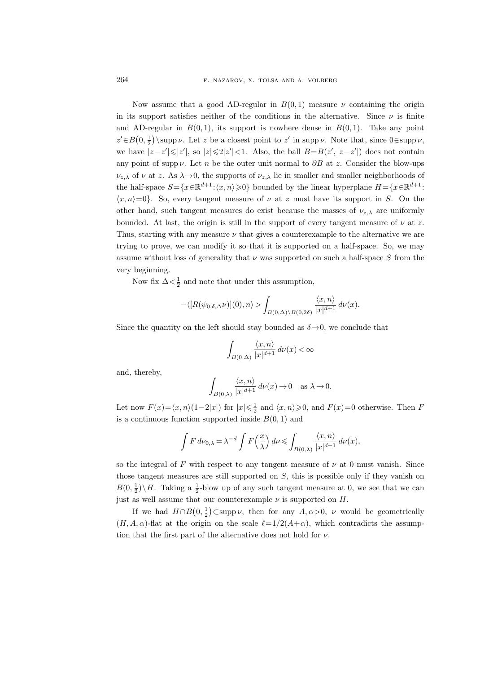Now assume that a good AD-regular in  $B(0,1)$  measure  $\nu$  containing the origin in its support satisfies neither of the conditions in the alternative. Since  $\nu$  is finite and AD-regular in  $B(0,1)$ , its support is nowhere dense in  $B(0,1)$ . Take any point  $z' \in B(0, \frac{1}{2})\$ supp *ν*. Let z be a closest point to z' in supp *ν*. Note that, since  $0 \in \text{supp }\nu$ , we have  $|z-z'|\leqslant |z'|$ , so  $|z|\leqslant 2|z'|<1$ . Also, the ball  $B=B(z',|z-z'|)$  does not contain any point of supp  $\nu$ . Let n be the outer unit normal to  $\partial B$  at z. Consider the blow-ups  $\nu_{z,\lambda}$  of  $\nu$  at z. As  $\lambda \rightarrow 0$ , the supports of  $\nu_{z,\lambda}$  lie in smaller and smaller neighborhoods of the half-space  $S = \{x \in \mathbb{R}^{d+1} : \langle x, n \rangle \geq 0\}$  bounded by the linear hyperplane  $H = \{x \in \mathbb{R}^{d+1} :$  $\langle x, n \rangle = 0$ . So, every tangent measure of  $\nu$  at z must have its support in S. On the other hand, such tangent measures do exist because the masses of  $\nu_{z,\lambda}$  are uniformly bounded. At last, the origin is still in the support of every tangent measure of  $\nu$  at z. Thus, starting with any measure  $\nu$  that gives a counterexample to the alternative we are trying to prove, we can modify it so that it is supported on a half-space. So, we may assume without loss of generality that  $\nu$  was supported on such a half-space S from the very beginning.

Now fix  $\Delta < \frac{1}{2}$  and note that under this assumption,

$$
-\langle [R(\psi_{0,\delta,\Delta}\nu)](0),n\rangle > \int_{B(0,\Delta)\backslash B(0,2\delta)} \frac{\langle x,n\rangle}{|x|^{d+1}} d\nu(x).
$$

Since the quantity on the left should stay bounded as  $\delta \rightarrow 0$ , we conclude that

$$
\int_{B(0,\Delta)} \frac{\langle x, n \rangle}{|x|^{d+1}} \, d\nu(x) < \infty
$$

and, thereby,

$$
\int_{B(0,\lambda)}\frac{\langle x,n\rangle}{|x|^{d+1}}\,d\nu(x)\to 0\quad\text{as }\lambda\to 0.
$$

Let now  $F(x) = \langle x, n \rangle(1-2|x|)$  for  $|x| \leq \frac{1}{2}$  and  $\langle x, n \rangle \geq 0$ , and  $F(x)=0$  otherwise. Then F is a continuous function supported inside  $B(0, 1)$  and

$$
\int F d\nu_{0,\lambda} = \lambda^{-d} \int F\left(\frac{x}{\lambda}\right) d\nu \leqslant \int_{B(0,\lambda)} \frac{\langle x, n \rangle}{|x|^{d+1}} d\nu(x),
$$

so the integral of F with respect to any tangent measure of  $\nu$  at 0 must vanish. Since those tangent measures are still supported on  $S$ , this is possible only if they vanish on  $B(0, \frac{1}{2})\backslash H$ . Taking a  $\frac{1}{2}$ -blow up of any such tangent measure at 0, we see that we can just as well assume that our counterexample  $\nu$  is supported on  $H$ .

If we had  $H \cap B(0, \frac{1}{2}) \subset \text{supp }\nu$ , then for any  $A, \alpha > 0$ ,  $\nu$  would be geometrically  $(H, A, \alpha)$ -flat at the origin on the scale  $\ell=1/2(A+\alpha)$ , which contradicts the assumption that the first part of the alternative does not hold for  $\nu$ .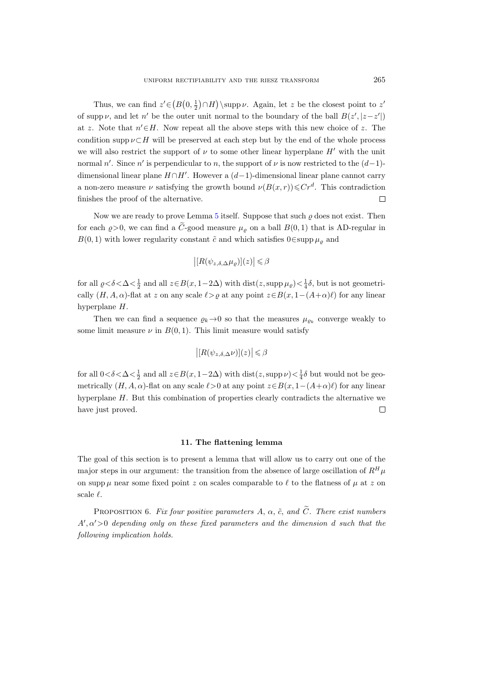Thus, we can find  $z' \in (B(0, \frac{1}{2}) \cap H) \setminus \text{supp }\nu$ . Again, let z be the closest point to z' of supp  $\nu$ , and let n' be the outer unit normal to the boundary of the ball  $B(z', |z-z'|)$ at z. Note that  $n' \in H$ . Now repeat all the above steps with this new choice of z. The condition supp  $\nu \subset H$  will be preserved at each step but by the end of the whole process we will also restrict the support of  $\nu$  to some other linear hyperplane H' with the unit normal n'. Since n' is perpendicular to n, the support of  $\nu$  is now restricted to the  $(d-1)$ dimensional linear plane  $H \cap H'$ . However a  $(d-1)$ -dimensional linear plane cannot carry a non-zero measure  $\nu$  satisfying the growth bound  $\nu(B(x,r)) \leq C r^d$ . This contradiction finishes the proof of the alternative.  $\Box$ 

Now we are ready to prove Lemma [5](#page-24-1) itself. Suppose that such  $\varrho$  does not exist. Then for each  $\rho > 0$ , we can find a C-good measure  $\mu_{\rho}$  on a ball  $B(0, 1)$  that is AD-regular in  $B(0, 1)$  with lower regularity constant  $\tilde{c}$  and which satisfies 0∈supp  $\mu_{\varrho}$  and

$$
\big| [R(\psi_{z,\delta,\Delta} \mu_\varrho)](z) \big| \leqslant \beta
$$

for all  $\varrho < \delta < \Delta < \frac{1}{2}$  and all  $z \in B(x, 1-2\Delta)$  with  $dist(z, \text{supp }\mu_{\varrho}) < \frac{1}{4}\delta$ , but is not geometrically  $(H, A, \alpha)$ -flat at z on any scale  $\ell > \varrho$  at any point  $z \in B(x, 1-(A+\alpha)\ell)$  for any linear hyperplane H.

Then we can find a sequence  $\varrho_k \to 0$  so that the measures  $\mu_{\varrho_k}$  converge weakly to some limit measure  $\nu$  in  $B(0, 1)$ . This limit measure would satisfy

$$
\big| [R(\psi_{z,\delta,\Delta}\nu)](z) \big| \leqslant \beta
$$

for all  $0<\delta<\Delta<\frac{1}{2}$  and all  $z\in B(x, 1-2\Delta)$  with  $dist(z, supp \nu)<\frac{1}{4}\delta$  but would not be geometrically  $(H, A, \alpha)$ -flat on any scale  $\ell > 0$  at any point  $z \in B(x, 1-(A+\alpha)\ell)$  for any linear hyperplane H. But this combination of properties clearly contradicts the alternative we have just proved.  $\Box$ 

#### 11. The flattening lemma

<span id="page-28-0"></span>The goal of this section is to present a lemma that will allow us to carry out one of the major steps in our argument: the transition from the absence of large oscillation of  $R^H\mu$ on supp  $\mu$  near some fixed point z on scales comparable to  $\ell$  to the flatness of  $\mu$  at z on scale  $\ell$ .

<span id="page-28-1"></span>PROPOSITION 6. Fix four positive parameters A,  $\alpha$ ,  $\tilde{c}$ , and  $\tilde{C}$ . There exist numbers  $A', \alpha' > 0$  depending only on these fixed parameters and the dimension d such that the following implication holds.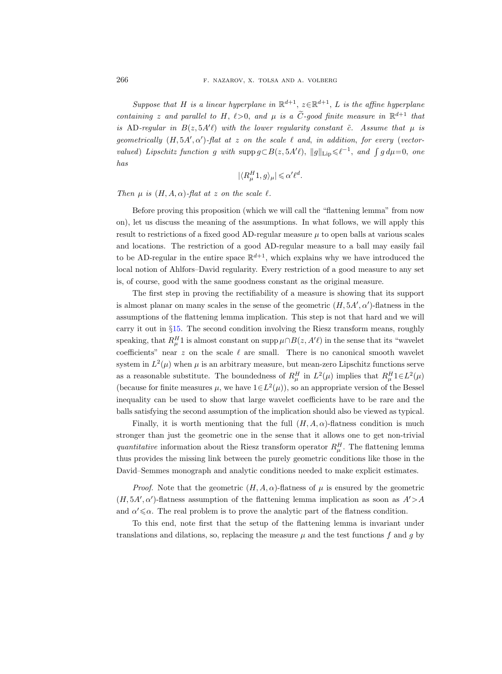Suppose that H is a linear hyperplane in  $\mathbb{R}^{d+1}$ ,  $z \in \mathbb{R}^{d+1}$ , L is the affine hyperplane containing z and parallel to H,  $\ell > 0$ , and  $\mu$  is a  $\tilde{C}$ -good finite measure in  $\mathbb{R}^{d+1}$  that is AD-regular in  $B(z, 5A'l)$  with the lower regularity constant  $\tilde{c}$ . Assume that  $\mu$  is geometrically  $(H, 5A', \alpha')$ -flat at z on the scale  $\ell$  and, in addition, for every (vectorvalued) Lipschitz function g with  $\text{supp } g \subset B(z, 5A'\ell)$ ,  $||g||_{\text{Lip}} \leq \ell^{-1}$ , and  $\int g d\mu = 0$ , one has

$$
|\langle R^H_\mu 1, g \rangle_\mu| \leqslant \alpha' \ell^d.
$$

# Then  $\mu$  is  $(H, A, \alpha)$ -flat at z on the scale  $\ell$ .

Before proving this proposition (which we will call the "flattening lemma" from now on), let us discuss the meaning of the assumptions. In what follows, we will apply this result to restrictions of a fixed good AD-regular measure  $\mu$  to open balls at various scales and locations. The restriction of a good AD-regular measure to a ball may easily fail to be AD-regular in the entire space  $\mathbb{R}^{d+1}$ , which explains why we have introduced the local notion of Ahlfors–David regularity. Every restriction of a good measure to any set is, of course, good with the same goodness constant as the original measure.

The first step in proving the rectifiability of a measure is showing that its support is almost planar on many scales in the sense of the geometric  $(H, 5A', \alpha')$ -flatness in the assumptions of the flattening lemma implication. This step is not that hard and we will carry it out in §[15.](#page-43-0) The second condition involving the Riesz transform means, roughly speaking, that  $R^H_\mu 1$  is almost constant on supp  $\mu \cap B(z, A' \ell)$  in the sense that its "wavelet coefficients" near  $z$  on the scale  $\ell$  are small. There is no canonical smooth wavelet system in  $L^2(\mu)$  when  $\mu$  is an arbitrary measure, but mean-zero Lipschitz functions serve as a reasonable substitute. The boundedness of  $R^H_\mu$  in  $L^2(\mu)$  implies that  $R^H_\mu 1 \in L^2(\mu)$ (because for finite measures  $\mu$ , we have  $1 \in L^2(\mu)$ ), so an appropriate version of the Bessel inequality can be used to show that large wavelet coefficients have to be rare and the balls satisfying the second assumption of the implication should also be viewed as typical.

Finally, it is worth mentioning that the full  $(H, A, \alpha)$ -flatness condition is much stronger than just the geometric one in the sense that it allows one to get non-trivial quantitative information about the Riesz transform operator  $R^H_\mu$ . The flattening lemma thus provides the missing link between the purely geometric conditions like those in the David–Semmes monograph and analytic conditions needed to make explicit estimates.

*Proof.* Note that the geometric  $(H, A, \alpha)$ -flatness of  $\mu$  is ensured by the geometric  $(H, 5A', \alpha')$ -flatness assumption of the flattening lemma implication as soon as  $A' > A$ and  $\alpha' \leq \alpha$ . The real problem is to prove the analytic part of the flatness condition.

To this end, note first that the setup of the flattening lemma is invariant under translations and dilations, so, replacing the measure  $\mu$  and the test functions f and g by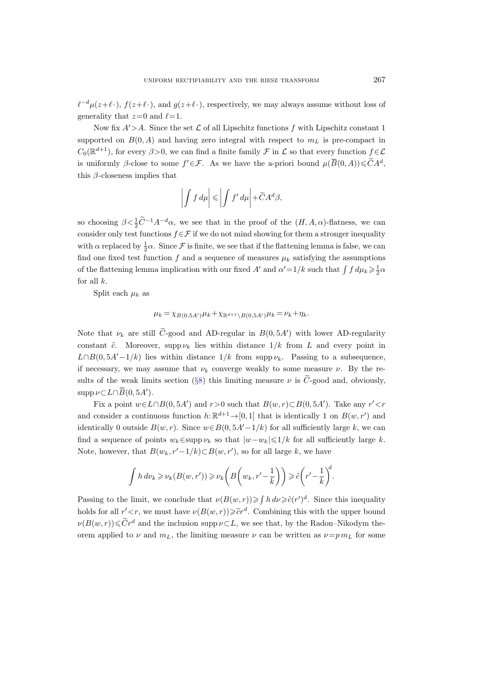$\ell^{-d}\mu(z+\ell\cdot), f(z+\ell\cdot),$  and  $g(z+\ell\cdot)$ , respectively, we may always assume without loss of generality that  $z=0$  and  $\ell=1$ .

Now fix  $A' > A$ . Since the set  $\mathcal L$  of all Lipschitz functions f with Lipschitz constant 1 supported on  $B(0, A)$  and having zero integral with respect to  $m<sub>L</sub>$  is pre-compact in  $C_0(\mathbb{R}^{d+1})$ , for every  $\beta > 0$ , we can find a finite family  $\mathcal F$  in  $\mathcal L$  so that every function  $f \in \mathcal L$ is uniformly  $\beta$ -close to some  $f' \in \mathcal{F}$ . As we have the a-priori bound  $\mu(\overline{B}(0,A)) \leq \widetilde{C}A^d$ , this  $\beta$ -closeness implies that

$$
\left| \int f \, d\mu \right| \leqslant \left| \int f' \, d\mu \right| + \widetilde{C} A^d \beta,
$$

so choosing  $\beta < \frac{1}{2}\tilde{C}^{-1}A^{-d}\alpha$ , we see that in the proof of the  $(H, A, \alpha)$ -flatness, we can consider only test functions  $f \in \mathcal{F}$  if we do not mind showing for them a stronger inequality with  $\alpha$  replaced by  $\frac{1}{2}\alpha$ . Since  $\mathcal F$  is finite, we see that if the flattening lemma is false, we can find one fixed test function f and a sequence of measures  $\mu_k$  satisfying the assumptions of the flattening lemma implication with our fixed A' and  $\alpha' = 1/k$  such that  $\int f d\mu_k \geq \frac{1}{2}\alpha$ for all  $k$ .

Split each  $\mu_k$  as

$$
\mu_k = \chi_{B(0,5A')} \mu_k + \chi_{\mathbb{R}^{d+1} \setminus B(0,5A')} \mu_k = \nu_k + \eta_k.
$$

Note that  $\nu_k$  are still C-good and AD-regular in  $B(0, 5A')$  with lower AD-regularity constant  $\tilde{c}$ . Moreover, supp  $\nu_k$  lies within distance  $1/k$  from L and every point in  $L\cap B(0, 5A'-1/k)$  lies within distance  $1/k$  from supp  $\nu_k$ . Passing to a subsequence, if necessary, we may assume that  $\nu_k$  converge weakly to some measure  $\nu$ . By the re-sults of the weak limits section (§[8\)](#page-15-0) this limiting measure  $\nu$  is  $\tilde{C}$ -good and, obviously,  $\text{supp}\,\nu\,\subset L\cap\overline{B}(0,5A').$ 

Fix a point  $w \in L \cap B(0, 5A')$  and  $r > 0$  such that  $B(w, r) \subset B(0, 5A')$ . Take any  $r' < r$ and consider a continuous function  $h: \mathbb{R}^{d+1} \to [0, 1]$  that is identically 1 on  $B(w, r')$  and identically 0 outside  $B(w, r)$ . Since  $w \in B(0, 5A'-1/k)$  for all sufficiently large k, we can find a sequence of points  $w_k \in \text{supp } \nu_k$  so that  $|w-w_k| \leq 1/k$  for all sufficiently large k. Note, however, that  $B(w_k, r'-1/k) \subset B(w, r')$ , so for all large k, we have

$$
\int h \, d\nu_k \geqslant \nu_k(B(w,r')) \geqslant \nu_k\bigg(B\bigg(w_k,r'-\frac{1}{k}\bigg)\bigg) \geqslant \tilde{c}\bigg(r'-\frac{1}{k}\bigg)^d.
$$

Passing to the limit, we conclude that  $\nu(B(w,r)) \geq \int h \, d\nu \geq \tilde{c}(r')^d$ . Since this inequality holds for all  $r' < r$ , we must have  $\nu(B(w, r)) \geq \tilde{c}r^d$ . Combining this with the upper bound  $\nu(B(w,r))\leq \widetilde{C}r^d$  and the inclusion supp  $\nu\subset L$ , we see that, by the Radon–Nikodym theorem applied to  $\nu$  and  $m<sub>L</sub>$ , the limiting measure  $\nu$  can be written as  $\nu = p m<sub>L</sub>$  for some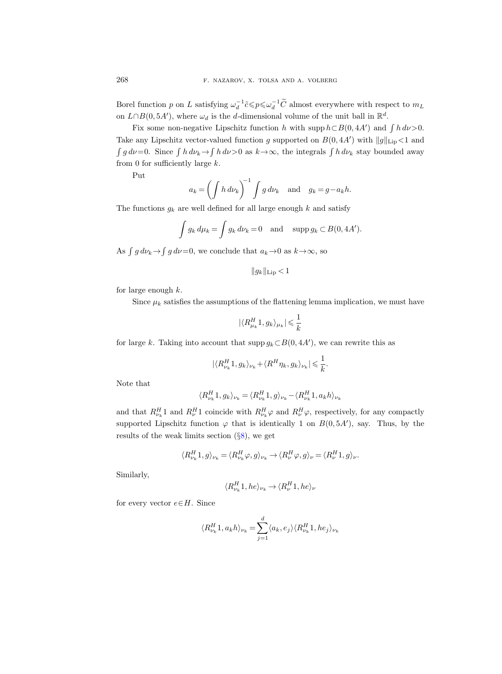Borel function p on L satisfying  $\omega_d^{-1} \tilde{c} \leq p \leq \omega_d^{-1} \tilde{C}$  almost everywhere with respect to  $m_L$ on  $L \cap B(0, 5A')$ , where  $\omega_d$  is the d-dimensional volume of the unit ball in  $\mathbb{R}^d$ .

Fix some non-negative Lipschitz function h with supp  $h \subset B(0, 4A')$  and  $\int h \, d\nu > 0$ . Take any Lipschitz vector-valued function g supported on  $B(0, 4A')$  with  $||g||_{\text{Lip}} < 1$  and  $\int g d\nu = 0$ . Since  $\int h d\nu_k \to \int h d\nu > 0$  as  $k \to \infty$ , the integrals  $\int h d\nu_k$  stay bounded away from 0 for sufficiently large  $k$ .

Put

$$
a_k = \left(\int h \, d\nu_k\right)^{-1} \int g \, d\nu_k \quad \text{and} \quad g_k = g - a_k h.
$$

The functions  $g_k$  are well defined for all large enough k and satisfy

$$
\int g_k d\mu_k = \int g_k d\nu_k = 0 \text{ and } \sup p g_k \subset B(0, 4A').
$$

As  $\int g d\nu_k \rightarrow \int g d\nu = 0$ , we conclude that  $a_k \rightarrow 0$  as  $k \rightarrow \infty$ , so

$$
||g_k||_{\text{Lip}} < 1
$$

for large enough  $k$ .

Since  $\mu_k$  satisfies the assumptions of the flattening lemma implication, we must have

$$
|\langle R_{\mu_k}^H 1, g_k \rangle_{\mu_k}| \leqslant \frac{1}{k}
$$

for large k. Taking into account that supp  $g_k \subset B(0, 4A')$ , we can rewrite this as

$$
|\langle R^H_{\nu_k} 1, g_k \rangle_{\nu_k} + \langle R^H \eta_k, g_k \rangle_{\nu_k}| \leqslant \frac{1}{k}.
$$

Note that

$$
\langle R_{\nu_k}^H1,g_k\rangle_{\nu_k}=\langle R_{\nu_k}^H1,g\rangle_{\nu_k}-\langle R_{\nu_k}^H1,a_kh\rangle_{\nu_k}
$$

and that  $R_{\nu_k}^H$ 1 and  $R_{\nu}^H$ 1 coincide with  $R_{\nu_k}^H \varphi$  and  $R_{\nu}^H \varphi$ , respectively, for any compactly supported Lipschitz function  $\varphi$  that is identically 1 on  $B(0, 5A')$ , say. Thus, by the results of the weak limits section  $(\S 8)$  $(\S 8)$ , we get

$$
\langle R_{\nu_k}^H 1, g \rangle_{\nu_k} = \langle R_{\nu_k}^H \varphi, g \rangle_{\nu_k} \to \langle R_{\nu}^H \varphi, g \rangle_{\nu} = \langle R_{\nu}^H 1, g \rangle_{\nu}.
$$

Similarly,

$$
\langle R^H_{\nu_k} 1, he \rangle_{\nu_k} \to \langle R^H_\nu 1, he \rangle_\nu
$$

for every vector  $e \in H$ . Since

$$
\langle R_{\nu_k}^H1,a_kh\rangle_{\nu_k}=\sum_{j=1}^d\langle a_k,e_j\rangle\langle R_{\nu_k}^H1,he_j\rangle_{\nu_k}
$$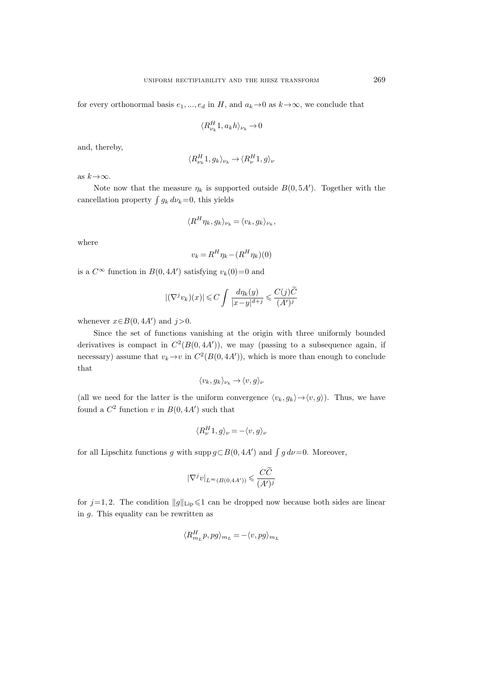for every orthonormal basis  $e_1, ..., e_d$  in H, and  $a_k \to 0$  as  $k \to \infty$ , we conclude that

$$
\langle R_{\nu_k}^H 1, a_k h \rangle_{\nu_k} \to 0
$$

and, thereby,

$$
\langle R_{\nu_k}^H 1, g_k \rangle_{\nu_k} \to \langle R_{\nu}^H 1, g \rangle_{\nu}
$$

as  $k \rightarrow \infty$ .

Note now that the measure  $\eta_k$  is supported outside  $B(0, 5A')$ . Together with the cancellation property  $\int g_k d\nu_k=0$ , this yields

$$
\langle R^H \eta_k, g_k \rangle_{\nu_k} = \langle v_k, g_k \rangle_{\nu_k},
$$

where

$$
v_k = R^H \eta_k - (R^H \eta_k)(0)
$$

is a  $C^{\infty}$  function in  $B(0, 4A')$  satisfying  $v_k(0)=0$  and

$$
|(\nabla^j v_k)(x)| \leqslant C \int \frac{d\eta_k(y)}{|x-y|^{d+j}} \leqslant \frac{C(j)\widetilde{C}}{(A')^j}
$$

whenever  $x \in B(0, 4A')$  and  $j > 0$ .

Since the set of functions vanishing at the origin with three uniformly bounded derivatives is compact in  $C^2(B(0, 4A'))$ , we may (passing to a subsequence again, if necessary) assume that  $v_k \to v$  in  $C^2(B(0, 4A'))$ , which is more than enough to conclude that

$$
\langle v_k,g_k\rangle_{\nu_k}\to \langle v,g\rangle_{\nu}
$$

(all we need for the latter is the uniform convergence  $\langle v_k, g_k \rangle \rightarrow \langle v, g \rangle$ ). Thus, we have found a  $C^2$  function v in  $B(0, 4A')$  such that

$$
\langle R_{\nu}^{H}1, g\rangle_{\nu} = -\langle v, g\rangle_{\nu}
$$

for all Lipschitz functions g with supp  $g \subset B(0, 4A')$  and  $\int g d\nu = 0$ . Moreover,

$$
|\nabla^j v|_{L^\infty(B(0,4A'))} \leqslant \frac{C\widetilde{C}}{(A')^j}
$$

for  $j=1, 2$ . The condition  $||g||_{\text{Lip}} \leq 1$  can be dropped now because both sides are linear in g. This equality can be rewritten as

$$
\langle R_{m_L}^H p, pg \rangle_{m_L} = -\langle v, pg \rangle_{m_L}
$$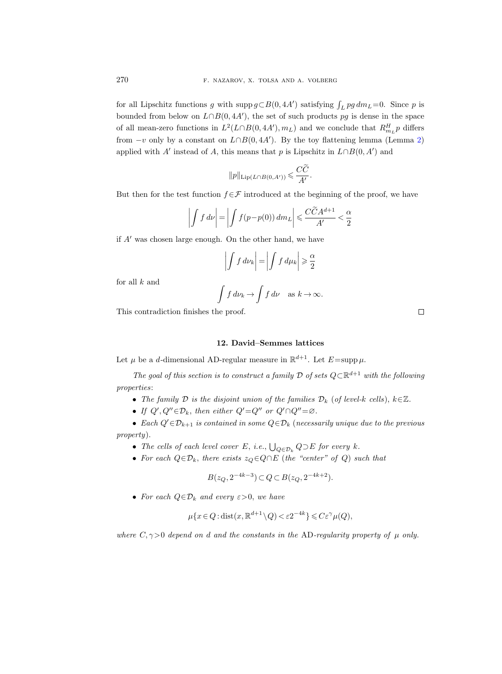for all Lipschitz functions g with  $\text{supp } g \subset B(0, 4A')$  satisfying  $\int_L pg \, dm_L = 0$ . Since p is bounded from below on  $L \cap B(0, 4A')$ , the set of such products pg is dense in the space of all mean-zero functions in  $L^2(L \cap B(0, 4A'), m_L)$  and we conclude that  $R_{m_L}^H p$  differs from  $-v$  only by a constant on  $L \cap B(0, 4A')$ . By the toy flattening lemma (Lemma [2\)](#page-13-1) applied with A' instead of A, this means that p is Lipschitz in  $L \cap B(0, A')$  and

$$
||p||_{\mathrm{Lip}(L\cap B(0,A'))} \leqslant \frac{C\widetilde{C}}{A'}.
$$

But then for the test function  $f \in \mathcal{F}$  introduced at the beginning of the proof, we have

$$
\left| \int f \, d\nu \right| = \left| \int f(p - p(0)) \, dm_L \right| \leqslant \frac{C\widetilde{C}A^{d+1}}{A'} < \frac{\alpha}{2}
$$

if  $A'$  was chosen large enough. On the other hand, we have

$$
\left| \int f \, d\nu_k \right| = \left| \int f \, d\mu_k \right| \geqslant \frac{\alpha}{2}
$$

for all  $k$  and

$$
\int f \, d\nu_k \to \int f \, d\nu \quad \text{as } k \to \infty.
$$

This contradiction finishes the proof.

#### 12. David–Semmes lattices

<span id="page-33-0"></span>Let  $\mu$  be a *d*-dimensional AD-regular measure in  $\mathbb{R}^{d+1}$ . Let  $E = \text{supp }\mu$ .

The goal of this section is to construct a family  $\mathcal D$  of sets  $Q \subset \mathbb R^{d+1}$  with the following properties:

- The family  $\mathcal D$  is the disjoint union of the families  $\mathcal D_k$  (of level-k cells),  $k\in\mathbb{Z}$ .
- If  $Q', Q'' \in \mathcal{D}_k$ , then either  $Q' = Q''$  or  $Q' \cap Q'' = \emptyset$ .

• Each  $Q' \in \mathcal{D}_{k+1}$  is contained in some  $Q \in \mathcal{D}_k$  (necessarily unique due to the previous property).

- The cells of each level cover E, i.e.,  $\bigcup_{Q \in \mathcal{D}_k} Q \supset E$  for every k.
- For each  $Q \in \mathcal{D}_k$ , there exists  $z_Q \in Q \cap E$  (the "center" of Q) such that

$$
B(z_Q, 2^{-4k-3}) \subset Q \subset B(z_Q, 2^{-4k+2}).
$$

• For each  $Q \in \mathcal{D}_k$  and every  $\varepsilon > 0$ , we have

$$
\mu\{x \in Q : \text{dist}(x, \mathbb{R}^{d+1} \setminus Q) < \varepsilon 2^{-4k}\} \leqslant C\varepsilon^\gamma \mu(Q),
$$

where  $C, \gamma > 0$  depend on d and the constants in the AD-regularity property of  $\mu$  only.

 $\Box$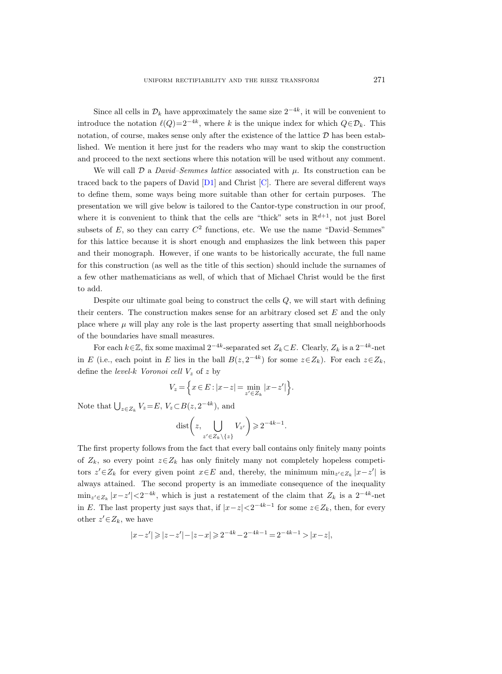Since all cells in  $\mathcal{D}_k$  have approximately the same size  $2^{-4k}$ , it will be convenient to introduce the notation  $\ell(Q)=2^{-4k}$ , where k is the unique index for which  $Q \in \mathcal{D}_k$ . This notation, of course, makes sense only after the existence of the lattice  $D$  has been established. We mention it here just for the readers who may want to skip the construction and proceed to the next sections where this notation will be used without any comment.

We will call  $\mathcal D$  a *David–Semmes lattice* associated with  $\mu$ . Its construction can be traced back to the papers of David  $[D1]$  and Christ  $[C]$ . There are several different ways to define them, some ways being more suitable than other for certain purposes. The presentation we will give below is tailored to the Cantor-type construction in our proof, where it is convenient to think that the cells are "thick" sets in  $\mathbb{R}^{d+1}$ , not just Borel subsets of  $E$ , so they can carry  $C^2$  functions, etc. We use the name "David–Semmes" for this lattice because it is short enough and emphasizes the link between this paper and their monograph. However, if one wants to be historically accurate, the full name for this construction (as well as the title of this section) should include the surnames of a few other mathematicians as well, of which that of Michael Christ would be the first to add.

Despite our ultimate goal being to construct the cells  $Q$ , we will start with defining their centers. The construction makes sense for an arbitrary closed set E and the only place where  $\mu$  will play any role is the last property asserting that small neighborhoods of the boundaries have small measures.

For each  $k\in\mathbb{Z}$ , fix some maximal  $2^{-4k}$ -separated set  $Z_k\subset E$ . Clearly,  $Z_k$  is a  $2^{-4k}$ -net in E (i.e., each point in E lies in the ball  $B(z, 2^{-4k})$  for some  $z \in Z_k$ ). For each  $z \in Z_k$ , define the *level-k Voronoi cell*  $V_z$  of z by

$$
V_z = \left\{ x \in E : |x - z| = \min_{z' \in Z_k} |x - z'| \right\}.
$$

Note that  $\bigcup_{z \in Z_k} V_z = E, V_z \subset B(z, 2^{-4k}),$  and

$$
\text{dist}\bigg(z,\bigcup_{z'\in Z_k\setminus\{z\}}V_{z'}\bigg)\geqslant 2^{-4k-1}.
$$

The first property follows from the fact that every ball contains only finitely many points of  $Z_k$ , so every point  $z \in Z_k$  has only finitely many not completely hopeless competitors  $z' \in Z_k$  for every given point  $x \in E$  and, thereby, the minimum  $\min_{z' \in Z_k} |x - z'|$  is always attained. The second property is an immediate consequence of the inequality  $\min_{z' \in Z_k} |x-z'| < 2^{-4k}$ , which is just a restatement of the claim that  $Z_k$  is a  $2^{-4k}$ -net in E. The last property just says that, if  $|x-z| < 2^{-4k-1}$  for some  $z \in Z_k$ , then, for every other  $z' \in Z_k$ , we have

$$
|x-z'| \ge |z-z'| - |z-x| \ge 2^{-4k} - 2^{-4k-1} = 2^{-4k-1} > |x-z|,
$$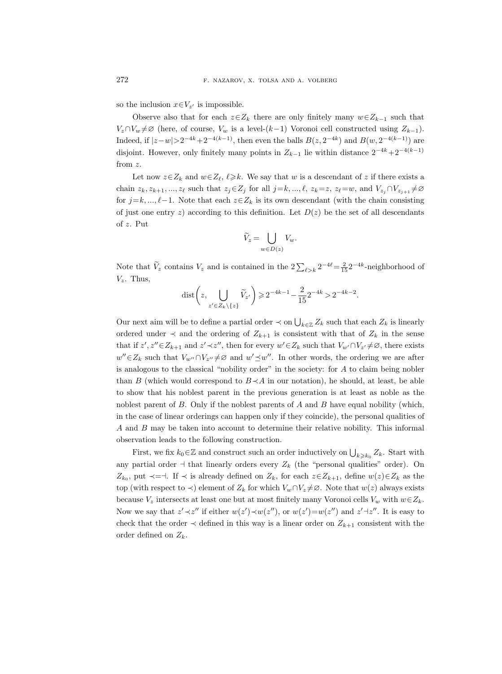so the inclusion  $x \in V_{z'}$  is impossible.

Observe also that for each  $z\in Z_k$  there are only finitely many  $w\in Z_{k-1}$  such that  $V_z \cap V_w \neq \emptyset$  (here, of course,  $V_w$  is a level-(k-1) Voronoi cell constructed using  $Z_{k-1}$ ). Indeed, if  $|z-w| > 2^{-4k} + 2^{-4(k-1)}$ , then even the balls  $B(z, 2^{-4k})$  and  $B(w, 2^{-4(k-1)})$  are disjoint. However, only finitely many points in  $Z_{k-1}$  lie within distance  $2^{-4k}+2^{-4(k-1)}$ from z.

Let now  $z \in Z_k$  and  $w \in Z_\ell$ ,  $\ell \geq k$ . We say that w is a descendant of z if there exists a chain  $z_k, z_{k+1}, ..., z_\ell$  such that  $z_j \in Z_j$  for all  $j=k, ..., \ell$ ,  $z_k=z, z_\ell=w$ , and  $V_{z_j} \cap V_{z_{j+1}} \neq \emptyset$ for  $j=k, ..., \ell-1$ . Note that each  $z\in Z_k$  is its own descendant (with the chain consisting of just one entry z) according to this definition. Let  $D(z)$  be the set of all descendants of z. Put

$$
\widetilde{V}_z = \bigcup_{w \in D(z)} V_w.
$$

Note that  $V_z$  contains  $V_z$  and is contained in the  $2\sum_{\ell > k} 2^{-4\ell} = \frac{2}{15} 2^{-4k}$ -neighborhood of  $V_z$ . Thus,

$$
\text{dist}\bigg(z,\bigcup_{z' \in Z_k \setminus \{z\}} \widetilde{V}_{z'}\bigg) \geqslant 2^{-4k-1} - \frac{2}{15} 2^{-4k} > 2^{-4k-2}.
$$

Our next aim will be to define a partial order  $\prec$  on  $\bigcup_{k\in\mathbb{Z}}Z_k$  such that each  $Z_k$  is linearly ordered under  $\prec$  and the ordering of  $Z_{k+1}$  is consistent with that of  $Z_k$  in the sense that if  $z', z'' \in Z_{k+1}$  and  $z' \prec z''$ , then for every  $w' \in Z_k$  such that  $V_{w'} \cap V_{z'} \neq \emptyset$ , there exists  $w'' \in Z_k$  such that  $V_{w''} \cap V_{z''} \neq \emptyset$  and  $w' \preceq w''$ . In other words, the ordering we are after is analogous to the classical "nobility order" in the society: for A to claim being nobler than B (which would correspond to  $B \prec A$  in our notation), he should, at least, be able to show that his noblest parent in the previous generation is at least as noble as the noblest parent of  $B$ . Only if the noblest parents of  $A$  and  $B$  have equal nobility (which, in the case of linear orderings can happen only if they coincide), the personal qualities of A and B may be taken into account to determine their relative nobility. This informal observation leads to the following construction.

First, we fix  $k_0 \in \mathbb{Z}$  and construct such an order inductively on  $\bigcup_{k \geq k_0} Z_k$ . Start with any partial order  $\dashv$  that linearly orders every  $Z_k$  (the "personal qualities" order). On  $Z_{k_0}$ , put  $\prec$  =  $\uparrow$ . If  $\prec$  is already defined on  $Z_k$ , for each  $z \in Z_{k+1}$ , define  $w(z) \in Z_k$  as the top (with respect to  $\prec$ ) element of  $Z_k$  for which  $V_w \cap V_z \neq \emptyset$ . Note that  $w(z)$  always exists because  $V_z$  intersects at least one but at most finitely many Voronoi cells  $V_w$  with  $w \in Z_k$ . Now we say that  $z' \prec z''$  if either  $w(z') \prec w(z'')$ , or  $w(z') = w(z'')$  and  $z' \prec z''$ . It is easy to check that the order  $\prec$  defined in this way is a linear order on  $Z_{k+1}$  consistent with the order defined on  $Z_k$ .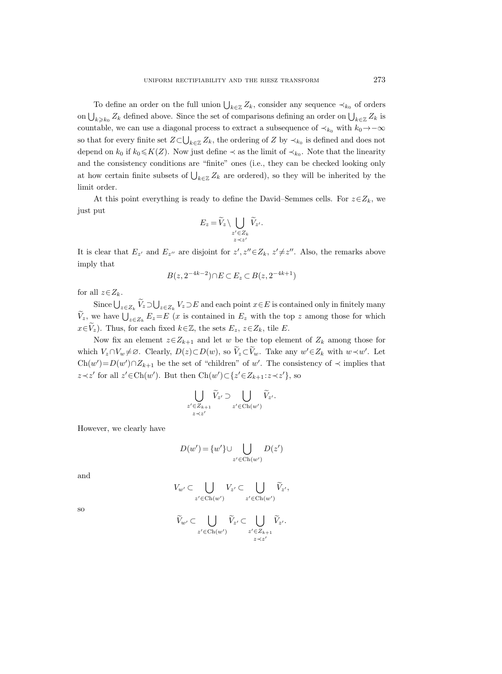To define an order on the full union  $\bigcup_{k\in\mathbb{Z}}Z_k$ , consider any sequence  $\prec_{k_0}$  of orders on  $\bigcup_{k\geqslant k_0} Z_k$  defined above. Since the set of comparisons defining an order on  $\bigcup_{k\in\mathbb{Z}} Z_k$  is countable, we can use a diagonal process to extract a subsequence of  $\prec_{k_0}$  with  $k_0 \rightarrow -\infty$ so that for every finite set  $Z \subset \bigcup_{k \in \mathbb{Z}} Z_k$ , the ordering of Z by  $\prec_{k_0}$  is defined and does not depend on  $k_0$  if  $k_0 \leq K(Z)$ . Now just define  $\prec$  as the limit of  $\prec_{k_0}$ . Note that the linearity and the consistency conditions are "finite" ones (i.e., they can be checked looking only at how certain finite subsets of  $\bigcup_{k\in\mathbb{Z}}Z_k$  are ordered), so they will be inherited by the limit order.

At this point everything is ready to define the David–Semmes cells. For  $z \in Z_k$ , we just put

$$
E_z = \widetilde{V}_z \setminus \bigcup_{\substack{z' \in Z_k \\ z \prec z'}} \widetilde{V}_{z'}.
$$

It is clear that  $E_{z'}$  and  $E_{z''}$  are disjoint for  $z', z'' \in Z_k$ ,  $z' \neq z''$ . Also, the remarks above imply that

$$
B(z, 2^{-4k-2}) \cap E \subset E_z \subset B(z, 2^{-4k+1})
$$

for all  $z \in Z_k$ .

Since  $\bigcup_{z\in Z_k} V_z \supset \bigcup_{z\in Z_k} V_z \supset E$  and each point  $x\in E$  is contained only in finitely many  $V_z$ , we have  $\bigcup_{z\in Z_k} E_z=E$  (x is contained in  $E_z$  with the top z among those for which  $x \in \widetilde{V}_z$ ). Thus, for each fixed  $k \in \mathbb{Z}$ , the sets  $E_z$ ,  $z \in Z_k$ , tile E.

Now fix an element  $z \in Z_{k+1}$  and let w be the top element of  $Z_k$  among those for which  $V_z \cap V_w \neq \emptyset$ . Clearly,  $D(z) \subset D(w)$ , so  $\widetilde{V}_z \subset \widetilde{V}_w$ . Take any  $w' \in Z_k$  with  $w \prec w'$ . Let  $Ch(w') = D(w') \cap Z_{k+1}$  be the set of "children" of w'. The consistency of  $\prec$  implies that  $z \prec z'$  for all  $z' \in \text{Ch}(w')$ . But then Ch(w')⊂{ $z' \in Z_{k+1} : z \prec z'$ }, so

$$
\bigcup_{\substack{z' \in Z_{k+1} \\ z \prec z'}} \widetilde{V}_{z'} \supset \bigcup_{z' \in \text{Ch}(w')} \widetilde{V}_{z'}.
$$

However, we clearly have

$$
D(w') = \{w'\} \cup \bigcup_{z' \in \text{Ch}(w')} D(z')
$$

and

$$
V_{w'} \subset \bigcup_{z' \in \text{Ch}(w')} V_{z'} \subset \bigcup_{z' \in \text{Ch}(w')} \widetilde{V}_{z'},
$$

so

$$
\widetilde{V}_{w'} \subset \bigcup_{z' \in \operatorname{Ch}(w')} \widetilde{V}_{z'} \subset \bigcup_{\substack{z' \in Z_{k+1} \\ z \prec z'}} \widetilde{V}_{z'}.
$$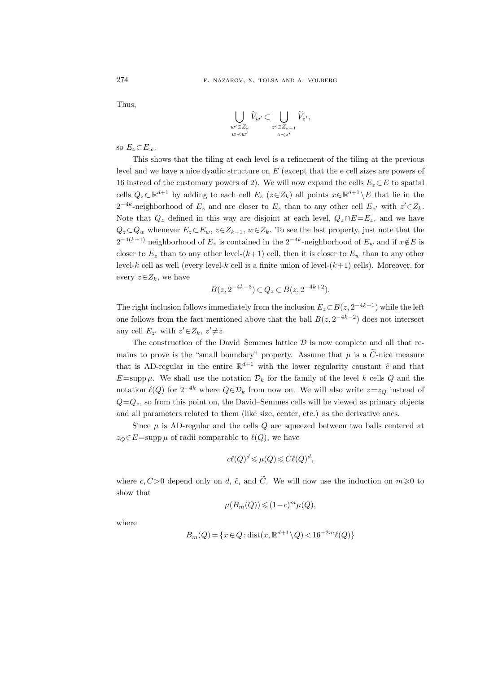Thus,

$$
\bigcup_{\substack{w' \in Z_k \\ w \prec w'}} \widetilde{V}_{w'} \subset \bigcup_{\substack{z' \in Z_{k+1} \\ z \prec z'}} \widetilde{V}_{z'},
$$

so  $E_z \subset E_w$ .

This shows that the tiling at each level is a refinement of the tiling at the previous level and we have a nice dyadic structure on E (except that the e cell sizes are powers of 16 instead of the customary powers of 2). We will now expand the cells  $E_z \subset E$  to spatial cells  $Q_z \subset \mathbb{R}^{d+1}$  by adding to each cell  $E_z$  ( $z \in Z_k$ ) all points  $x \in \mathbb{R}^{d+1} \setminus E$  that lie in the  $2^{-4k}$ -neighborhood of  $E_z$  and are closer to  $E_z$  than to any other cell  $E_{z'}$  with  $z' \in Z_k$ . Note that  $Q_z$  defined in this way are disjoint at each level,  $Q_z \cap E = E_z$ , and we have  $Q_z \subset Q_w$  whenever  $E_z \subset E_w$ ,  $z \in Z_{k+1}$ ,  $w \in Z_k$ . To see the last property, just note that the  $2^{-4(k+1)}$  neighborhood of  $E_z$  is contained in the  $2^{-4k}$ -neighborhood of  $E_w$  and if  $x \notin E$  is closer to  $E_z$  than to any other level- $(k+1)$  cell, then it is closer to  $E_w$  than to any other level-k cell as well (every level-k cell is a finite union of level- $(k+1)$  cells). Moreover, for every  $z \in Z_k$ , we have

$$
B(z, 2^{-4k-3}) \subset Q_z \subset B(z, 2^{-4k+2}).
$$

The right inclusion follows immediately from the inclusion  $E_z \subset B(z, 2^{-4k+1})$  while the left one follows from the fact mentioned above that the ball  $B(z, 2^{-4k-2})$  does not intersect any cell  $E_{z'}$  with  $z' \in Z_k$ ,  $z' \neq z$ .

The construction of the David–Semmes lattice  $D$  is now complete and all that remains to prove is the "small boundary" property. Assume that  $\mu$  is a  $\tilde{C}$ -nice measure that is AD-regular in the entire  $\mathbb{R}^{d+1}$  with the lower regularity constant  $\tilde{c}$  and that  $E=\text{supp }\mu$ . We shall use the notation  $\mathcal{D}_k$  for the family of the level k cells Q and the notation  $\ell(Q)$  for  $2^{-4k}$  where  $Q \in \mathcal{D}_k$  from now on. We will also write  $z=z_Q$  instead of  $Q=Q_z$ , so from this point on, the David–Semmes cells will be viewed as primary objects and all parameters related to them (like size, center, etc.) as the derivative ones.

Since  $\mu$  is AD-regular and the cells  $Q$  are squeezed between two balls centered at  $z_Q \in E = \text{supp }\mu$  of radii comparable to  $\ell(Q)$ , we have

$$
c\ell(Q)^d \leq \mu(Q) \leq C\ell(Q)^d,
$$

where c,  $C>0$  depend only on d,  $\tilde{c}$ , and  $\tilde{C}$ . We will now use the induction on  $m\geqslant 0$  to show that

$$
\mu(B_m(Q)) \leqslant (1-c)^m \mu(Q),
$$

where

$$
B_m(Q) = \{ x \in Q : \text{dist}(x, \mathbb{R}^{d+1} \setminus Q) < 16^{-2m} \ell(Q) \}
$$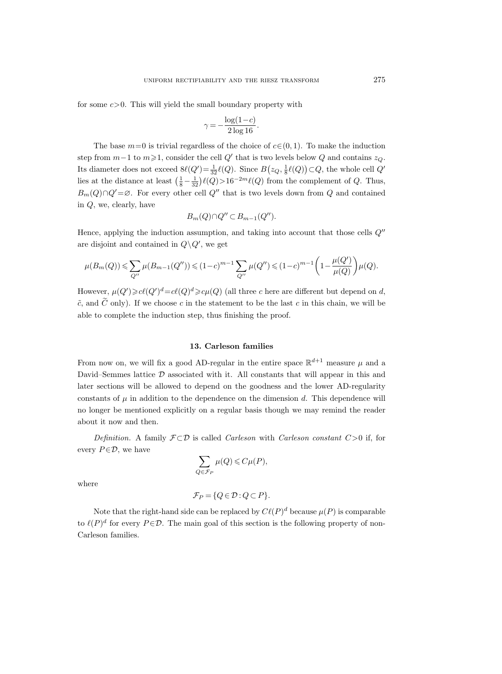for some  $c > 0$ . This will yield the small boundary property with

$$
\gamma = -\frac{\log(1 - c)}{2 \log 16}.
$$

The base  $m=0$  is trivial regardless of the choice of  $c \in (0, 1)$ . To make the induction step from  $m-1$  to  $m \ge 1$ , consider the cell  $Q'$  that is two levels below  $Q$  and contains  $z_Q$ . Its diameter does not exceed  $8\ell(Q') = \frac{1}{32} \ell(Q)$ . Since  $B(z_Q, \frac{1}{8}\ell(Q)) \subset Q$ , the whole cell  $Q'$ lies at the distance at least  $(\frac{1}{8} - \frac{1}{32})\ell(Q) > 16^{-2m}\ell(Q)$  from the complement of Q. Thus,  $B_m(Q) \cap Q' = \emptyset$ . For every other cell Q'' that is two levels down from Q and contained in Q, we, clearly, have

$$
B_m(Q) \cap Q'' \subset B_{m-1}(Q'').
$$

Hence, applying the induction assumption, and taking into account that those cells  $Q''$ are disjoint and contained in  $Q \backslash Q'$ , we get

$$
\mu(B_m(Q))\leqslant \sum_{Q''}\mu(B_{m-1}(Q''))\leqslant (1-c)^{m-1}\sum_{Q''}\mu(Q'')\leqslant (1-c)^{m-1}\bigg(1-\frac{\mu(Q')}{\mu(Q)}\bigg)\mu(Q).
$$

However,  $\mu(Q') \geq c\ell(Q')^d = c\ell(Q)^d \geq c\mu(Q)$  (all three c here are different but depend on d,  $\tilde{c}$ , and  $\tilde{C}$  only). If we choose c in the statement to be the last c in this chain, we will be able to complete the induction step, thus finishing the proof.

## 13. Carleson families

<span id="page-38-0"></span>From now on, we will fix a good AD-regular in the entire space  $\mathbb{R}^{d+1}$  measure  $\mu$  and a David–Semmes lattice  $D$  associated with it. All constants that will appear in this and later sections will be allowed to depend on the goodness and the lower AD-regularity constants of  $\mu$  in addition to the dependence on the dimension d. This dependence will no longer be mentioned explicitly on a regular basis though we may remind the reader about it now and then.

Definition. A family  $\mathcal{F} \subset \mathcal{D}$  is called *Carleson* with *Carleson constant C* > 0 if, for every  $P \in \mathcal{D}$ , we have

$$
\sum_{Q \in \mathcal{F}_P} \mu(Q) \leqslant C\mu(P),
$$

where

$$
\mathcal{F}_P = \{Q \in \mathcal{D} : Q \subset P\}.
$$

<span id="page-38-1"></span>Note that the right-hand side can be replaced by  $C\ell(P)^d$  because  $\mu(P)$  is comparable to  $\ell(P)^d$  for every  $P \in \mathcal{D}$ . The main goal of this section is the following property of non-Carleson families.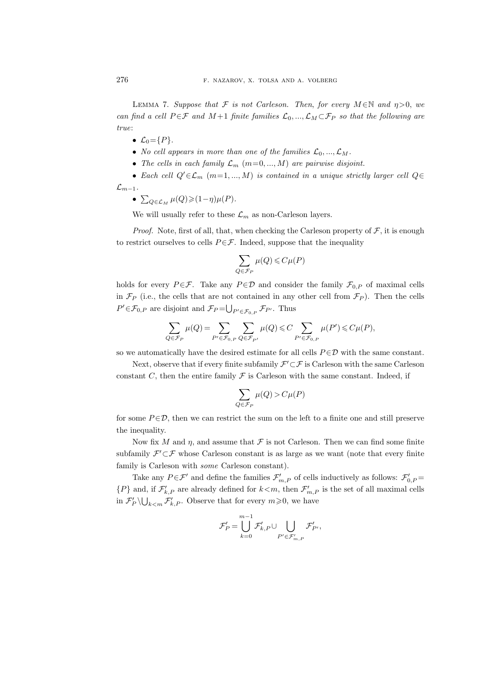LEMMA 7. Suppose that F is not Carleson. Then, for every  $M \in \mathbb{N}$  and  $\eta > 0$ , we can find a cell  $P \in \mathcal{F}$  and  $M+1$  finite families  $\mathcal{L}_0, ..., \mathcal{L}_M \subset \mathcal{F}_P$  so that the following are true:

- $\mathcal{L}_0 = \{P\}.$
- No cell appears in more than one of the families  $\mathcal{L}_0, ..., \mathcal{L}_M$ .
- The cells in each family  $\mathcal{L}_m$  (m=0, ..., M) are pairwise disjoint.
- Each cell  $Q' \in \mathcal{L}_m$   $(m=1,..., M)$  is contained in a unique strictly larger cell  $Q \in$  $\mathcal{L}_{m-1}$ .
	- $\sum_{Q \in \mathcal{L}_M} \mu(Q) \geqslant (1-\eta)\mu(P).$

We will usually refer to these  $\mathcal{L}_m$  as non-Carleson layers.

*Proof.* Note, first of all, that, when checking the Carleson property of  $\mathcal{F}$ , it is enough to restrict ourselves to cells  $P \in \mathcal{F}$ . Indeed, suppose that the inequality

$$
\sum_{Q \in \mathcal{F}_P} \mu(Q) \leqslant C \mu(P)
$$

holds for every  $P \in \mathcal{F}$ . Take any  $P \in \mathcal{D}$  and consider the family  $\mathcal{F}_{0,P}$  of maximal cells in  $\mathcal{F}_P$  (i.e., the cells that are not contained in any other cell from  $\mathcal{F}_P$ ). Then the cells  $P' \in \mathcal{F}_{0,P}$  are disjoint and  $\mathcal{F}_P = \bigcup_{P' \in \mathcal{F}_{0,P}} \mathcal{F}_{P'}$ . Thus

$$
\sum_{Q\in \mathcal{F}_P}\mu(Q)=\sum_{P'\in \mathcal{F}_{0,P}}\sum_{Q\in \mathcal{F}_{P'}}\mu(Q)\leqslant C\sum_{P'\in \mathcal{F}_{0,P}}\mu(P')\leqslant C\mu(P),
$$

so we automatically have the desired estimate for all cells  $P \in \mathcal{D}$  with the same constant.

Next, observe that if every finite subfamily  $\mathcal{F}' \subset \mathcal{F}$  is Carleson with the same Carleson constant  $C$ , then the entire family  $\mathcal F$  is Carleson with the same constant. Indeed, if

$$
\sum_{Q\in\mathcal{F}_P}\mu(Q)>C\mu(P)
$$

for some  $P \in \mathcal{D}$ , then we can restrict the sum on the left to a finite one and still preserve the inequality.

Now fix M and  $\eta$ , and assume that F is not Carleson. Then we can find some finite subfamily  $\mathcal{F}' \subset \mathcal{F}$  whose Carleson constant is as large as we want (note that every finite family is Carleson with some Carleson constant).

Take any  $P \in \mathcal{F}'$  and define the families  $\mathcal{F}'_{m,P}$  of cells inductively as follows:  $\mathcal{F}'_{0,P}$  $\{P\}$  and, if  $\mathcal{F}'_{k,P}$  are already defined for  $k < m$ , then  $\mathcal{F}'_{m,P}$  is the set of all maximal cells in  $\mathcal{F}'_P \setminus \bigcup_{k \le m} \mathcal{F}'_{k,P}$ . Observe that for every  $m \ge 0$ , we have

$$
\mathcal{F}'_P = \bigcup_{k=0}^{m-1} \mathcal{F}'_{k,P} \cup \bigcup_{P' \in \mathcal{F}'_{m,P}} \mathcal{F}'_{P'},
$$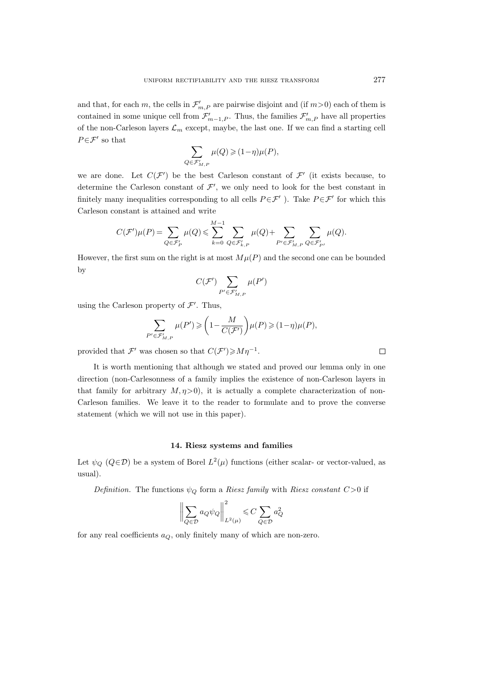and that, for each m, the cells in  $\mathcal{F}'_{m,P}$  are pairwise disjoint and (if  $m>0$ ) each of them is contained in some unique cell from  $\mathcal{F}'_{m-1,P}$ . Thus, the families  $\mathcal{F}'_{m,P}$  have all properties of the non-Carleson layers  $\mathcal{L}_m$  except, maybe, the last one. If we can find a starting cell  $P \in \mathcal{F}'$  so that

$$
\sum_{Q \in \mathcal{F}'_{M,P}} \mu(Q) \geqslant (1-\eta)\mu(P),
$$

we are done. Let  $C(\mathcal{F}')$  be the best Carleson constant of  $\mathcal{F}'$  (it exists because, to determine the Carleson constant of  $\mathcal{F}'$ , we only need to look for the best constant in finitely many inequalities corresponding to all cells  $P \in \mathcal{F}'$ . Take  $P \in \mathcal{F}'$  for which this Carleson constant is attained and write

$$
C(\mathcal{F}')\mu(P) = \sum_{Q \in \mathcal{F}'_P} \mu(Q) \leqslant \sum_{k=0}^{M-1} \sum_{Q \in \mathcal{F}'_{k,P}} \mu(Q) + \sum_{P' \in \mathcal{F}'_{M,P}} \sum_{Q \in \mathcal{F}'_{P'}} \mu(Q).
$$

However, the first sum on the right is at most  $M\mu(P)$  and the second one can be bounded by

$$
C(\mathcal{F}')\sum_{P'\in \mathcal{F}'_{M,P}}\mu(P')
$$

using the Carleson property of  $\mathcal{F}'$ . Thus,

$$
\sum_{P' \in \mathcal{F}'_{M,P}} \mu(P') \geq \left(1 - \frac{M}{C(\mathcal{F}')} \right) \mu(P) \geq (1 - \eta)\mu(P),
$$

provided that  $\mathcal{F}'$  was chosen so that  $C(\mathcal{F}') \geqslant M\eta^{-1}$ .

It is worth mentioning that although we stated and proved our lemma only in one direction (non-Carlesonness of a family implies the existence of non-Carleson layers in that family for arbitrary  $M, \eta > 0$ , it is actually a complete characterization of non-Carleson families. We leave it to the reader to formulate and to prove the converse statement (which we will not use in this paper).

## 14. Riesz systems and families

Let  $\psi_Q$  ( $Q \in \mathcal{D}$ ) be a system of Borel  $L^2(\mu)$  functions (either scalar- or vector-valued, as usual).

Definition. The functions  $\psi_Q$  form a Riesz family with Riesz constant  $C>0$  if

$$
\bigg\|\sum_{Q\in\mathcal{D}}a_Q\psi_Q\bigg\|_{L^2(\mu)}^2\leqslant C\sum_{Q\in\mathcal{D}}a_Q^2
$$

for any real coefficients  $a_Q$ , only finitely many of which are non-zero.

 $\Box$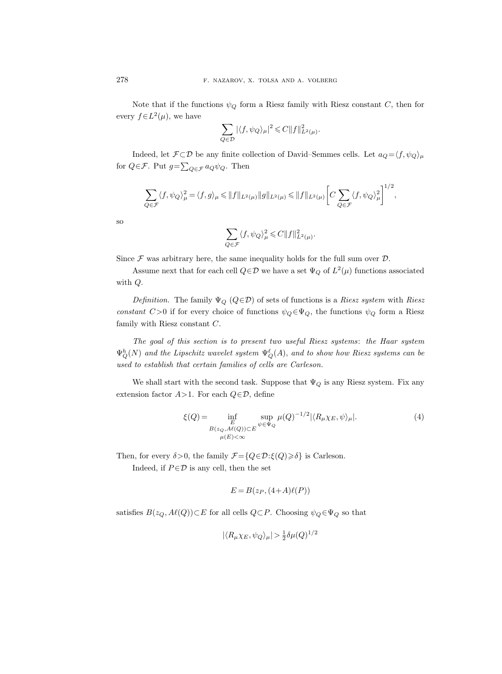Note that if the functions  $\psi_Q$  form a Riesz family with Riesz constant C, then for every  $f \in L^2(\mu)$ , we have

$$
\sum_{Q\in\mathcal{D}}|\langle f,\psi_Q\rangle_\mu|^2\!\leqslant\!C\|f\|^2_{L^2(\mu)}.
$$

Indeed, let  $\mathcal{F} \subset \mathcal{D}$  be any finite collection of David–Semmes cells. Let  $a_Q = \langle f, \psi_Q \rangle_\mu$ for  $Q \in \mathcal{F}$ . Put  $g = \sum_{Q \in \mathcal{F}} a_Q \psi_Q$ . Then

$$
\sum_{Q \in \mathcal{F}} \langle f, \psi_Q \rangle_{\mu}^2 = \langle f, g \rangle_{\mu} \leq \|f\|_{L^2(\mu)} \|g\|_{L^2(\mu)} \leq \|f\|_{L^2(\mu)} \left[C \sum_{Q \in \mathcal{F}} \langle f, \psi_Q \rangle_{\mu}^2\right]^{1/2},
$$

so

$$
\sum_{Q \in \mathcal{F}} \langle f, \psi_Q \rangle_{\mu}^2 \leqslant C \|f\|_{L^2(\mu)}^2.
$$

Since  $\mathcal F$  was arbitrary here, the same inequality holds for the full sum over  $\mathcal D$ .

Assume next that for each cell  $Q \in \mathcal{D}$  we have a set  $\Psi_Q$  of  $L^2(\mu)$  functions associated with Q.

Definition. The family  $\Psi_Q$  ( $Q \in \mathcal{D}$ ) of sets of functions is a Riesz system with Riesz constant C>0 if for every choice of functions  $\psi_Q \in \Psi_Q$ , the functions  $\psi_Q$  form a Riesz family with Riesz constant C.

The goal of this section is to present two useful Riesz systems: the Haar system  $\Psi_Q^h(N)$  and the Lipschitz wavelet system  $\Psi_Q^{\ell}(A)$ , and to show how Riesz systems can be used to establish that certain families of cells are Carleson.

We shall start with the second task. Suppose that  $\Psi_Q$  is any Riesz system. Fix any extension factor  $A>1$ . For each  $Q \in \mathcal{D}$ , define

<span id="page-41-0"></span>
$$
\xi(Q) = \inf_{\substack{E \\ B(z_Q, A\ell(Q)) \subset E \\ \mu(E) < \infty}} \sup_{\psi \in \Psi_Q} \mu(Q)^{-1/2} |\langle R_\mu \chi_E, \psi \rangle_\mu|. \tag{4}
$$

Then, for every  $\delta > 0$ , the family  $\mathcal{F} = \{Q \in \mathcal{D} : \xi(Q) \geq \delta\}$  is Carleson.

Indeed, if  $P \in \mathcal{D}$  is any cell, then the set

$$
E = B(z_P, (4+A)\ell(P))
$$

satisfies  $B(z_Q, A\ell(Q))\subset E$  for all cells  $Q\subset P$ . Choosing  $\psi_Q\in \Psi_Q$  so that

$$
|\langle R_{\mu}\chi_E, \psi_Q \rangle_{\mu}| > \frac{1}{2}\delta \mu(Q)^{1/2}
$$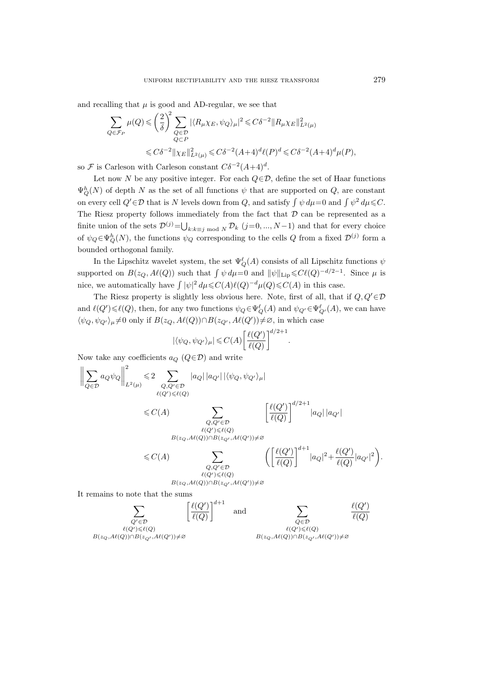and recalling that  $\mu$  is good and AD-regular, we see that

$$
\sum_{Q \in \mathcal{F}_P} \mu(Q) \leqslant \left(\frac{2}{\delta}\right)^2 \sum_{Q \in \mathcal{D}} |\langle R_{\mu} \chi_E, \psi_Q \rangle_{\mu}|^2 \leqslant C\delta^{-2} \|R_{\mu} \chi_E\|_{L^2(\mu)}^2
$$
\n
$$
\leqslant C\delta^{-2} \| \chi_E\|_{L^2(\mu)}^2 \leqslant C\delta^{-2} (A+4)^d \ell(P)^d \leqslant C\delta^{-2} (A+4)^d \mu(P),
$$

so  $\mathcal F$  is Carleson with Carleson constant  $C\delta^{-2}(A+4)^d$ .

Let now N be any positive integer. For each  $Q \in \mathcal{D}$ , define the set of Haar functions  $\Psi_Q^h(N)$  of depth N as the set of all functions  $\psi$  that are supported on Q, are constant on every cell  $Q' \in \mathcal{D}$  that is N levels down from Q, and satisfy  $\int \psi \, d\mu = 0$  and  $\int \psi^2 \, d\mu \leq C$ . The Riesz property follows immediately from the fact that  $D$  can be represented as a finite union of the sets  $\mathcal{D}^{(j)} = \bigcup_{k:k \equiv j \mod N} \mathcal{D}_k$   $(j=0, ..., N-1)$  and that for every choice of  $\psi_Q \in \Psi_Q^h(N)$ , the functions  $\psi_Q$  corresponding to the cells Q from a fixed  $\mathcal{D}^{(j)}$  form a bounded orthogonal family.

In the Lipschitz wavelet system, the set  $\Psi_Q^{\ell}(A)$  consists of all Lipschitz functions  $\psi$ supported on  $B(z_Q, A\ell(Q))$  such that  $\int \psi d\mu = 0$  and  $\|\psi\|_{\text{Lip}} \leqslant C\ell(Q)^{-d/2-1}$ . Since  $\mu$  is nice, we automatically have  $\int |\psi|^2 d\mu \leq C(A)\ell(Q)^{-d}\mu(Q) \leq C(A)$  in this case.

The Riesz property is slightly less obvious here. Note, first of all, that if  $Q, Q' \in \mathcal{D}$ and  $\ell(Q') \leq \ell(Q)$ , then, for any two functions  $\psi_Q \in \Psi_Q^{\ell}(A)$  and  $\psi_{Q'} \in \Psi_{Q'}^{\ell}(A)$ , we can have  $\langle \psi_Q, \psi_{Q'} \rangle_\mu \neq 0$  only if  $B(z_Q, A\ell(Q)) \cap B(z_{Q'}, A\ell(Q')) \neq \emptyset$ , in which case

$$
|\langle \psi_Q, \psi_{Q'} \rangle_{\mu}| \leqslant C(A) \bigg[ \frac{\ell(Q')}{\ell(Q)} \bigg]^{d/2+1}
$$

.

Now take any coefficients  $a_Q$  ( $Q \in \mathcal{D}$ ) and write

$$
\left\|\sum_{Q\in\mathcal{D}}a_Q\psi_Q\right\|_{L^2(\mu)}^2\leqslant 2\sum_{\substack{Q,Q'\in\mathcal{D}\\ \ell(Q')\leqslant \ell(Q)}}|a_Q|\,|a_{Q'}|\,| \langle \psi_Q,\psi_{Q'}\rangle_{\mu}|
$$
  

$$
\leqslant C(A)\sum_{\substack{Q,Q'\in\mathcal{D}\\ \ell(Q')\leqslant \ell(Q)\\ B(z_Q,A\ell(Q))\cap B(z_{Q'},A\ell(Q'))\neq\varnothing}}\frac{\left[\ell(Q')\right]^{d/2+1}|a_Q|\,|a_{Q'}|}{\ell(Q)}|a_{Q'}|
$$
  

$$
\leqslant C(A)\sum_{\substack{Q,Q'\in\mathcal{D}\\ \ell(Q')\leqslant \ell(Q)\\ B(z_Q,A\ell(Q))\cap B(z_{Q'},A\ell(Q'))\neq\varnothing}}\left(\frac{\ell(Q')}{\ell(Q)}\right)^{d+1}|a_Q|^2+\frac{\ell(Q')}{\ell(Q)}|a_{Q'}|^2\right).
$$
  
It remains to note that the sums  

$$
\sum_{\substack{Q'\in\mathcal{D}\\ \ell(Q')\leqslant \ell(Q)\\ \ell(Q')\leqslant \ell(Q)\\ B(z_Q,A\ell(Q))\cap B(z_{Q'},A\ell(Q'))\neq\varnothing}}\frac{\ell(Q')}{\ell(Q)}
$$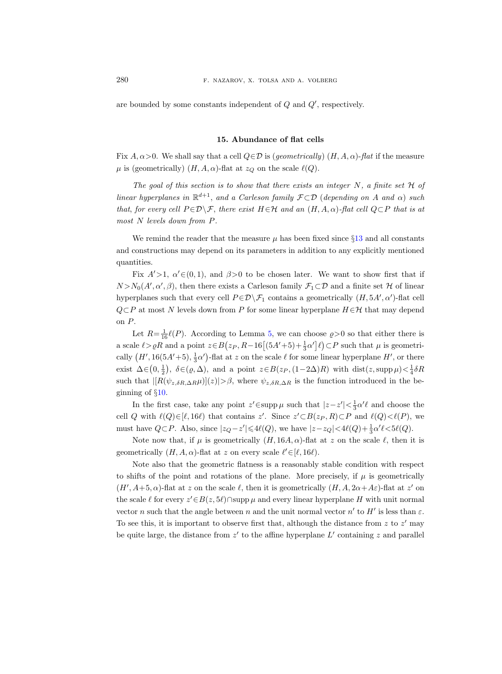are bounded by some constants independent of  $Q$  and  $Q'$ , respectively.

## 15. Abundance of flat cells

<span id="page-43-0"></span>Fix  $A, \alpha > 0$ . We shall say that a cell  $Q \in \mathcal{D}$  is (*geometrically*)  $(H, A, \alpha)$ -flat if the measure  $\mu$  is (geometrically)  $(H, A, \alpha)$ -flat at  $z_Q$  on the scale  $\ell(Q)$ .

The goal of this section is to show that there exists an integer  $N$ , a finite set  $\mathcal H$  of linear hyperplanes in  $\mathbb{R}^{d+1}$ , and a Carleson family  $\mathcal{F} \subset \mathcal{D}$  (depending on A and  $\alpha$ ) such that, for every cell  $P \in \mathcal{D} \setminus \mathcal{F}$ , there exist  $H \in \mathcal{H}$  and an  $(H, A, \alpha)$ -flat cell  $Q \subset P$  that is at most N levels down from P.

We remind the reader that the measure  $\mu$  has been fixed since §[13](#page-38-0) and all constants and constructions may depend on its parameters in addition to any explicitly mentioned quantities.

Fix  $A' > 1$ ,  $\alpha' \in (0, 1)$ , and  $\beta > 0$  to be chosen later. We want to show first that if  $N > N_0(A', \alpha', \beta)$ , then there exists a Carleson family  $\mathcal{F}_1 \subset \mathcal{D}$  and a finite set H of linear hyperplanes such that every cell  $P \in \mathcal{D} \backslash \mathcal{F}_1$  contains a geometrically  $(H, 5A', \alpha')$ -flat cell  $Q\subset P$  at most N levels down from P for some linear hyperplane  $H\in H$  that may depend on P.

Let  $R = \frac{1}{16} \ell(P)$ . According to Lemma [5,](#page-24-0) we can choose  $\rho > 0$  so that either there is a scale  $\ell > \rho R$  and a point  $z \in B(z_P, R-16[(5A'+5)+\frac{1}{3}\alpha']\ell) \subset P$  such that  $\mu$  is geometrically  $(H', 16(5A'+5), \frac{1}{3}\alpha')$ -flat at z on the scale  $\ell$  for some linear hyperplane  $H'$ , or there exist  $\Delta \in (0, \frac{1}{2})$ ,  $\delta \in (\varrho, \Delta)$ , and a point  $z \in B(z_P, (1-2\Delta)R)$  with  $dist(z, \text{supp }\mu) < \frac{1}{4}\delta R$ such that  $\frac{|R(\psi_{z,\delta R,\Delta R}\mu)|(z)|>\beta$ , where  $\psi_{z,\delta R,\Delta R}$  is the function introduced in the beginning of §[10.](#page-24-1)

In the first case, take any point  $z' \in \text{supp }\mu$  such that  $|z-z'| < \frac{1}{3}\alpha'\ell$  and choose the cell Q with  $\ell(Q) \in [\ell, 16\ell)$  that contains z'. Since  $z' \subset B(z_P, R) \subset P$  and  $\ell(Q) \lt \ell(P)$ , we must have  $Q \subset P$ . Also, since  $|z_Q - z'| \leq \frac{4\ell(Q)}{Q}$ , we have  $|z - z_Q| < \frac{4\ell(Q) + \frac{1}{3}\alpha'\ell}{\leq}$ .

Note now that, if  $\mu$  is geometrically  $(H, 16A, \alpha)$ -flat at z on the scale  $\ell$ , then it is geometrically  $(H, A, \alpha)$ -flat at z on every scale  $\ell' \in [\ell, 16\ell)$ .

Note also that the geometric flatness is a reasonably stable condition with respect to shifts of the point and rotations of the plane. More precisely, if  $\mu$  is geometrically  $(H', A+5, \alpha)$ -flat at z on the scale  $\ell$ , then it is geometrically  $(H, A, 2\alpha+A\varepsilon)$ -flat at z' on the scale  $\ell$  for every  $z' \in B(z, 5\ell) \cap \text{supp }\mu$  and every linear hyperplane H with unit normal vector n such that the angle between n and the unit normal vector  $n'$  to  $H'$  is less than  $\varepsilon$ . To see this, it is important to observe first that, although the distance from  $z$  to  $z'$  may be quite large, the distance from  $z'$  to the affine hyperplane  $L'$  containing z and parallel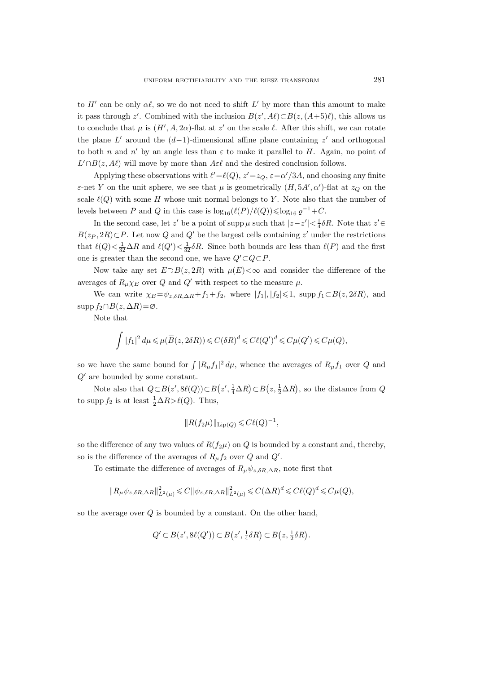to  $H'$  can be only  $\alpha\ell$ , so we do not need to shift L' by more than this amount to make it pass through z'. Combined with the inclusion  $B(z', A\ell) \subset B(z, (A+5)\ell)$ , this allows us to conclude that  $\mu$  is  $(H', A, 2\alpha)$ -flat at z' on the scale  $\ell$ . After this shift, we can rotate the plane  $L'$  around the  $(d-1)$ -dimensional affine plane containing z' and orthogonal to both n and n' by an angle less than  $\varepsilon$  to make it parallel to H. Again, no point of  $L' \cap B(z, A\ell)$  will move by more than  $A \in \ell$  and the desired conclusion follows.

Applying these observations with  $\ell' = \ell(Q), z' = z_Q, \epsilon = \alpha'/3A$ , and choosing any finite  $\varepsilon$ -net Y on the unit sphere, we see that  $\mu$  is geometrically  $(H, 5A', \alpha')$ -flat at  $z_Q$  on the scale  $\ell(Q)$  with some H whose unit normal belongs to Y. Note also that the number of levels between P and Q in this case is  $\log_{16}(\ell(P)/\ell(Q)) \leq \log_{16} \varrho^{-1} + C$ .

In the second case, let z' be a point of supp  $\mu$  such that  $|z-z'|<\frac{1}{4}\delta R$ . Note that  $z'\in$  $B(z_P, 2R) \subset P$ . Let now Q and Q' be the largest cells containing z' under the restrictions that  $\ell(Q) < \frac{1}{32}\Delta R$  and  $\ell(Q') < \frac{1}{32}\delta R$ . Since both bounds are less than  $\ell(P)$  and the first one is greater than the second one, we have  $Q' \subset Q \subset P$ .

Now take any set  $E\supset B(z, 2R)$  with  $\mu(E)<\infty$  and consider the difference of the averages of  $R_u \chi_E$  over Q and Q' with respect to the measure  $\mu$ .

We can write  $\chi_E = \psi_{z,\delta R,\Delta R} + f_1 + f_2$ , where  $|f_1|, |f_2| \leq 1$ , supp  $f_1 \subset \overline{B}(z, 2\delta R)$ , and  $\text{supp } f_2 \cap B(z, \Delta R) = \varnothing.$ 

Note that

$$
\int |f_1|^2 d\mu \leq \mu(\overline{B}(z, 2\delta R)) \leq C(\delta R)^d \leq C\ell(Q')^d \leq C\mu(Q') \leq C\mu(Q),
$$

so we have the same bound for  $\int |R_{\mu}f_1|^2 d\mu$ , whence the averages of  $R_{\mu}f_1$  over Q and  $Q'$  are bounded by some constant.

Note also that  $Q \subset B(z', 8\ell(Q)) \subset B(z', \frac{1}{4}\Delta R) \subset B(z, \frac{1}{2}\Delta R)$ , so the distance from Q to supp  $f_2$  is at least  $\frac{1}{2}\Delta R > \ell(Q)$ . Thus,

$$
||R(f_2\mu)||_{\text{Lip}(Q)} \leqslant C\ell(Q)^{-1},
$$

so the difference of any two values of  $R(f_2\mu)$  on Q is bounded by a constant and, thereby, so is the difference of the averages of  $R_{\mu}f_2$  over Q and Q'.

To estimate the difference of averages of  $R_{\mu}\psi_{z,\delta R,\Delta R}$ , note first that

$$
\|R_\mu\psi_{z,\delta R,\Delta R}\|_{L^2(\mu)}^2\leqslant C\|\psi_{z,\delta R,\Delta R}\|_{L^2(\mu)}^2\leqslant C(\Delta R)^d\leqslant C\ell(Q)^d\leqslant C\mu(Q),
$$

so the average over  $Q$  is bounded by a constant. On the other hand,

$$
Q' \subset B(z', 8\ell(Q')) \subset B(z', \frac{1}{4}\delta R) \subset B(z, \frac{1}{2}\delta R).
$$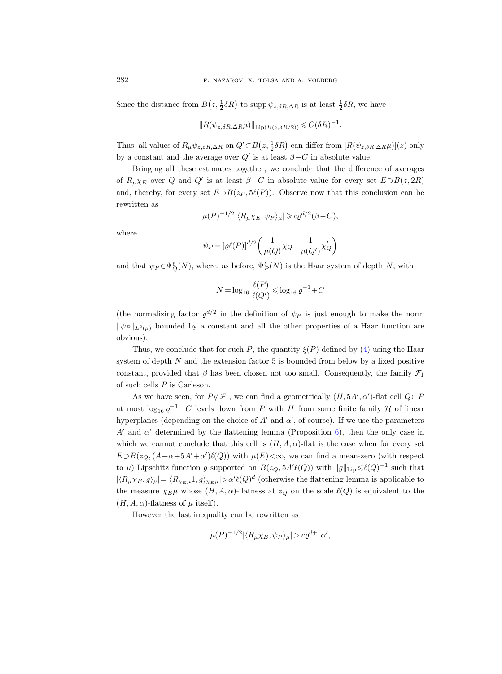Since the distance from  $B(z, \frac{1}{2}\delta R)$  to supp  $\psi_{z, \delta R, \Delta R}$  is at least  $\frac{1}{2}\delta R$ , we have

$$
||R(\psi_{z,\delta R,\Delta R}\mu)||_{\text{Lip}(B(z,\delta R/2))} \leqslant C(\delta R)^{-1}.
$$

Thus, all values of  $R_\mu\psi_{z,\delta R,\Delta R}$  on  $Q'\subset B(z,\frac{1}{2}\delta R)$  can differ from  $[R(\psi_{z,\delta R,\Delta R}\mu)](z)$  only by a constant and the average over  $Q'$  is at least  $\beta - C$  in absolute value.

Bringing all these estimates together, we conclude that the difference of averages of  $R_{\mu}\chi_E$  over Q and Q' is at least  $\beta-C$  in absolute value for every set  $E\supset B(z, 2R)$ and, thereby, for every set  $E\supset B(z_P, 5\ell(P))$ . Observe now that this conclusion can be rewritten as

$$
\mu(P)^{-1/2} |\langle R_{\mu} \chi_E, \psi_P \rangle_{\mu}| \geqslant c \varrho^{d/2} (\beta - C),
$$

where

$$
\psi_P = [\varrho \ell(P)]^{d/2} \left( \frac{1}{\mu(Q)} \chi_Q - \frac{1}{\mu(Q')} \chi'_Q \right)
$$

and that  $\psi_P \in \Psi_Q^{\ell}(N)$ , where, as before,  $\Psi_P^{\ell}(N)$  is the Haar system of depth N, with

$$
N = \log_{16} \frac{\ell(P)}{\ell(Q')} \leq \log_{16} \varrho^{-1} + C
$$

(the normalizing factor  $\varrho^{d/2}$  in the definition of  $\psi_P$  is just enough to make the norm  $\|\psi_P\|_{L^2(\mu)}$  bounded by a constant and all the other properties of a Haar function are obvious).

Thus, we conclude that for such P, the quantity  $\xi(P)$  defined by [\(4\)](#page-41-0) using the Haar system of depth  $N$  and the extension factor 5 is bounded from below by a fixed positive constant, provided that  $\beta$  has been chosen not too small. Consequently, the family  $\mathcal{F}_1$ of such cells P is Carleson.

As we have seen, for  $P \notin \mathcal{F}_1$ , we can find a geometrically  $(H, 5A', \alpha')$ -flat cell  $Q \subset P$ at most  $\log_{16} \varrho^{-1}$ +C levels down from P with H from some finite family H of linear hyperplanes (depending on the choice of  $A'$  and  $\alpha'$ , of course). If we use the parameters A' and  $\alpha'$  determined by the flattening lemma (Proposition [6\)](#page-28-0), then the only case in which we cannot conclude that this cell is  $(H, A, \alpha)$ -flat is the case when for every set  $E \supset B(z_Q, (A+\alpha+5A'+\alpha')\ell(Q))$  with  $\mu(E)<\infty$ , we can find a mean-zero (with respect to  $\mu$ ) Lipschitz function g supported on  $B(z_Q, 5A'\ell(Q))$  with  $||g||_{\text{Lip}} \leq \ell(Q)^{-1}$  such that  $|\langle R_\mu \chi_E, g \rangle_\mu| = |\langle R_{\chi_E\mu}1, g \rangle_{\chi_E\mu}| > \alpha' \ell(Q)^d$  (otherwise the flattening lemma is applicable to the measure  $\chi_E \mu$  whose  $(H, A, \alpha)$ -flatness at  $z_Q$  on the scale  $\ell(Q)$  is equivalent to the  $(H, A, \alpha)$ -flatness of  $\mu$  itself).

However the last inequality can be rewritten as

$$
\mu(P)^{-1/2} |\langle R_{\mu}\chi_E, \psi_P \rangle_{\mu}| > c \varrho^{d+1} \alpha',
$$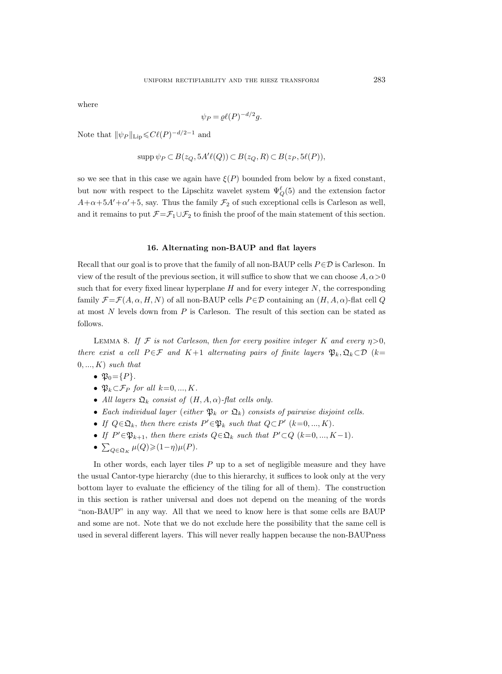where

$$
\psi_P = \varrho \ell(P)^{-d/2} g.
$$

Note that  $\|\psi_P\|_{\text{Lip}} \leqslant C\ell(P)^{-d/2-1}$  and

$$
\operatorname{supp} \psi_P \subset B(z_Q, 5A'\ell(Q)) \subset B(z_Q, R) \subset B(z_P, 5\ell(P)),
$$

so we see that in this case we again have  $\xi(P)$  bounded from below by a fixed constant, but now with respect to the Lipschitz wavelet system  $\Psi_Q^{\ell}(5)$  and the extension factor  $A+\alpha+5A'+\alpha'+5$ , say. Thus the family  $\mathcal{F}_2$  of such exceptional cells is Carleson as well, and it remains to put  $\mathcal{F}=\mathcal{F}_1\cup\mathcal{F}_2$  to finish the proof of the main statement of this section.

### 16. Alternating non-BAUP and flat layers

<span id="page-46-0"></span>Recall that our goal is to prove that the family of all non-BAUP cells  $P \in \mathcal{D}$  is Carleson. In view of the result of the previous section, it will suffice to show that we can choose  $A, \alpha > 0$ such that for every fixed linear hyperplane  $H$  and for every integer  $N$ , the corresponding family  $\mathcal{F} = \mathcal{F}(A, \alpha, H, N)$  of all non-BAUP cells  $P \in \mathcal{D}$  containing an  $(H, A, \alpha)$ -flat cell Q at most N levels down from P is Carleson. The result of this section can be stated as follows.

LEMMA 8. If F is not Carleson, then for every positive integer K and every  $\eta > 0$ , there exist a cell  $P \in \mathcal{F}$  and  $K+1$  alternating pairs of finite layers  $\mathfrak{P}_k, \mathfrak{Q}_k \subset \mathcal{D}$  (k=  $0, ..., K$ ) such that

$$
\bullet \mathfrak{P}_0 = \{P\}.
$$

- $\mathfrak{P}_k \subset \mathcal{F}_P$  for all  $k=0, ..., K$ .
- All layers  $\mathfrak{Q}_k$  consist of  $(H, A, \alpha)$ -flat cells only.
- Each individual layer (either  $\mathfrak{P}_k$  or  $\mathfrak{Q}_k$ ) consists of pairwise disjoint cells.
- If  $Q \in \mathfrak{Q}_k$ , then there exists  $P' \in \mathfrak{P}_k$  such that  $Q \subset P'$   $(k=0, ..., K)$ .
- If  $P' \in \mathfrak{P}_{k+1}$ , then there exists  $Q \in \mathfrak{Q}_k$  such that  $P' \subset Q$  (k=0, ..., K-1).
- $\sum_{Q \in \mathfrak{Q}_K} \mu(Q) \geqslant (1-\eta)\mu(P).$

In other words, each layer tiles  $P$  up to a set of negligible measure and they have the usual Cantor-type hierarchy (due to this hierarchy, it suffices to look only at the very bottom layer to evaluate the efficiency of the tiling for all of them). The construction in this section is rather universal and does not depend on the meaning of the words "non-BAUP" in any way. All that we need to know here is that some cells are BAUP and some are not. Note that we do not exclude here the possibility that the same cell is used in several different layers. This will never really happen because the non-BAUPness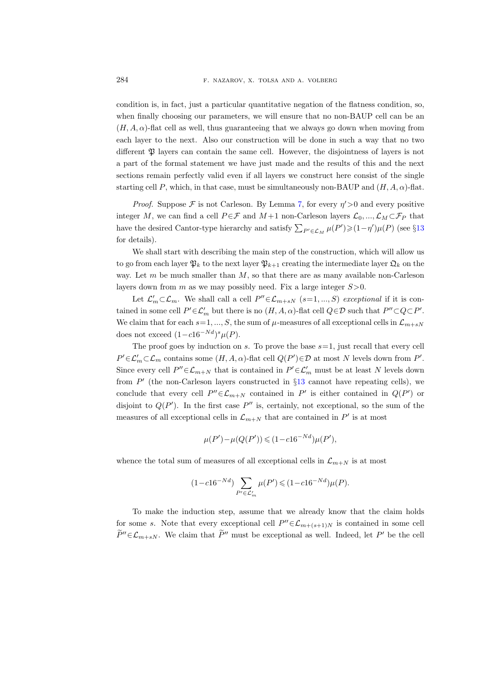condition is, in fact, just a particular quantitative negation of the flatness condition, so, when finally choosing our parameters, we will ensure that no non-BAUP cell can be an  $(H, A, \alpha)$ -flat cell as well, thus guaranteeing that we always go down when moving from each layer to the next. Also our construction will be done in such a way that no two different  $\mathfrak P$  layers can contain the same cell. However, the disjointness of layers is not a part of the formal statement we have just made and the results of this and the next sections remain perfectly valid even if all layers we construct here consist of the single starting cell P, which, in that case, must be simultaneously non-BAUP and  $(H, A, \alpha)$ -flat.

*Proof.* Suppose  $\mathcal F$  is not Carleson. By Lemma [7,](#page-38-1) for every  $\eta' > 0$  and every positive integer M, we can find a cell  $P \in \mathcal{F}$  and  $M+1$  non-Carleson layers  $\mathcal{L}_0, ..., \mathcal{L}_M \subset \mathcal{F}_P$  that have the desired Cantor-type hierarchy and satisfy  $\sum_{P' \in \mathcal{L}_M} \mu(P') \geq (1 - \eta') \mu(P)$  (see §[13](#page-38-0) for details).

We shall start with describing the main step of the construction, which will allow us to go from each layer  $\mathfrak{P}_k$  to the next layer  $\mathfrak{P}_{k+1}$  creating the intermediate layer  $\mathfrak{Q}_k$  on the way. Let  $m$  be much smaller than  $M$ , so that there are as many available non-Carleson layers down from m as we may possibly need. Fix a large integer  $S > 0$ .

Let  $\mathcal{L}'_m \subset \mathcal{L}_m$ . We shall call a cell  $P'' \in \mathcal{L}_{m+sN}$   $(s=1,...,S)$  exceptional if it is contained in some cell  $P' \in \mathcal{L}'_m$  but there is no  $(H, A, \alpha)$ -flat cell  $Q \in \mathcal{D}$  such that  $P'' \subset Q \subset P'$ . We claim that for each  $s=1, ..., S$ , the sum of  $\mu$ -measures of all exceptional cells in  $\mathcal{L}_{m+sN}$ does not exceed  $(1-c16^{-Nd})^s \mu(P)$ .

The proof goes by induction on s. To prove the base  $s=1$ , just recall that every cell  $P' \in \mathcal{L}'_m \subset \mathcal{L}_m$  contains some  $(H, A, \alpha)$ -flat cell  $Q(P') \in \mathcal{D}$  at most N levels down from P'. Since every cell  $P'' \in \mathcal{L}_{m+N}$  that is contained in  $P' \in \mathcal{L}'_m$  must be at least N levels down from  $P'$  (the non-Carleson layers constructed in §[13](#page-38-0) cannot have repeating cells), we conclude that every cell  $P'' \in \mathcal{L}_{m+N}$  contained in  $P'$  is either contained in  $Q(P')$  or disjoint to  $Q(P')$ . In the first case  $P''$  is, certainly, not exceptional, so the sum of the measures of all exceptional cells in  $\mathcal{L}_{m+N}$  that are contained in  $P'$  is at most

$$
\mu(P') - \mu(Q(P')) \leq (1 - c16^{-Nd})\mu(P'),
$$

whence the total sum of measures of all exceptional cells in  $\mathcal{L}_{m+N}$  is at most

$$
(1 - c16^{-Nd}) \sum_{P' \in \mathcal{L}'_m} \mu(P') \leqslant (1 - c16^{-Nd})\mu(P).
$$

To make the induction step, assume that we already know that the claim holds for some s. Note that every exceptional cell  $P'' \in \mathcal{L}_{m+(s+1)N}$  is contained in some cell  $\widetilde{P}'' \in \mathcal{L}_{m+sN}$ . We claim that  $\widetilde{P}''$  must be exceptional as well. Indeed, let P' be the cell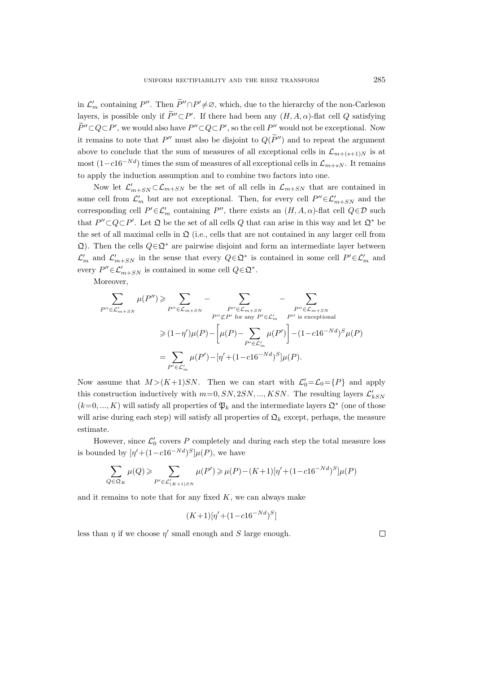in  $\mathcal{L}'_m$  containing P''. Then  $\widetilde{P}'' \cap P' \neq \emptyset$ , which, due to the hierarchy of the non-Carleson layers, is possible only if  $P'' \subset P'$ . If there had been any  $(H, A, \alpha)$ -flat cell Q satisfying  $P'' \subset Q \subset P'$ , we would also have  $P'' \subset Q \subset P'$ , so the cell  $P''$  would not be exceptional. Now it remains to note that  $P''$  must also be disjoint to  $Q(P'')$  and to repeat the argument above to conclude that the sum of measures of all exceptional cells in  $\mathcal{L}_{m+(s+1)N}$  is at most  $(1-c16^{-Nd})$  times the sum of measures of all exceptional cells in  $\mathcal{L}_{m+sN}$ . It remains to apply the induction assumption and to combine two factors into one.

Now let  $\mathcal{L}'_{m+SN} \subset \mathcal{L}_{m+SN}$  be the set of all cells in  $\mathcal{L}_{m+SN}$  that are contained in some cell from  $\mathcal{L}'_m$  but are not exceptional. Then, for every cell  $P''\in\mathcal{L}'_{m+SN}$  and the corresponding cell  $P' \in \mathcal{L}'_m$  containing P'', there exists an  $(H, A, \alpha)$ -flat cell  $Q \in \mathcal{D}$  such that  $P'' \subset Q \subset P'$ . Let  $\mathfrak D$  be the set of all cells Q that can arise in this way and let  $\mathfrak D^*$  be the set of all maximal cells in  $\mathcal{Q}$  (i.e., cells that are not contained in any larger cell from  $\Omega$ ). Then the cells  $Q \in \Omega^*$  are pairwise disjoint and form an intermediate layer between  $\mathcal{L}'_m$  and  $\mathcal{L}'_{m+SN}$  in the sense that every  $Q \in \mathfrak{Q}^*$  is contained in some cell  $P' \in \mathcal{L}'_m$  and every  $P'' \in \mathcal{L}'_{m+SN}$  is contained in some cell  $Q \in \mathfrak{Q}^*$ .

Moreover,

$$
\sum_{P'' \in \mathcal{L}'_{m+SN}} \mu(P'') \geqslant \sum_{P'' \in \mathcal{L}_{m+SN}} - \sum_{P'' \in \mathcal{L}_{m+SN}} - \sum_{P'' \in \mathcal{L}_{m+SN}} - \sum_{P'' \in \mathcal{L}_{m+SN}} - \sum_{P'' \in \mathcal{L}_{m+SN}} - \sum_{P'' \in \mathcal{L}'_{m+SN}} - \sum_{P'' \in \mathcal{L}'_{m+SN}} - \sum_{P'' \in \mathcal{L}'_{m+SN}} - \sum_{P'' \in \mathcal{L}'_{m+SN}} - \sum_{P'' \in \mathcal{L}'_{m+SN}} - \sum_{P'' \in \mathcal{L}'_{m+SN}} - \sum_{P'' \in \mathcal{L}'_{m+SN}} - \sum_{P'' \in \mathcal{L}'_{m+SN}} - \sum_{P'' \in \mathcal{L}'_{m+SN}} - \sum_{P'' \in \mathcal{L}'_{m+SN}} - \sum_{P'' \in \mathcal{L}'_{m+SN}} - \sum_{P'' \in \mathcal{L}'_{m+SN}} - \sum_{P'' \in \mathcal{L}'_{m+SN}} - \sum_{P'' \in \mathcal{L}'_{m+SN}} - \sum_{P'' \in \mathcal{L}'_{m+SN}} - \sum_{P'' \in \mathcal{L}'_{m+SN}} - \sum_{P'' \in \mathcal{L}'_{m+SN}} - \sum_{P'' \in \mathcal{L}'_{m+SN}} - \sum_{P'' \in \mathcal{L}'_{m+SN}} - \sum_{P'' \in \mathcal{L}'_{m+SN}} - \sum_{P'' \in \mathcal{L}'_{m+SN}} - \sum_{P'' \in \mathcal{L}'_{m+SN}} - \sum_{P'' \in \mathcal{L}'_{m+SN}} - \sum_{P'' \in \mathcal{L}'_{m+SN}} - \sum_{P'' \in \mathcal{L}'_{m+SN}} - \sum_{P'' \in \mathcal{L}'_{m+SN}} - \sum_{P'' \in \mathcal{L}'_{m+SN}} - \sum_{P'' \in \mathcal{L}'_{m+SN}} - \sum_{P'' \in \mathcal{L}'_{m+SN}} - \sum_{P'' \in \mathcal{L}'_{m+SN}} - \sum_{P'' \in \mathcal{L}'_{m+SN}} - \sum_{P'' \in \mathcal{L}'_{m+SN}} - \sum_{P'' \in \mathcal{L}'_{m+SN}} - \sum_{P'' \in \mathcal{L}'_{m
$$

Now assume that  $M > (K+1)SN$ . Then we can start with  $\mathcal{L}'_0 = \mathcal{L}_0 = \{P\}$  and apply this construction inductively with  $m=0, SN, 2SN, ..., KSN$ . The resulting layers  $\mathcal{L}'_{kSN}$  $(k=0, ..., K)$  will satisfy all properties of  $\mathfrak{P}_k$  and the intermediate layers  $\mathfrak{Q}^*$  (one of those will arise during each step) will satisfy all properties of  $\Omega_k$  except, perhaps, the measure estimate.

However, since  $\mathcal{L}'_0$  covers P completely and during each step the total measure loss is bounded by  $[\eta' + (1 - c16^{-Nd})^S]\mu(P)$ , we have

$$
\sum_{Q \in \mathfrak{Q}_K} \mu(Q) \geq \sum_{P' \in \mathcal{L}'_{(K+1)SN}} \mu(P') \geq \mu(P) - (K+1)[\eta' + (1 - c16^{-Nd})^S]\mu(P)
$$

and it remains to note that for any fixed  $K$ , we can always make

$$
(K+1)[\eta' + (1-c16^{-Nd})^S]
$$

less than  $\eta$  if we choose  $\eta'$  small enough and S large enough.

 $\Box$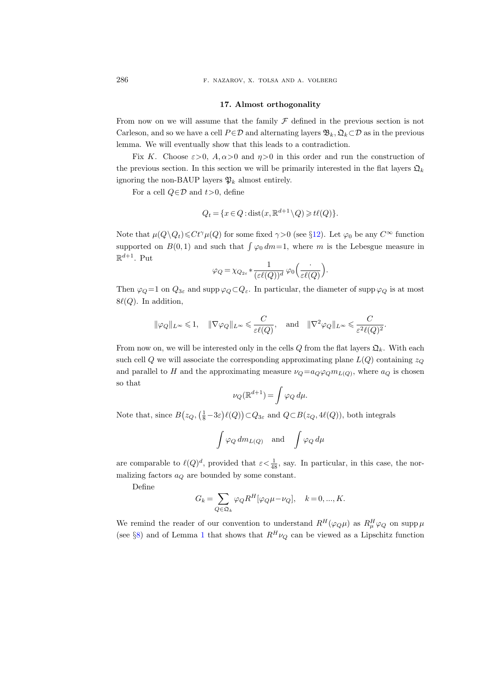286 F. NAZAROV, X. TOLSA AND A. VOLBERG

#### 17. Almost orthogonality

From now on we will assume that the family  $\mathcal F$  defined in the previous section is not Carleson, and so we have a cell  $P \in \mathcal{D}$  and alternating layers  $\mathfrak{B}_k, \mathfrak{Q}_k \subset \mathcal{D}$  as in the previous lemma. We will eventually show that this leads to a contradiction.

Fix K. Choose  $\varepsilon > 0$ ,  $A, \alpha > 0$  and  $\eta > 0$  in this order and run the construction of the previous section. In this section we will be primarily interested in the flat layers  $\mathfrak{Q}_k$ ignoring the non-BAUP layers  $\mathfrak{P}_k$  almost entirely.

For a cell  $Q \in \mathcal{D}$  and  $t > 0$ , define

$$
Q_t = \{x \in Q : \text{dist}(x, \mathbb{R}^{d+1} \setminus Q) \geq t\ell(Q)\}.
$$

Note that  $\mu(Q\backslash Q_t) \leq Ct^{\gamma}\mu(Q)$  for some fixed  $\gamma>0$  (see §[12\)](#page-33-0). Let  $\varphi_0$  be any  $C^{\infty}$  function supported on  $B(0,1)$  and such that  $\int \varphi_0 dm=1$ , where m is the Lebesgue measure in  $\mathbb{R}^{d+1}$ . Put

$$
\varphi_Q = \chi_{Q_{2\varepsilon}} * \frac{1}{(\varepsilon \ell(Q))^d} \varphi_0\left(\frac{\cdot}{\varepsilon \ell(Q)}\right).
$$

Then  $\varphi_Q = 1$  on  $Q_{3\varepsilon}$  and supp  $\varphi_Q \subset Q_{\varepsilon}$ . In particular, the diameter of supp  $\varphi_Q$  is at most  $8\ell(Q)$ . In addition,

$$
\|\varphi_Q\|_{L^\infty}\leqslant 1,\quad \|\nabla\varphi_Q\|_{L^\infty}\leqslant \frac{C}{\varepsilon\ell(Q)},\quad \text{and}\quad \|\nabla^2\varphi_Q\|_{L^\infty}\leqslant \frac{C}{\varepsilon^2\ell(Q)^2}.
$$

From now on, we will be interested only in the cells Q from the flat layers  $\mathfrak{Q}_k$ . With each such cell Q we will associate the corresponding approximating plane  $L(Q)$  containing  $z_Q$ and parallel to H and the approximating measure  $\nu_Q = a_Q \varphi_Q m_{L(Q)}$ , where  $a_Q$  is chosen so that

$$
\nu_Q(\mathbb{R}^{d+1}) = \int \varphi_Q \, d\mu.
$$

Note that, since  $B(z_Q, (\frac{1}{8} - 3\varepsilon)\ell(Q)) \subset Q_{3\varepsilon}$  and  $Q \subset B(z_Q, 4\ell(Q))$ , both integrals

$$
\int \varphi_Q dm_{L(Q)} \quad \text{and} \quad \int \varphi_Q d\mu
$$

are comparable to  $\ell(Q)^d$ , provided that  $\varepsilon < \frac{1}{48}$ , say. In particular, in this case, the normalizing factors  $a_Q$  are bounded by some constant.

Define

$$
G_k = \sum_{Q \in \mathfrak{Q}_k} \varphi_Q R^H [\varphi_Q \mu - \nu_Q], \quad k = 0, ..., K.
$$

We remind the reader of our convention to understand  $R^H(\varphi_Q\mu)$  as  $R^H_\mu\varphi_Q$  on supp  $\mu$ (see §[8\)](#page-15-0) and of Lemma [1](#page-10-0) that shows that  $R^H \nu_Q$  can be viewed as a Lipschitz function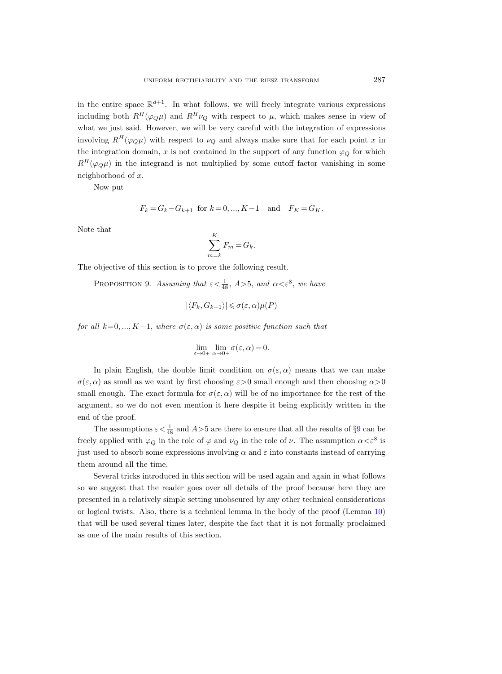in the entire space  $\mathbb{R}^{d+1}$ . In what follows, we will freely integrate various expressions including both  $R^H(\varphi_Q\mu)$  and  $R^H\nu_Q$  with respect to  $\mu$ , which makes sense in view of what we just said. However, we will be very careful with the integration of expressions involving  $R^H(\varphi_Q\mu)$  with respect to  $\nu_Q$  and always make sure that for each point x in the integration domain, x is not contained in the support of any function  $\varphi_Q$  for which  $R^H(\varphi_{\mathcal{O}}\mu)$  in the integrand is not multiplied by some cutoff factor vanishing in some neighborhood of x.

Now put

$$
F_k = G_k - G_{k+1}
$$
 for  $k = 0, ..., K-1$  and  $F_K = G_K$ .

Note that

$$
\sum_{m=k}^{K} F_m = G_k.
$$

<span id="page-50-0"></span>The objective of this section is to prove the following result.

PROPOSITION 9. Assuming that  $\epsilon < \frac{1}{48}$ ,  $A > 5$ , and  $\alpha < \epsilon^8$ , we have

$$
|\langle F_k, G_{k+1}\rangle| \leq \sigma(\varepsilon,\alpha)\mu(P)
$$

for all  $k=0, ..., K-1$ , where  $\sigma(\varepsilon, \alpha)$  is some positive function such that

$$
\lim_{\varepsilon \to 0+} \lim_{\alpha \to 0+} \sigma(\varepsilon, \alpha) = 0.
$$

In plain English, the double limit condition on  $\sigma(\varepsilon, \alpha)$  means that we can make  $\sigma(\varepsilon, \alpha)$  as small as we want by first choosing  $\varepsilon > 0$  small enough and then choosing  $\alpha > 0$ small enough. The exact formula for  $\sigma(\varepsilon, \alpha)$  will be of no importance for the rest of the argument, so we do not even mention it here despite it being explicitly written in the end of the proof.

The assumptions  $\varepsilon < \frac{1}{48}$  and  $A > 5$  are there to ensure that all the results of §[9](#page-20-0) can be freely applied with  $\varphi_Q$  in the role of  $\varphi$  and  $\nu_Q$  in the role of  $\nu$ . The assumption  $\alpha < \varepsilon^8$  is just used to absorb some expressions involving  $\alpha$  and  $\varepsilon$  into constants instead of carrying them around all the time.

Several tricks introduced in this section will be used again and again in what follows so we suggest that the reader goes over all details of the proof because here they are presented in a relatively simple setting unobscured by any other technical considerations or logical twists. Also, there is a technical lemma in the body of the proof (Lemma [10\)](#page-51-0) that will be used several times later, despite the fact that it is not formally proclaimed as one of the main results of this section.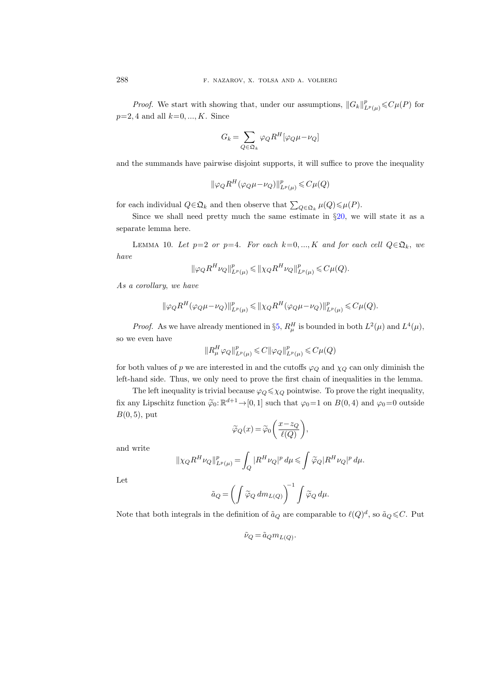*Proof.* We start with showing that, under our assumptions,  $||G_k||_{L^p(\mu)}^p \leq C\mu(P)$  for  $p=2, 4$  and all  $k=0, ..., K$ . Since

$$
G_k=\sum_{Q\in\mathfrak{Q}_k}\varphi_Q R^H[\varphi_Q\mu-\nu_Q]
$$

and the summands have pairwise disjoint supports, it will suffice to prove the inequality

$$
\|\varphi_Q R^H(\varphi_Q \mu - \nu_Q)\|_{L^p(\mu)}^p \leqslant C \mu(Q)
$$

for each individual  $Q \in \mathfrak{Q}_k$  and then observe that  $\sum_{Q \in \mathfrak{Q}_k} \mu(Q) \leq \mu(P)$ .

Since we shall need pretty much the same estimate in  $\S20$ , we will state it as a separate lemma here.

<span id="page-51-0"></span>LEMMA 10. Let  $p=2$  or  $p=4$ . For each  $k=0, ..., K$  and for each cell  $Q \in \mathfrak{Q}_k$ , we have

$$
\|\varphi_Q R^H \nu_Q\|_{L^p(\mu)}^p \leq \|\chi_Q R^H \nu_Q\|_{L^p(\mu)}^p \leqslant C\mu(Q).
$$

As a corollary, we have

$$
\|\varphi_Q R^H(\varphi_Q \mu - \nu_Q)\|_{L^p(\mu)}^p \leq \|\chi_Q R^H(\varphi_Q \mu - \nu_Q)\|_{L^p(\mu)}^p \leqslant C \mu(Q).
$$

*Proof.* As we have already mentioned in §[5,](#page-5-0)  $R_{\mu}^{H}$  is bounded in both  $L^{2}(\mu)$  and  $L^{4}(\mu)$ , so we even have

$$
\|R^H_\mu \varphi_Q\|_{L^p(\mu)}^p \leqslant C \|\varphi_Q\|_{L^p(\mu)}^p \leqslant C \mu(Q)
$$

for both values of p we are interested in and the cutoffs  $\varphi_Q$  and  $\chi_Q$  can only diminish the left-hand side. Thus, we only need to prove the first chain of inequalities in the lemma.

The left inequality is trivial because  $\varphi_Q \leq \chi_Q$  pointwise. To prove the right inequality, fix any Lipschitz function  $\tilde{\varphi}_0: \mathbb{R}^{d+1} \to [0, 1]$  such that  $\varphi_0 = 1$  on  $B(0, 4)$  and  $\varphi_0 = 0$  outside  $B(0, 5)$ , put

$$
\widetilde{\varphi}_Q(x) = \widetilde{\varphi}_0\bigg(\frac{x - z_Q}{\ell(Q)}\bigg),\,
$$

and write

$$
\|\chi_Q R^H \nu_Q\|_{L^p(\mu)}^p = \int_Q |R^H \nu_Q|^p \, d\mu \leqslant \int \widetilde{\varphi}_Q |R^H \nu_Q|^p \, d\mu.
$$

Let

$$
\tilde{a}_Q = \left( \int \widetilde{\varphi}_Q \, dm_{L(Q)} \right)^{-1} \int \widetilde{\varphi}_Q \, d\mu.
$$

Note that both integrals in the definition of  $\tilde{a}_Q$  are comparable to  $\ell(Q)^d$ , so  $\tilde{a}_Q \leq C$ . Put

$$
\tilde{\nu}_Q = \tilde{a}_Q m_{L(Q)}.
$$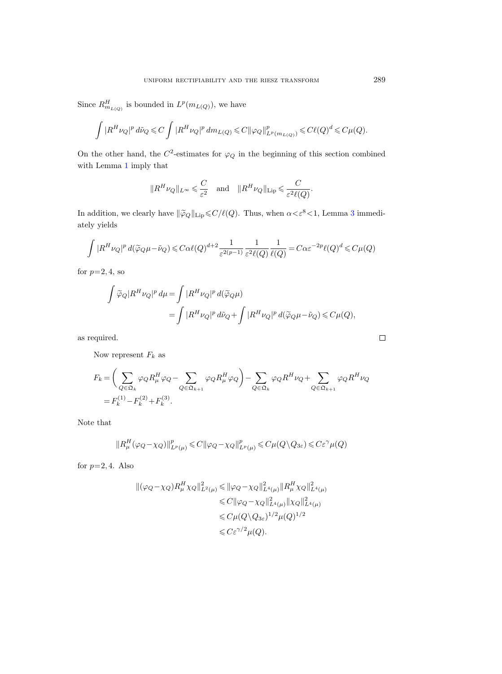Since  $R_{m_{L(Q)}}^H$  is bounded in  $L^p(m_{L(Q)})$ , we have

$$
\int |R^H \nu_Q|^p \, d\tilde \nu_Q \leqslant C \int |R^H \nu_Q|^p \, dm_{L(Q)} \leqslant C\|\varphi_Q\|_{L^p(m_{L(Q)})}^p \leqslant C\ell(Q)^d \leqslant C\mu(Q).
$$

On the other hand, the  $C^2$ -estimates for  $\varphi_Q$  in the beginning of this section combined with Lemma [1](#page-10-0) imply that

$$
||R^H \nu_Q||_{L^{\infty}} \leq \frac{C}{\varepsilon^2}
$$
 and  $||R^H \nu_Q||_{\text{Lip}} \leq \frac{C}{\varepsilon^2 \ell(Q)}$ .

In addition, we clearly have  $\|\widetilde{\varphi}_Q\|_{\operatorname{Lip}}\leqslant C/\ell(Q)$ . Thus, when  $\alpha<\varepsilon^8<1$ , Lemma [3](#page-21-0) immediately yields

$$
\int |R^H \nu_Q|^p \, d(\widetilde{\varphi}_Q \mu - \widetilde{\nu}_Q) \leqslant C \alpha \ell(Q)^{d+2} \frac{1}{\varepsilon^{2(p-1)}} \frac{1}{\varepsilon^2 \ell(Q)} \frac{1}{\ell(Q)} = C \alpha \varepsilon^{-2p} \ell(Q)^d \leqslant C \mu(Q)
$$

for  $p=2, 4$ , so

$$
\begin{split} \int \widetilde{\varphi}_Q |R^H \nu_Q|^p \, d\mu &= \int |R^H \nu_Q|^p \, d(\widetilde{\varphi}_Q \mu) \\ &= \int |R^H \nu_Q|^p \, d\widetilde{\nu}_Q + \int |R^H \nu_Q|^p \, d(\widetilde{\varphi}_Q \mu - \widetilde{\nu}_Q) \leqslant C \mu(Q), \end{split}
$$

as required.

Now represent  $F_k$  as

$$
F_k = \left(\sum_{Q \in \mathfrak{Q}_k} \varphi_Q R_\mu^H \varphi_Q - \sum_{Q \in \mathfrak{Q}_{k+1}} \varphi_Q R_\mu^H \varphi_Q\right) - \sum_{Q \in \mathfrak{Q}_k} \varphi_Q R^H \nu_Q + \sum_{Q \in \mathfrak{Q}_{k+1}} \varphi_Q R^H \nu_Q
$$
  
=  $F_k^{(1)} - F_k^{(2)} + F_k^{(3)}$ .

Note that

$$
||R^H_\mu(\varphi_Q-\chi_Q)||^p_{L^p(\mu)} \leqslant C ||\varphi_Q-\chi_Q||^p_{L^p(\mu)} \leqslant C \mu(Q\setminus Q_{3\varepsilon}) \leqslant C \varepsilon^{\gamma} \mu(Q)
$$

for  $p=2, 4$ . Also

$$
\begin{split} \|(\varphi_Q - \chi_Q)R^H_\mu \chi_Q\|^2_{L^2(\mu)} &\leqslant \|\varphi_Q - \chi_Q\|^2_{L^4(\mu)} \|R^H_\mu \chi_Q\|^2_{L^4(\mu)} \\ &\leqslant C \|\varphi_Q - \chi_Q\|^2_{L^4(\mu)} \|\chi_Q\|^2_{L^4(\mu)} \\ &\leqslant C \mu (Q \setminus Q_{3\varepsilon})^{1/2} \mu (Q)^{1/2} \\ &\leqslant C \varepsilon^{\gamma/2} \mu(Q). \end{split}
$$

 $\Box$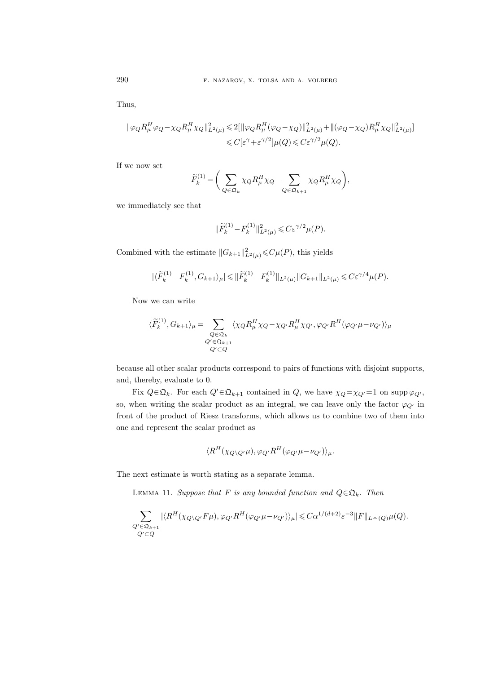Thus,

$$
\begin{aligned} \|\varphi_Q R_\mu^H\varphi_Q-\chi_Q R_\mu^H\chi_Q\|_{L^2(\mu)}^2\leqslant& 2[\|\varphi_Q R_\mu^H(\varphi_Q-\chi_Q)\|_{L^2(\mu)}^2+\|(\varphi_Q-\chi_Q)R_\mu^H\chi_Q\|_{L^2(\mu)}^2]\\ \leqslant& C[\varepsilon^\gamma+\varepsilon^{\gamma/2}]\mu(Q)\leqslant C\varepsilon^{\gamma/2}\mu(Q). \end{aligned}
$$

If we now set

$$
\widetilde{F}_k^{(1)} = \bigg(\sum_{Q \in \mathfrak{Q}_k} \chi_Q R_\mu^H \chi_Q - \sum_{Q \in \mathfrak{Q}_{k+1}} \chi_Q R_\mu^H \chi_Q\bigg),
$$

we immediately see that

$$
\|\widetilde{F}_k^{(1)}\!-\!F_k^{(1)}\|_{L^2(\mu)}^2\!\leqslant\! C\varepsilon^{\gamma/2}\mu(P).
$$

Combined with the estimate  $||G_{k+1}||_{L^2(\mu)}^2 \leq C\mu(P)$ , this yields

$$
|\langle \widetilde{F}_{k}^{(1)} - F_{k}^{(1)}, G_{k+1} \rangle_{\mu}| \leqslant ||\widetilde{F}_{k}^{(1)} - F_{k}^{(1)}||_{L^{2}(\mu)} ||G_{k+1}||_{L^{2}(\mu)} \leqslant C \varepsilon^{\gamma/4} \mu(P).
$$

Now we can write

$$
\langle \widetilde{F}_{k}^{(1)},G_{k+1}\rangle_{\mu} = \sum_{\substack{Q \in \mathfrak{Q}_{k} \\ Q' \subset \mathfrak{Q}_{k+1} \\ Q' \subset Q}} \langle \chi_{Q} R_{\mu}^{H} \chi_{Q} - \chi_{Q'} R_{\mu}^{H} \chi_{Q'}, \varphi_{Q'} R^{H} (\varphi_{Q'} \mu - \nu_{Q'}) \rangle_{\mu}
$$

because all other scalar products correspond to pairs of functions with disjoint supports, and, thereby, evaluate to 0.

Fix  $Q \in \mathfrak{Q}_k$ . For each  $Q' \in \mathfrak{Q}_{k+1}$  contained in  $Q$ , we have  $\chi_Q = \chi_{Q'} = 1$  on supp  $\varphi_{Q'}$ , so, when writing the scalar product as an integral, we can leave only the factor  $\varphi_{Q'}$  in front of the product of Riesz transforms, which allows us to combine two of them into one and represent the scalar product as

$$
\langle R^H(\chi_{Q\setminus Q'}\mu),\varphi_{Q'}R^H(\varphi_{Q'}\mu-\nu_{Q'})\rangle_{\mu}.
$$

The next estimate is worth stating as a separate lemma.

LEMMA 11. Suppose that F is any bounded function and  $Q \in \mathfrak{Q}_k$ . Then

$$
\sum_{\substack{Q' \in \mathfrak{Q}_{k+1} \\ Q' \subset Q}} |\langle R^H(\chi_{Q \setminus Q'} F \mu), \varphi_{Q'} R^H(\varphi_{Q'} \mu - \nu_{Q'}) \rangle_{\mu}| \leq C \alpha^{1/(d+2)} \varepsilon^{-3} ||F||_{L^{\infty}(Q)} \mu(Q).
$$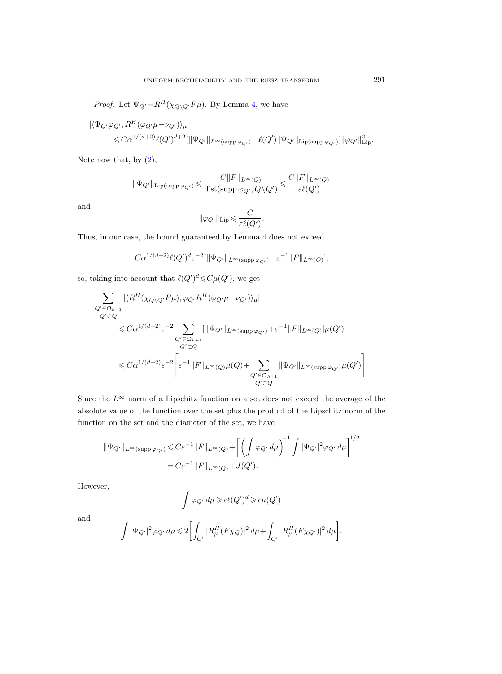*Proof.* Let  $\Psi_{Q'} = R^H(\chi_{Q\backslash Q'}F\mu)$ . By Lemma [4,](#page-21-1) we have

$$
\begin{aligned} |\langle \Psi_{Q'}\varphi_{Q'}, R^H(\varphi_{Q'}\mu - \nu_{Q'})\rangle_{\mu}| \\ \leqslant & C\alpha^{1/(d+2)}\ell(Q')^{d+2}[\|\Psi_{Q'}\|_{L^{\infty}(\text{supp}\,\varphi_{Q'})} + \ell(Q')\|\Psi_{Q'}\|_{\text{Lip}(\text{supp}\,\varphi_{Q'})}]\|\varphi_{Q'}\|_{\text{Lip}}^2. \end{aligned}
$$

Note now that, by  $(2)$ ,

$$
\|\Psi_{Q'}\|_{\text{Lip(supp}\, \varphi_{Q'})}\leqslant \frac{C\|F\|_{L^\infty(Q)}}{\text{dist(supp}\, \varphi_{Q'},Q\backslash Q')}\leqslant \frac{C\|F\|_{L^\infty(Q)}}{\varepsilon \ell(Q')}
$$

and

$$
\|\varphi_{Q'}\|_{\mathrm{Lip}} \leqslant \frac{C}{\varepsilon \ell(Q')}.
$$

Thus, in our case, the bound guaranteed by Lemma [4](#page-21-1) does not exceed

$$
C\alpha^{1/(d+2)}\ell(Q')^d\varepsilon^{-2}[\|\Psi_{Q'}\|_{L^\infty(\mathrm{supp}\,\varphi_{Q'})}+\varepsilon^{-1}\|F\|_{L^\infty(Q)}],
$$

so, taking into account that  $\ell(Q')^d \leq C\mu(Q')$ , we get

$$
\sum_{\substack{Q' \in \mathfrak{Q}_{k+1} \\ Q' \subset Q}} |\langle R^H(\chi_{Q \setminus Q'} F \mu), \varphi_{Q'} R^H(\varphi_{Q'} \mu - \nu_{Q'}) \rangle_{\mu}|
$$
\n
$$
\leq C \alpha^{1/(d+2)} \varepsilon^{-2} \sum_{\substack{Q' \in \mathfrak{Q}_{k+1} \\ Q' \subset Q}} [\|\Psi_{Q'}\|_{L^{\infty}(\text{supp }\varphi_{Q'})} + \varepsilon^{-1} \|F\|_{L^{\infty}(Q)}]\mu(Q')
$$
\n
$$
\leq C \alpha^{1/(d+2)} \varepsilon^{-2} \Bigg[ \varepsilon^{-1} \|F\|_{L^{\infty}(Q)}\mu(Q) + \sum_{\substack{Q' \in \mathfrak{Q}_{k+1} \\ Q' \subset Q}} \|\Psi_{Q'}\|_{L^{\infty}(\text{supp }\varphi_{Q'})}\mu(Q') \Bigg].
$$

Since the  $L^{\infty}$  norm of a Lipschitz function on a set does not exceed the average of the absolute value of the function over the set plus the product of the Lipschitz norm of the function on the set and the diameter of the set, we have

$$
\|\Psi_{Q'}\|_{L^{\infty}(\text{supp}\,\varphi_{Q'})} \leq C\varepsilon^{-1} \|F\|_{L^{\infty}(Q)} + \left[ \left( \int \varphi_{Q'} d\mu \right)^{-1} \int |\Psi_{Q'}|^2 \varphi_{Q'} d\mu \right]^{1/2}
$$
  
=  $C\varepsilon^{-1} \|F\|_{L^{\infty}(Q)} + J(Q').$ 

However,

$$
\int \varphi_{Q'} d\mu \geq c \ell(Q')^d \geq c \mu(Q')
$$

and

$$
\int |\Psi_{Q'}|^2 \varphi_{Q'} \, d\mu \leqslant 2 \biggl[ \int_{Q'} |R^H_\mu(F\chi_Q)|^2 \, d\mu + \int_{Q'} |R^H_\mu(F\chi_{Q'})|^2 \, d\mu \biggr]
$$

.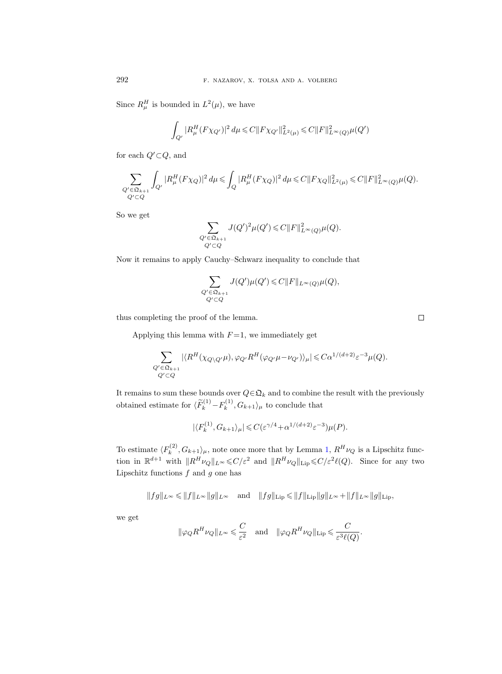Since  $R^H_\mu$  is bounded in  $L^2(\mu)$ , we have

$$
\int_{Q'} |R^H_{\mu}(F\chi_{Q'})|^2 d\mu \leq C \|F\chi_{Q'}\|_{L^2(\mu)}^2 \leq C \|F\|_{L^{\infty}(Q)}^2 \mu(Q')
$$

for each  $Q'{\,\subset\,} Q,$  and

$$
\sum_{\substack{Q' \in \mathfrak{Q}_{k+1} \\ Q' \subset Q}} \int_{Q'} |R^H_{\mu}(F\chi_Q)|^2 \, d\mu \leqslant \int_Q |R^H_{\mu}(F\chi_Q)|^2 \, d\mu \leqslant C \|F\chi_Q\|^2_{L^2(\mu)} \leqslant C \|F\|^2_{L^\infty(Q)} \mu(Q).
$$

So we get

$$
\sum_{\substack{Q'\in\mathfrak{Q}_{k+1}\\ Q'\subset Q}}J(Q')^2\mu(Q')\leqslant C\|F\|^2_{L^\infty(Q)}\mu(Q).
$$

Now it remains to apply Cauchy–Schwarz inequality to conclude that

$$
\sum_{\substack{Q' \in \mathfrak{Q}_{k+1} \\ Q' \subset Q}} J(Q')\mu(Q') \leqslant C \|F\|_{L^{\infty}(Q)}\mu(Q),
$$

thus completing the proof of the lemma.

Applying this lemma with  $F = 1$ , we immediately get

$$
\sum_{\substack{Q'\in \mathfrak{Q}_{k+1}\\ Q'\subset Q}}|\langle R^H(\chi_{Q\backslash Q'}\mu),\varphi_{Q'}R^H(\varphi_{Q'}\mu-\nu_{Q'})\rangle_{\mu}|\leqslant C\alpha^{1/(d+2)}\varepsilon^{-3}\mu(Q).
$$

It remains to sum these bounds over  $Q \in \mathfrak{Q}_k$  and to combine the result with the previously obtained estimate for  $\langle \widetilde{F}_k^{(1)} - F_k^{(1)} \rangle$  $\langle k^{(1)}, G_{k+1} \rangle_{\mu}$  to conclude that

$$
|\langle F_k^{(1)}, G_{k+1} \rangle_{\mu}| \leqslant C(\varepsilon^{\gamma/4} + \alpha^{1/(d+2)} \varepsilon^{-3}) \mu(P).
$$

To estimate  $\langle F_k^{(2)} \rangle$  $\int_k^{(2)} G_{k+1} \rangle_{\mu}$ , note once more that by Lemma [1,](#page-10-0)  $R^H \nu_Q$  is a Lipschitz function in  $\mathbb{R}^{d+1}$  with  $||R^H\nu_Q||_{L^{\infty}} \leq C/\varepsilon^2$  and  $||R^H\nu_Q||_{\text{Lip}} \leq C/\varepsilon^2 \ell(Q)$ . Since for any two Lipschitz functions  $f$  and  $g$  one has

$$
\|fg\|_{L^\infty}\leqslant \|f\|_{L^\infty}\|g\|_{L^\infty}\quad\text{and}\quad \|fg\|_{\text{Lip}}\leqslant \|f\|_{\text{Lip}}\|g\|_{L^\infty}+\|f\|_{L^\infty}\|g\|_{\text{Lip}},
$$

we get

$$
\|\varphi_Q R^H \nu_Q\|_{L^\infty} \leqslant \frac{C}{\varepsilon^2} \quad \text{and} \quad \|\varphi_Q R^H \nu_Q\|_{\text{Lip}} \leqslant \frac{C}{\varepsilon^3 \ell(Q)}.
$$

 $\Box$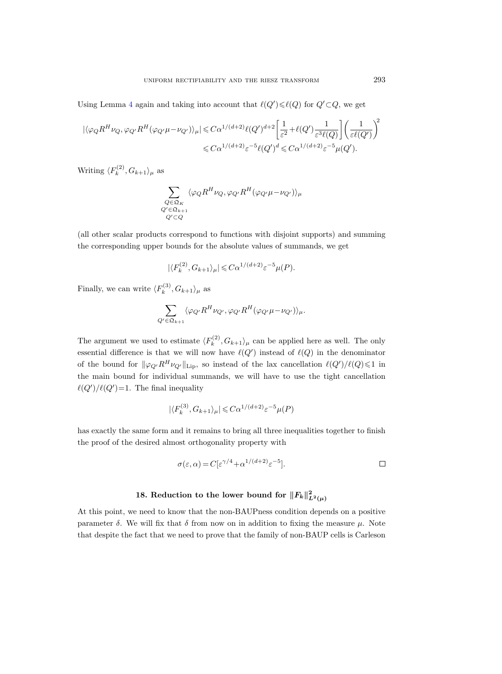Using Lemma [4](#page-21-1) again and taking into account that  $\ell(Q') \leq \ell(Q)$  for  $Q' \subset Q$ , we get

$$
\begin{aligned} |\langle \varphi_Q R^H \nu_Q, \varphi_{Q'} R^H (\varphi_{Q'} \mu - \nu_{Q'}) \rangle_{\mu}| \leqslant & C \alpha^{1/(d+2)} \ell(Q')^{d+2} \bigg[ \frac{1}{\varepsilon^2} + \ell(Q') \frac{1}{\varepsilon^3 \ell(Q)} \bigg] \bigg( \frac{1}{\varepsilon \ell(Q')}\bigg)^2 \\ \leqslant & C \alpha^{1/(d+2)} \varepsilon^{-5} \ell(Q')^d \leqslant & C \alpha^{1/(d+2)} \varepsilon^{-5} \mu(Q'). \end{aligned}
$$

Writing  $\langle F_k^{(2)} \rangle$  $\langle k^{(2)}, G_{k+1}\rangle_{\mu}$  as

$$
\sum_{\substack{Q \in \mathfrak{Q}_K \\ Q' \in \mathfrak{Q}_{k+1} \\ Q' \subset Q}} \langle \varphi_Q R^H \nu_Q, \varphi_{Q'} R^H (\varphi_{Q'} \mu - \nu_{Q'}) \rangle_{\mu}
$$

(all other scalar products correspond to functions with disjoint supports) and summing the corresponding upper bounds for the absolute values of summands, we get

$$
|\langle F_k^{(2)}, G_{k+1} \rangle_{\mu}| \leq C \alpha^{1/(d+2)} \varepsilon^{-5} \mu(P).
$$

Finally, we can write  $\langle F_k^{(3)} \rangle$  $\langle k^{(3)}, G_{k+1}\rangle_{\mu}$  as

$$
\sum_{Q' \in \mathfrak{Q}_{k+1}} \langle \varphi_{Q'} R^H \nu_{Q'}, \varphi_{Q'} R^H (\varphi_{Q'} \mu - \nu_{Q'}) \rangle_{\mu}.
$$

The argument we used to estimate  $\langle F_k^{(2)} \rangle$  $\langle k^{(2)}, G_{k+1} \rangle_{\mu}$  can be applied here as well. The only essential difference is that we will now have  $\ell(Q')$  instead of  $\ell(Q)$  in the denominator of the bound for  $\|\varphi_{Q'}R^H\nu_{Q'}\|_{\text{Lip}}$ , so instead of the lax cancellation  $\ell(Q')/\ell(Q)\leq 1$  in the main bound for individual summands, we will have to use the tight cancellation  $\ell(Q')/\ell(Q') = 1$ . The final inequality

$$
|\langle F_k^{(3)}, G_{k+1} \rangle_{\mu}| \leq C \alpha^{1/(d+2)} \varepsilon^{-5} \mu(P)
$$

has exactly the same form and it remains to bring all three inequalities together to finish the proof of the desired almost orthogonality property with

$$
\sigma(\varepsilon,\alpha) = C[\varepsilon^{\gamma/4} + \alpha^{1/(d+2)}\varepsilon^{-5}].
$$

# 18. Reduction to the lower bound for  $||F_k||^2_{L^2(\mu)}$

At this point, we need to know that the non-BAUPness condition depends on a positive parameter  $\delta$ . We will fix that  $\delta$  from now on in addition to fixing the measure  $\mu$ . Note that despite the fact that we need to prove that the family of non-BAUP cells is Carleson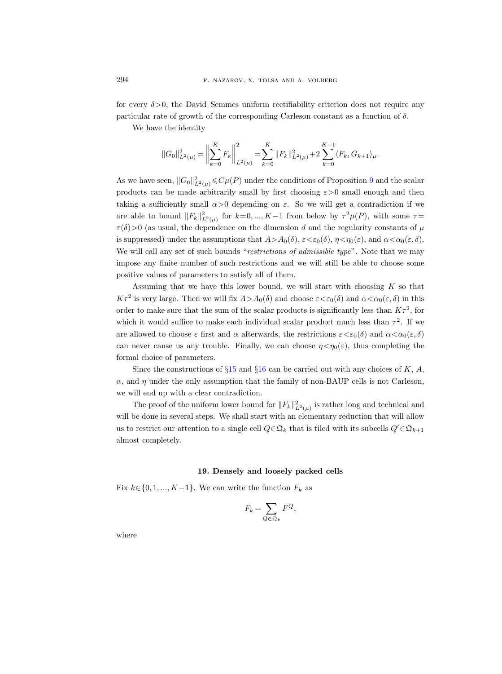for every  $\delta$  >0, the David–Semmes uniform rectifiability criterion does not require any particular rate of growth of the corresponding Carleson constant as a function of  $\delta$ .

We have the identity

$$
||G_0||_{L^2(\mu)}^2 = \left\|\sum_{k=0}^K F_k\right\|_{L^2(\mu)}^2 = \sum_{k=0}^K ||F_k||_{L^2(\mu)}^2 + 2\sum_{k=0}^{K-1} \langle F_k, G_{k+1}\rangle_{\mu}.
$$

As we have seen,  $||G_0||^2_{L^2(\mu)} \leqslant C\mu(P)$  under the conditions of Proposition [9](#page-50-0) and the scalar products can be made arbitrarily small by first choosing  $\varepsilon > 0$  small enough and then taking a sufficiently small  $\alpha > 0$  depending on  $\varepsilon$ . So we will get a contradiction if we are able to bound  $||F_k||^2_{L^2(\mu)}$  for  $k=0, ..., K-1$  from below by  $\tau^2\mu(P)$ , with some  $\tau=$  $\tau(\delta)$ >0 (as usual, the dependence on the dimension d and the regularity constants of  $\mu$ is suppressed) under the assumptions that  $A > A_0(\delta)$ ,  $\varepsilon < \varepsilon_0(\delta)$ ,  $\eta < \eta_0(\varepsilon)$ , and  $\alpha < \alpha_0(\varepsilon, \delta)$ . We will call any set of such bounds "restrictions of admissible type". Note that we may impose any finite number of such restrictions and we will still be able to choose some positive values of parameters to satisfy all of them.

Assuming that we have this lower bound, we will start with choosing  $K$  so that  $K\tau^2$  is very large. Then we will fix  $A > A_0(\delta)$  and choose  $\varepsilon < \varepsilon_0(\delta)$  and  $\alpha < \alpha_0(\varepsilon, \delta)$  in this order to make sure that the sum of the scalar products is significantly less than  $K\tau^2$ , for which it would suffice to make each individual scalar product much less than  $\tau^2$ . If we are allowed to choose  $\varepsilon$  first and  $\alpha$  afterwards, the restrictions  $\varepsilon < \varepsilon_0(\delta)$  and  $\alpha < \alpha_0(\varepsilon, \delta)$ can never cause us any trouble. Finally, we can choose  $\eta < \eta_0(\varepsilon)$ , thus completing the formal choice of parameters.

Since the constructions of  $\S15$  $\S15$  and  $\S16$  $\S16$  can be carried out with any choices of K, A,  $\alpha$ , and  $\eta$  under the only assumption that the family of non-BAUP cells is not Carleson, we will end up with a clear contradiction.

The proof of the uniform lower bound for  $||F_k||^2_{L^2(\mu)}$  is rather long and technical and will be done in several steps. We shall start with an elementary reduction that will allow us to restrict our attention to a single cell  $Q \in \mathfrak{Q}_k$  that is tiled with its subcells  $Q' \in \mathfrak{Q}_{k+1}$ almost completely.

### 19. Densely and loosely packed cells

Fix  $k \in \{0, 1, ..., K-1\}$ . We can write the function  $F_k$  as

$$
F_k = \sum_{Q \in \mathfrak{Q}_k} F^Q,
$$

where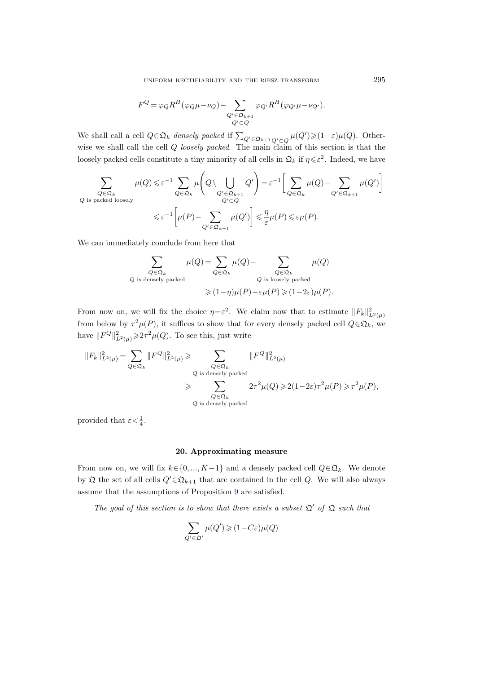uniform rectifiability and the riesz transform 295

$$
F^Q = \varphi_Q R^H (\varphi_Q \mu - \nu_Q) - \sum_{\substack{Q' \in \mathfrak{Q}_{k+1} \\ Q' \subset Q}} \varphi_{Q'} R^H (\varphi_{Q'} \mu - \nu_{Q'}).
$$

We shall call a cell  $Q \in \mathfrak{Q}_k$  densely packed if  $\sum_{Q' \in \mathfrak{Q}_{k+1}} \sum_{Q' \subset Q} \mu(Q') \geq (1-\varepsilon)\mu(Q)$ . Otherwise we shall call the cell Q loosely packed. The main claim of this section is that the loosely packed cells constitute a tiny minority of all cells in  $\mathfrak{Q}_k$  if  $\eta \leq \varepsilon^2$ . Indeed, we have

$$
\sum_{\substack{Q \in \mathfrak{Q}_k \\ Q \text{ is packed loosely}}} \mu(Q) \leq \varepsilon^{-1} \sum_{Q \in \mathfrak{Q}_k} \mu\left(Q \setminus \bigcup_{\substack{Q' \in \mathfrak{Q}_{k+1} \\ Q' \subset Q}} Q'\right) = \varepsilon^{-1} \Bigg[\sum_{Q \in \mathfrak{Q}_k} \mu(Q) - \sum_{Q' \in \mathfrak{Q}_{k+1}} \mu(Q')\Bigg]
$$
\n
$$
\leq \varepsilon^{-1} \Bigg[\mu(P) - \sum_{Q' \in \mathfrak{Q}_{k+1}} \mu(Q')\Bigg] \leq \frac{\eta}{\varepsilon} \mu(P) \leq \varepsilon \mu(P).
$$

We can immediately conclude from here that

$$
\sum_{Q \in \mathfrak{Q}_k} \mu(Q) = \sum_{Q \in \mathfrak{Q}_k} \mu(Q) - \sum_{Q \in \mathfrak{Q}_k} \mu(Q)
$$
\n*Q* is densely packed\n*Q* is loosely packed\n
$$
\geqslant (1-\eta)\mu(P) - \varepsilon\mu(P) \geqslant (1-2\varepsilon)\mu(P).
$$

From now on, we will fix the choice  $\eta = \varepsilon^2$ . We claim now that to estimate  $||F_k||^2_{L^2(\mu)}$ from below by  $\tau^2 \mu(P)$ , it suffices to show that for every densely packed cell  $Q \in \mathfrak{Q}_k$ , we have  $||F^Q||^2_{L^2(\mu)} \geq 2\tau^2 \mu(Q)$ . To see this, just write

$$
\begin{aligned} \|F_k\|^2_{L^2(\mu)}=&\sum_{Q\in\mathfrak{Q}_k}\|F^Q\|^2_{L^2(\mu)}\geqslant&\sum_{Q\in\mathfrak{Q}_k}\|F^Q\|^2_{L^2(\mu)}\\ &\geqslant&\sum_{Q\in\mathfrak{Q}_k}\ 2\tau^2\mu(Q)\geqslant 2(1-2\varepsilon)\tau^2\mu(P)\geqslant\tau^2\mu(P),\\ &\geqslant&\sum_{Q\text{ is densely packed}}2\tau^2\mu(Q)\geqslant 2(1-2\varepsilon)\tau^2\mu(P)\geqslant\tau^2\mu(P), \end{aligned}
$$

provided that  $\varepsilon < \frac{1}{4}$ .

## 20. Approximating measure

<span id="page-58-0"></span>From now on, we will fix  $k \in \{0, ..., K-1\}$  and a densely packed cell  $Q \in \mathfrak{Q}_k$ . We denote by  $\mathfrak Q$  the set of all cells  $Q'\in\mathfrak Q_{k+1}$  that are contained in the cell  $Q$ . We will also always assume that the assumptions of Proposition [9](#page-50-0) are satisfied.

The goal of this section is to show that there exists a subset  $\mathfrak{Q}'$  of  $\mathfrak Q$  such that

$$
\sum_{Q'\in \mathfrak{Q}'}\mu(Q')\geqslant (1\!-\!C\varepsilon)\mu(Q)
$$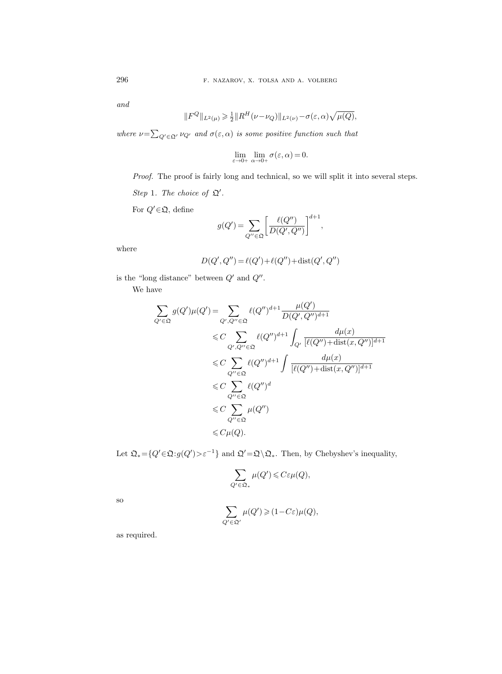and

$$
||F^{Q}||_{L^{2}(\mu)} \geq \frac{1}{2}||R^{H}(\nu-\nu_{Q})||_{L^{2}(\nu)} - \sigma(\varepsilon,\alpha)\sqrt{\mu(Q)},
$$

where  $\nu = \sum_{Q' \in \mathfrak{Q'}} \nu_{Q'}$  and  $\sigma(\varepsilon, \alpha)$  is some positive function such that

$$
\lim_{\varepsilon \to 0+} \lim_{\alpha \to 0+} \sigma(\varepsilon, \alpha) = 0.
$$

Proof. The proof is fairly long and technical, so we will split it into several steps.

Step 1. The choice of  $\mathfrak{Q}'$ .

For  $Q' \in \mathfrak{Q}$ , define

$$
g(Q') = \sum_{Q'' \in \mathfrak{Q}} \left[ \frac{\ell(Q'')}{D(Q', Q'')} \right]^{d+1},
$$

where

$$
D(Q',Q'')\,{=}\,\ell(Q')\,{+}\,\ell(Q'')\,{+}\,\text{dist}(Q',Q'')
$$

is the "long distance" between  $Q'$  and  $Q''$ .

We have

$$
\sum_{Q' \in \mathfrak{Q}} g(Q')\mu(Q') = \sum_{Q',Q'' \in \mathfrak{Q}} \ell(Q'')^{d+1} \frac{\mu(Q')}{D(Q',Q'')^{d+1}}
$$
  
\n
$$
\leq C \sum_{Q',Q'' \in \mathfrak{Q}} \ell(Q'')^{d+1} \int_{Q'} \frac{d\mu(x)}{[\ell(Q'') + \text{dist}(x,Q'')]^{d+1}}
$$
  
\n
$$
\leq C \sum_{Q'' \in \mathfrak{Q}} \ell(Q'')^{d+1} \int \frac{d\mu(x)}{[\ell(Q'') + \text{dist}(x,Q'')]^{d+1}}
$$
  
\n
$$
\leq C \sum_{Q'' \in \mathfrak{Q}} \ell(Q'')^{d}
$$
  
\n
$$
\leq C \sum_{Q'' \in \mathfrak{Q}} \mu(Q'')
$$
  
\n
$$
\leq C\mu(Q).
$$

Let  $\mathfrak{Q}_* = \{Q' \in \mathfrak{Q} : g(Q') > \varepsilon^{-1}\}\$ and  $\mathfrak{Q}' = \mathfrak{Q} \setminus \mathfrak{Q}_*$ . Then, by Chebyshev's inequality,

$$
\sum_{Q' \in \mathfrak{Q}_*} \mu(Q') \leqslant C \varepsilon \mu(Q),
$$

so

$$
\sum_{Q' \in \mathfrak{Q'}} \mu(Q') \geqslant (1 - C\varepsilon)\mu(Q),
$$

as required.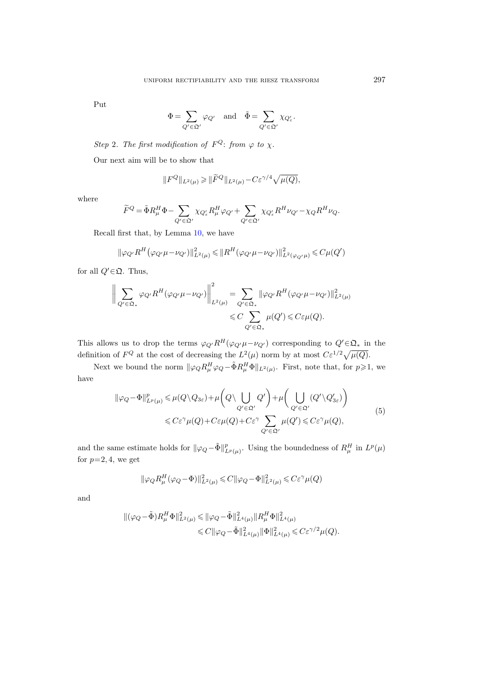Put

$$
\Phi = \sum_{Q' \in \mathfrak{Q'}} \varphi_{Q'} \quad \text{and} \quad \tilde{\Phi} = \sum_{Q' \in \mathfrak{Q'}} \chi_{Q'_{\varepsilon}}.
$$

Step 2. The first modification of  $F^Q$ : from  $\varphi$  to  $\chi$ .

Our next aim will be to show that

$$
||F^{Q}||_{L^{2}(\mu)} \geq ||\widetilde{F}^{Q}||_{L^{2}(\mu)} - C\varepsilon^{\gamma/4}\sqrt{\mu(Q)},
$$

where

$$
\widetilde{F}^{Q} = \widetilde{\Phi} R_{\mu}^{H} \Phi - \sum_{Q' \in \mathfrak{Q'}} \chi_{Q'_{\varepsilon}} R_{\mu}^{H} \varphi_{Q'} + \sum_{Q' \in \mathfrak{Q'}} \chi_{Q'_{\varepsilon}} R^{H} \nu_{Q'} - \chi_{Q} R^{H} \nu_{Q}.
$$

Recall first that, by Lemma [10,](#page-51-0) we have

$$
\|\varphi_{Q'}R^H(\varphi_{Q'}\mu-\nu_{Q'})\|_{L^2(\mu)}^2 \leq \|R^H(\varphi_{Q'}\mu-\nu_{Q'})\|_{L^2(\varphi_{Q'}\mu)}^2 \leq C\mu(Q')
$$

for all  $Q' \in \mathfrak{Q}$ . Thus,

$$
\left\| \sum_{Q' \in \Omega_*} \varphi_{Q'} R^H (\varphi_{Q'} \mu - \nu_{Q'}) \right\|_{L^2(\mu)}^2 = \sum_{Q' \in \Omega_*} \|\varphi_{Q'} R^H (\varphi_{Q'} \mu - \nu_{Q'})\|_{L^2(\mu)}^2
$$
  

$$
\leq C \sum_{Q' \in \Omega_*} \mu(Q') \leq C \varepsilon \mu(Q).
$$

This allows us to drop the terms  $\varphi_{Q'}R^H(\varphi_{Q'}\mu-\nu_{Q'})$  corresponding to  $Q'\in\mathfrak{Q}_*$  in the definition of  $F^Q$  at the cost of decreasing the  $L^2(\mu)$  norm by at most  $C\varepsilon^{1/2}\sqrt{\mu(Q)}$ .

Next we bound the norm  $\|\varphi_Q R_\mu^H \varphi_Q - \tilde{\Phi} R_\mu^H \Phi\|_{L^2(\mu)}$ . First, note that, for  $p \geq 1$ , we have

$$
\|\varphi_Q - \Phi\|_{L^p(\mu)}^p \le \mu(Q \setminus Q_{3\varepsilon}) + \mu\left(Q \setminus \bigcup_{Q' \in \mathfrak{Q}'} Q'\right) + \mu\left(\bigcup_{Q' \in \mathfrak{Q}'} (Q' \setminus Q'_{3\varepsilon})\right)
$$
  

$$
\le C\varepsilon^{\gamma}\mu(Q) + C\varepsilon\mu(Q) + C\varepsilon^{\gamma} \sum_{Q' \in \mathfrak{Q}'} \mu(Q') \le C\varepsilon^{\gamma}\mu(Q),
$$
 (5)

<span id="page-60-0"></span>and the same estimate holds for  $\|\varphi_Q - \tilde{\Phi}\|_{L^p(\mu)}^p$ . Using the boundedness of  $R_\mu^H$  in  $L^p(\mu)$ for  $p=2, 4$ , we get

$$
\|\varphi_Q R^H_\mu(\varphi_Q - \Phi)\|_{L^2(\mu)}^2 \leq C \|\varphi_Q - \Phi\|_{L^2(\mu)}^2 \leq C\varepsilon^\gamma \mu(Q)
$$

and

$$
\label{eq:4.1} \begin{split} \|(\varphi_Q-\tilde{\Phi})R_\mu^H\Phi\|_{L^2(\mu)}^2 &\leqslant \|\varphi_Q-\tilde{\Phi}\|_{L^4(\mu)}^2 \|R_\mu^H\Phi\|_{L^4(\mu)}^2\\ &\leqslant C\|\varphi_Q-\tilde{\Phi}\|_{L^4(\mu)}^2 \|\Phi\|_{L^4(\mu)}^2 \leqslant C\varepsilon^{\gamma/2}\mu(Q). \end{split}
$$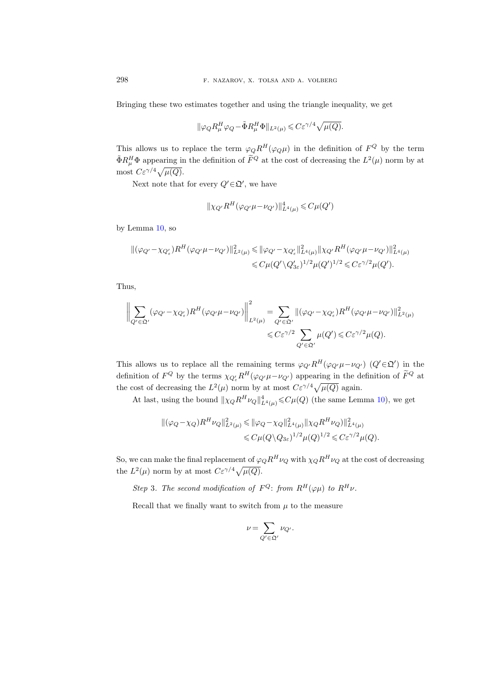Bringing these two estimates together and using the triangle inequality, we get

$$
\|\varphi_Q R_\mu^H \varphi_Q - \tilde \Phi R_\mu^H \Phi\|_{L^2(\mu)} \leqslant C \varepsilon^{\gamma/4} \sqrt{\mu(Q)}.
$$

This allows us to replace the term  $\varphi_Q R^H(\varphi_Q \mu)$  in the definition of  $F^Q$  by the term  $\tilde{\Phi}R_{\mu}^{H}\Phi$  appearing in the definition of  $\tilde{F}^{Q}$  at the cost of decreasing the  $L^{2}(\mu)$  norm by at most  $C\varepsilon^{\gamma/4}\sqrt{\mu(Q)}$ .

Next note that for every  $Q' \in \mathfrak{Q}'$ , we have

$$
\|\chi_{Q'}R^H(\varphi_{Q'}\mu-\nu_{Q'})\|_{L^4(\mu)}^4\leqslant C\mu(Q')
$$

by Lemma [10,](#page-51-0) so

$$
\begin{split} \|(\varphi_{Q'} - \chi_{Q'_{\varepsilon}})R^H(\varphi_{Q'}\mu - \nu_{Q'})\|_{L^2(\mu)}^2 &\leq \| \varphi_{Q'} - \chi_{Q'_{\varepsilon}}\|_{L^4(\mu)}^2 \| \chi_{Q'}R^H(\varphi_{Q'}\mu - \nu_{Q'})\|_{L^4(\mu)}^2 \\ &\leqslant C\mu(Q'\setminus Q'_{3\varepsilon})^{1/2}\mu(Q')^{1/2} \leqslant C\varepsilon^{\gamma/2}\mu(Q'). \end{split}
$$

Thus,

$$
\left\| \sum_{Q' \in \mathfrak{Q}'} (\varphi_{Q'} - \chi_{Q'_{\varepsilon}}) R^H (\varphi_{Q'} \mu - \nu_{Q'}) \right\|_{L^2(\mu)}^2 = \sum_{Q' \in \mathfrak{Q}'} \| (\varphi_{Q'} - \chi_{Q'_{\varepsilon}}) R^H (\varphi_{Q'} \mu - \nu_{Q'}) \|_{L^2(\mu)}^2
$$
  

$$
\leq C \varepsilon^{\gamma/2} \sum_{Q' \in \mathfrak{Q}'} \mu(Q') \leq C \varepsilon^{\gamma/2} \mu(Q).
$$

This allows us to replace all the remaining terms  $\varphi_{Q'}R^H(\varphi_{Q'}\mu-\nu_{Q'})$   $(Q'\in\mathfrak{Q'})$  in the definition of  $F^Q$  by the terms  $\chi_{Q'_\varepsilon} R^H(\varphi_{Q'}\mu - \nu_{Q'})$  appearing in the definition of  $\tilde{F}^Q$  at the cost of decreasing the  $L^2(\mu)$  norm by at most  $C\varepsilon^{\gamma/4}\sqrt{\mu(Q)}$  again.

At last, using the bound  $\|\chi_Q R^H \nu_Q\|_{L^4(\mu)}^4 \leqslant C\mu(Q)$  (the same Lemma [10\)](#page-51-0), we get

$$
\begin{aligned} \|(\varphi_Q - \chi_Q)R^H \nu_Q\|_{L^2(\mu)}^2 &\leq \| \varphi_Q - \chi_Q \|_{L^4(\mu)}^2 \| \chi_Q R^H \nu_Q) \|_{L^4(\mu)}^2 \\ &\leq C \mu(Q \setminus Q_{3\varepsilon})^{1/2} \mu(Q)^{1/2} \leq C \varepsilon^{\gamma/2} \mu(Q). \end{aligned}
$$

So, we can make the final replacement of  $\varphi_Q R^H \nu_Q$  with  $\chi_Q R^H \nu_Q$  at the cost of decreasing the  $L^2(\mu)$  norm by at most  $C\varepsilon^{\gamma/4}\sqrt{\mu(Q)}$ .

Step 3. The second modification of  $F^Q$ : from  $R^H(\varphi\mu)$  to  $R^H\nu$ .

Recall that we finally want to switch from  $\mu$  to the measure

$$
\nu = \sum_{Q' \in \mathfrak{Q'}} \nu_{Q'}.
$$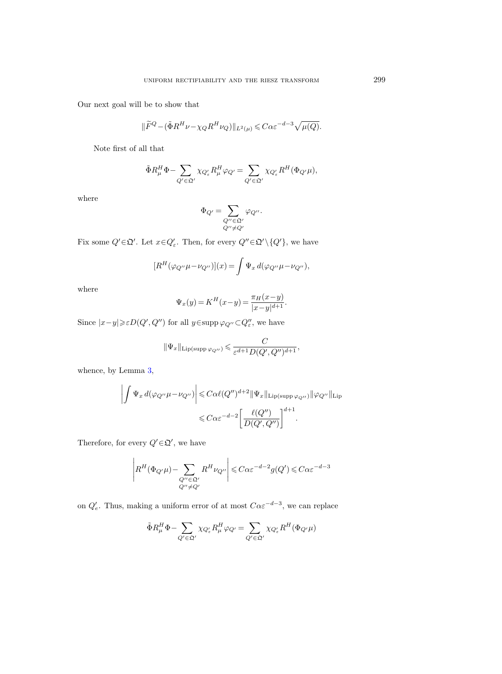Our next goal will be to show that

$$
\|\widetilde{F}^{Q} - (\tilde{\Phi}R^{H}\nu - \chi_{Q}R^{H}\nu_{Q})\|_{L^{2}(\mu)} \leqslant C\alpha\varepsilon^{-d-3}\sqrt{\mu(Q)}.
$$

Note first of all that

$$
\tilde{\Phi}R^H_{\mu}\Phi - \sum_{Q' \in \mathfrak{Q}'} \chi_{Q'_{\varepsilon}}R^H_{\mu}\varphi_{Q'} = \sum_{Q' \in \mathfrak{Q}'} \chi_{Q'_{\varepsilon}}R^H(\Phi_{Q'}\mu),
$$

where

$$
\Phi_{Q'} = \sum_{\substack{Q'' \in \mathfrak{Q}' \\ Q'' \neq Q'}} \varphi_{Q''}.
$$

Fix some  $Q' \in \mathfrak{Q}'$ . Let  $x \in Q'_{\varepsilon}$ . Then, for every  $Q'' \in \mathfrak{Q}' \setminus \{Q'\}$ , we have

$$
[R^H(\varphi_{Q''}\mu - \nu_{Q''})](x) = \int \Psi_x d(\varphi_{Q''}\mu - \nu_{Q''}),
$$

where

$$
\Psi_x(y) = K^H(x - y) = \frac{\pi_H(x - y)}{|x - y|^{d+1}}.
$$

Since  $|x-y| \geq \varepsilon D(Q', Q'')$  for all  $y \in \text{supp }\varphi_{Q''} \subset Q''_{\varepsilon}$ , we have

$$
\|\Psi_x\|_{\text{Lip(supp}\, \varphi_{Q''})} \leqslant \frac{C}{\varepsilon^{d+1}D(Q',Q'')^{d+1}},
$$

whence, by Lemma [3,](#page-21-0)

$$
\left| \int \Psi_x d(\varphi_{Q''}\mu - \nu_{Q''}) \right| \leq C\alpha \ell(Q'')^{d+2} \|\Psi_x\|_{\text{Lip(supp}\,\varphi_{Q''})} \|\varphi_{Q''}\|_{\text{Lip}}
$$
  

$$
\leq C\alpha \varepsilon^{-d-2} \left[ \frac{\ell(Q'')}{D(Q',Q'')} \right]^{d+1}.
$$

Therefore, for every  $Q' \in \mathfrak{Q}'$ , we have

÷.

$$
\left| R^H(\Phi_{Q'} \mu) - \sum_{\substack{Q'' \in \mathfrak{Q}' \\ Q'' \neq Q'}} R^H \nu_{Q''} \right| \leqslant C \alpha \varepsilon^{-d-2} g(Q') \leqslant C \alpha \varepsilon^{-d-3}
$$

on  $Q'_e$ . Thus, making a uniform error of at most  $C\alpha \varepsilon^{-d-3}$ , we can replace

$$
\tilde{\Phi} R_\mu^H \Phi - \sum_{Q' \in \mathfrak{Q}'} \chi_{Q'_\varepsilon} R_\mu^H \varphi_{Q'} = \sum_{Q' \in \mathfrak{Q}'} \chi_{Q'_\varepsilon} R^H (\Phi_{Q'} \mu)
$$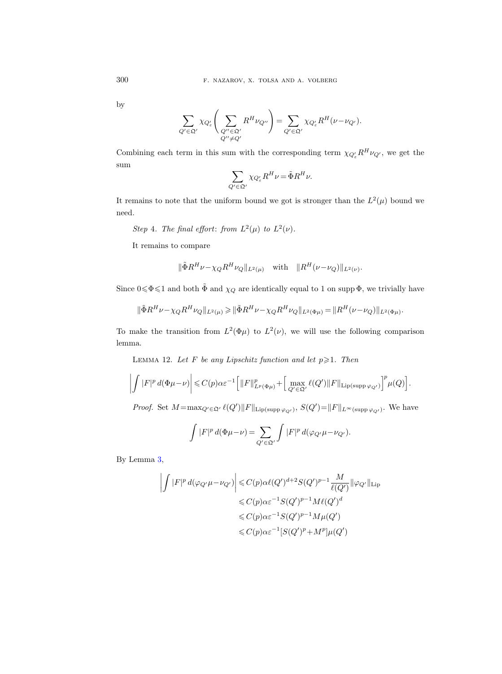by

$$
\sum_{Q' \in \mathfrak{Q'}} \chi_{Q'_{\epsilon}} \left( \sum_{\substack{Q'' \in \mathfrak{Q'} \\ Q'' \neq Q'}} R^H \nu_{Q''} \right) = \sum_{Q' \in \mathfrak{Q'}} \chi_{Q'_{\epsilon}} R^H (\nu - \nu_{Q'}).
$$

Combining each term in this sum with the corresponding term  $\chi_{Q'_{\varepsilon}} R^H \nu_{Q'}$ , we get the sum

$$
\sum_{Q' \in \mathfrak{Q}'} \chi_{Q'_{\varepsilon}} R^H \nu = \tilde{\Phi} R^H \nu.
$$

It remains to note that the uniform bound we got is stronger than the  $L^2(\mu)$  bound we need.

Step 4. The final effort: from  $L^2(\mu)$  to  $L^2(\nu)$ .

It remains to compare

$$
\|\tilde{\Phi}R^{H}\nu - \chi_{Q}R^{H}\nu_{Q}\|_{L^{2}(\mu)}
$$
 with  $\|R^{H}(\nu - \nu_{Q})\|_{L^{2}(\nu)}$ .

Since  $0 \le \Phi \le 1$  and both  $\tilde{\Phi}$  and  $\chi_Q$  are identically equal to 1 on supp  $\Phi$ , we trivially have

$$
\|\tilde{\Phi}R^{H}\nu - \chi_{Q}R^{H}\nu_{Q}\|_{L^{2}(\mu)} \geq \|\tilde{\Phi}R^{H}\nu - \chi_{Q}R^{H}\nu_{Q}\|_{L^{2}(\Phi\mu)} = \|R^{H}(\nu - \nu_{Q})\|_{L^{2}(\Phi\mu)}.
$$

To make the transition from  $L^2(\Phi\mu)$  to  $L^2(\nu)$ , we will use the following comparison lemma.

<span id="page-63-0"></span>LEMMA 12. Let F be any Lipschitz function and let  $p \geqslant 1$ . Then

$$
\left|\int |F|^p \, d(\Phi \mu - \nu) \right| \leqslant C(p) \alpha \varepsilon^{-1} \Big[ \|F\|_{L^p(\Phi \mu)}^p + \Big[ \max_{Q' \in \mathfrak{Q}'} \ell(Q') \|F\|_{\text{Lip(supp}\, \varphi_{Q'})} \Big]^p \mu(Q) \Big].
$$

*Proof.* Set  $M = \max_{Q' \in \mathfrak{Q}'} \ell(Q') ||F||_{\text{Lip}(\text{supp }\varphi_{Q'})}, S(Q') = ||F||_{L^{\infty}(\text{supp }\varphi_{Q'})}.$  We have

$$
\int |F|^p d(\Phi \mu - \nu) = \sum_{Q' \in \mathfrak{Q}'} \int |F|^p d(\varphi_{Q'} \mu - \nu_{Q'}).
$$

By Lemma [3,](#page-21-0)

$$
\left| \int |F|^p d(\varphi_{Q'} \mu - \nu_{Q'}) \right| \leq C(p) \alpha \ell(Q')^{d+2} S(Q')^{p-1} \frac{M}{\ell(Q')} \|\varphi_{Q'}\|_{\text{Lip}}
$$
  

$$
\leq C(p) \alpha \varepsilon^{-1} S(Q')^{p-1} M \ell(Q')^d
$$
  

$$
\leq C(p) \alpha \varepsilon^{-1} S(Q')^{p-1} M \mu(Q')
$$
  

$$
\leq C(p) \alpha \varepsilon^{-1} [S(Q')^p + M^p] \mu(Q')
$$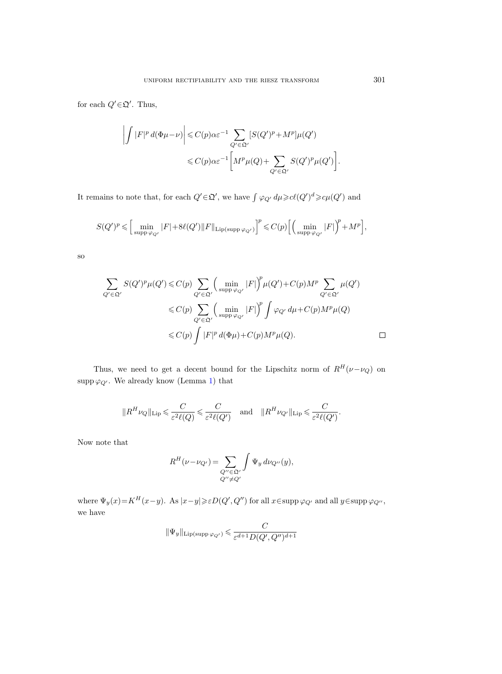for each  $Q' \in \mathfrak{Q}'$ . Thus,

$$
\left| \int |F|^p d(\Phi \mu - \nu) \right| \leq C(p) \alpha \varepsilon^{-1} \sum_{Q' \in \mathfrak{Q}'} [S(Q')^p + M^p] \mu(Q')
$$
  

$$
\leq C(p) \alpha \varepsilon^{-1} \left[ M^p \mu(Q) + \sum_{Q' \in \mathfrak{Q}'} S(Q')^p \mu(Q') \right].
$$

It remains to note that, for each  $Q' \in \mathfrak{Q}'$ , we have  $\int \varphi_{Q'} d\mu \geqslant c\ell(Q')^d \geqslant c\mu(Q')$  and

$$
S(Q')^p\leqslant \Big[\min_{\text{supp}\, \varphi_{Q'}}|F|+8\ell(Q')\|F\|_{\text{Lip}(\text{supp}\, \varphi_{Q'})}\Big]^p\leqslant C(p)\Big[\Big(\min_{\text{supp}\, \varphi_{Q'}}|F|\Big)^p+M^p\Big],
$$

so

$$
\sum_{Q' \in \mathfrak{Q}'} S(Q')^p \mu(Q') \leq C(p) \sum_{Q' \in \mathfrak{Q}'} \left( \min_{\text{supp }\varphi_{Q'}} |F| \right)^p \mu(Q') + C(p)M^p \sum_{Q' \in \mathfrak{Q}'} \mu(Q')
$$
  

$$
\leq C(p) \sum_{Q' \in \mathfrak{Q}'} \left( \min_{\text{supp }\varphi_{Q'}} |F| \right)^p \int \varphi_{Q'} d\mu + C(p)M^p \mu(Q)
$$
  

$$
\leq C(p) \int |F|^p d(\Phi \mu) + C(p)M^p \mu(Q). \qquad \Box
$$

Thus, we need to get a decent bound for the Lipschitz norm of  $R^H(\nu-\nu_Q)$  on supp  $\varphi_{Q'}$ . We already know (Lemma [1\)](#page-10-0) that

$$
\|R^H \nu_Q\|_{\mathrm{Lip}} \leqslant \frac{C}{\varepsilon^2 \ell(Q)} \leqslant \frac{C}{\varepsilon^2 \ell(Q')} \quad \text{and} \quad \|R^H \nu_{Q'}\|_{\mathrm{Lip}} \leqslant \frac{C}{\varepsilon^2 \ell(Q')}.
$$

Now note that

$$
R^{H}(\nu - \nu_{Q'}) = \sum_{\substack{Q'' \in \mathfrak{Q}' \\ Q'' \neq Q'}} \int \Psi_y \, d\nu_{Q''}(y),
$$

where  $\Psi_y(x) = K^H(x-y)$ . As  $|x-y| \ge \varepsilon D(Q',Q'')$  for all  $x \in \text{supp }\varphi_{Q'}$  and all  $y \in \text{supp }\varphi_{Q''},$ we have

$$
\|\Psi_y\|_{\operatorname{Lip}(\operatorname{supp}\varphi_{Q'})}\leqslant \frac{C}{\varepsilon^{d+1}D(Q',Q'')^{d+1}}
$$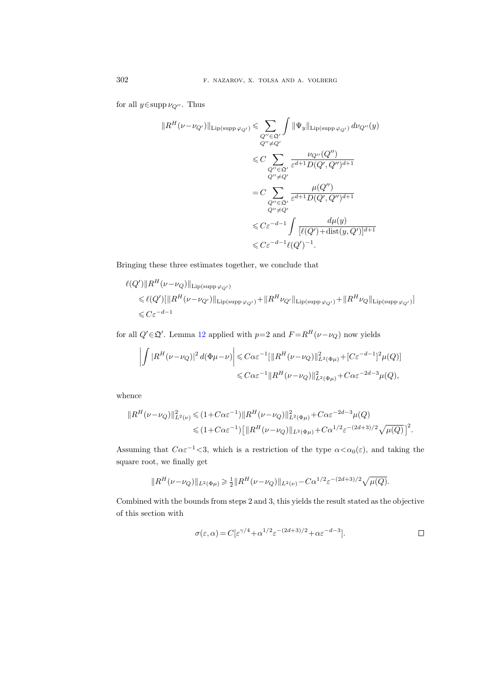for all  $y \in \text{supp } \nu_{Q''}$ . Thus

$$
||R^{H}(\nu-\nu_{Q'})||_{\text{Lip(supp}\,\varphi_{Q'})} \leqslant \sum_{Q''\in\mathfrak{Q}'} \int ||\Psi_{y}||_{\text{Lip(supp}\,\varphi_{Q'})}\,d\nu_{Q''}(y)
$$
  

$$
\leqslant C \sum_{Q''\in\mathfrak{Q}'} \frac{\nu_{Q''}(Q'')}{\varepsilon^{d+1}D(Q',Q'')^{d+1}}
$$
  

$$
= C \sum_{Q''\in\mathfrak{Q}'} \frac{\mu(Q'')}{\varepsilon^{d+1}D(Q',Q'')^{d+1}}
$$
  

$$
\leqslant C \varepsilon^{-d-1} \int \frac{d\mu(y)}{[\ell(Q')+ \text{dist}(y,Q')]^{d+1}}
$$
  

$$
\leqslant C \varepsilon^{-d-1} \ell(Q')^{-1}.
$$

Bringing these three estimates together, we conclude that

$$
\ell(Q')\|R^H(\nu-\nu_Q)\|_{\text{Lip(supp}\,\varphi_{Q'})}
$$
  
\$\leqslant \ell(Q')[\|R^H(\nu-\nu\_{Q'})\|\_{\text{Lip(supp}\,\varphi\_{Q'})} + \|R^H\nu\_{Q'}\|\_{\text{Lip(supp}\,\varphi\_{Q'})} + \|R^H\nu\_Q\|\_{\text{Lip(supp}\,\varphi\_{Q'})}]\$  
\$\leqslant C\varepsilon^{-d-1}\$

for all  $Q' \in \mathfrak{Q}'$ . Lemma [12](#page-63-0) applied with  $p=2$  and  $F = R^H(\nu - \nu_Q)$  now yields

$$
\left| \int |R^{H}(\nu - \nu_{Q})|^{2} d(\Phi \mu - \nu) \right| \leq C \alpha \varepsilon^{-1} [\|R^{H}(\nu - \nu_{Q})\|_{L^{2}(\Phi \mu)}^{2} + [C \varepsilon^{-d-1}]^{2} \mu(Q)]
$$
  

$$
\leq C \alpha \varepsilon^{-1} \|R^{H}(\nu - \nu_{Q})\|_{L^{2}(\Phi \mu)}^{2} + C \alpha \varepsilon^{-2d-3} \mu(Q),
$$

whence

$$
||R^{H}(\nu-\nu_{Q})||^{2}_{L^{2}(\nu)} \leq (1+C\alpha\varepsilon^{-1})||R^{H}(\nu-\nu_{Q})||^{2}_{L^{2}(\Phi\mu)} + C\alpha\varepsilon^{-2d-3}\mu(Q)
$$
  

$$
\leq (1+C\alpha\varepsilon^{-1})\left[||R^{H}(\nu-\nu_{Q})||_{L^{2}(\Phi\mu)} + C\alpha^{1/2}\varepsilon^{-(2d+3)/2}\sqrt{\mu(Q)}\right]^{2}.
$$

Assuming that  $C\alpha \varepsilon^{-1}$  <3, which is a restriction of the type  $\alpha < \alpha_0(\varepsilon)$ , and taking the square root, we finally get

$$
||R^H(\nu-\nu_Q)||_{L^2(\Phi\mu)} \geq \frac{1}{2}||R^H(\nu-\nu_Q)||_{L^2(\nu)} - C\alpha^{1/2}\varepsilon^{-(2d+3)/2}\sqrt{\mu(Q)}.
$$

Combined with the bounds from steps 2 and 3, this yields the result stated as the objective of this section with

$$
\sigma(\varepsilon,\alpha) = C[\varepsilon^{\gamma/4} + \alpha^{1/2}\varepsilon^{-(2d+3)/2} + \alpha \varepsilon^{-d-3}].
$$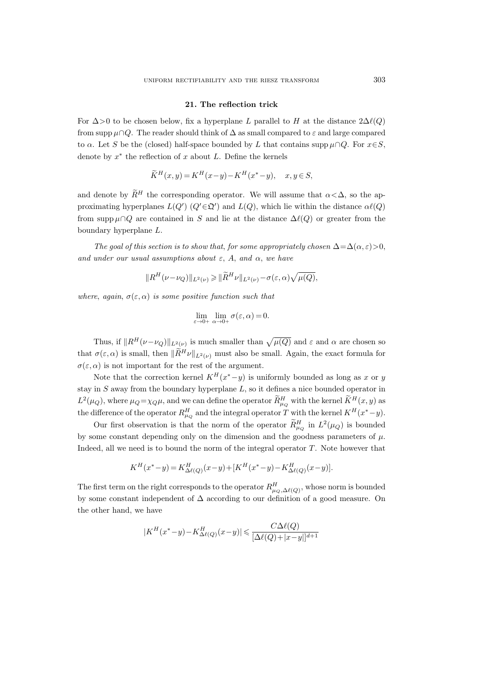### 21. The reflection trick

For  $\Delta$ >0 to be chosen below, fix a hyperplane L parallel to H at the distance  $2\Delta\ell(Q)$ from supp  $\mu \cap Q$ . The reader should think of  $\Delta$  as small compared to  $\varepsilon$  and large compared to  $\alpha$ . Let S be the (closed) half-space bounded by L that contains supp  $\mu \cap Q$ . For  $x \in S$ , denote by  $x^*$  the reflection of  $x$  about  $L$ . Define the kernels

$$
\widetilde{K}^H(x,y) = K^H(x-y) - K^H(x^*-y), \quad x, y \in S,
$$

and denote by  $\widetilde{R}^H$  the corresponding operator. We will assume that  $\alpha < \Delta$ , so the approximating hyperplanes  $L(Q')$   $(Q' \in \mathfrak{Q}')$  and  $L(Q)$ , which lie within the distance  $\alpha \ell(Q)$ from supp  $\mu \cap Q$  are contained in S and lie at the distance  $\Delta \ell(Q)$  or greater from the boundary hyperplane L.

The goal of this section is to show that, for some appropriately chosen  $\Delta = \Delta(\alpha, \varepsilon) > 0$ , and under our usual assumptions about  $\varepsilon$ , A, and  $\alpha$ , we have

$$
||R^H(\nu-\nu_Q)||_{L^2(\nu)} \geq ||\widetilde{R}^H\nu||_{L^2(\nu)} - \sigma(\varepsilon,\alpha)\sqrt{\mu(Q)},
$$

where, again,  $\sigma(\varepsilon,\alpha)$  is some positive function such that

$$
\lim_{\varepsilon \to 0+} \lim_{\alpha \to 0+} \sigma(\varepsilon, \alpha) = 0.
$$

Thus, if  $||R^H(\nu-\nu_Q)||_{L^2(\nu)}$  is much smaller than  $\sqrt{\mu(Q)}$  and  $\varepsilon$  and  $\alpha$  are chosen so that  $\sigma(\varepsilon,\alpha)$  is small, then  $\|\widetilde{R}^H\nu\|_{L^2(\nu)}$  must also be small. Again, the exact formula for  $\sigma(\varepsilon,\alpha)$  is not important for the rest of the argument.

Note that the correction kernel  $K^H(x^* - y)$  is uniformly bounded as long as x or y stay in  $S$  away from the boundary hyperplane  $L$ , so it defines a nice bounded operator in  $L^2(\mu_Q)$ , where  $\mu_Q = \chi_Q \mu$ , and we can define the operator  $\tilde{R}^H_{\mu_Q}$  with the kernel  $\tilde{K}^H(x, y)$  as the difference of the operator  $R_{\mu_Q}^H$  and the integral operator T with the kernel  $K^H(x^* - y)$ .

Our first observation is that the norm of the operator  $\tilde{R}^H_{\mu_Q}$  in  $L^2(\mu_Q)$  is bounded by some constant depending only on the dimension and the goodness parameters of  $\mu$ . Indeed, all we need is to bound the norm of the integral operator  $T$ . Note however that

$$
K^H(x^* - y) = K^H_{\Delta \ell(Q)}(x - y) + [K^H(x^* - y) - K^H_{\Delta \ell(Q)}(x - y)].
$$

The first term on the right corresponds to the operator  $R_{\mu_Q,\Delta\ell(Q)}^H$ , whose norm is bounded by some constant independent of ∆ according to our definition of a good measure. On the other hand, we have

$$
|K^H(x^*-y) - K^H_{\Delta \ell(Q)}(x-y)| \leq \frac{C\Delta \ell(Q)}{[\Delta \ell(Q) + |x-y|]^{d+1}}
$$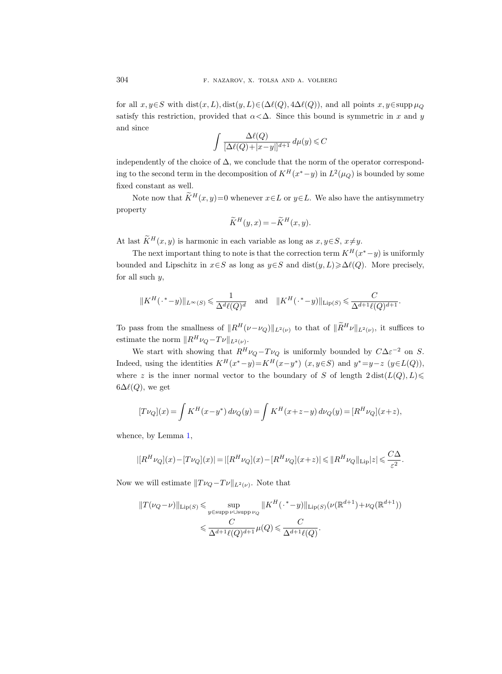for all  $x, y \in S$  with  $dist(x, L)$ ,  $dist(y, L) \in (\Delta \ell(Q), 4\Delta \ell(Q))$ , and all points  $x, y \in supp \mu_Q$ satisfy this restriction, provided that  $\alpha < \Delta$ . Since this bound is symmetric in x and y and since

$$
\int \frac{\Delta \ell(Q)}{[\Delta \ell(Q) + |x-y|]^{d+1}} \, d\mu(y) \leqslant C
$$

independently of the choice of  $\Delta$ , we conclude that the norm of the operator corresponding to the second term in the decomposition of  $K^H(x^* - y)$  in  $L^2(\mu_Q)$  is bounded by some fixed constant as well.

Note now that  $\widetilde{K}^H(x, y)=0$  whenever  $x\in L$  or  $y\in L$ . We also have the antisymmetry property

$$
\widetilde{K}^H(y,x) = -\widetilde{K}^H(x,y).
$$

At last  $\widetilde{K}^H(x, y)$  is harmonic in each variable as long as  $x, y \in S$ ,  $x \neq y$ .

The next important thing to note is that the correction term  $K^H(x^* - y)$  is uniformly bounded and Lipschitz in  $x \in S$  as long as  $y \in S$  and dist $(y, L) \geq \Delta \ell(Q)$ . More precisely, for all such  $y$ ,

$$
||K^H(\cdot^*-y)||_{L^\infty(S)} \leq \frac{1}{\Delta^d \ell(Q)^d} \quad \text{and} \quad ||K^H(\cdot^*-y)||_{\text{Lip}(S)} \leq \frac{C}{\Delta^{d+1} \ell(Q)^{d+1}}.
$$

To pass from the smallness of  $||R^H(\nu-\nu_Q)||_{L^2(\nu)}$  to that of  $||R^H\nu||_{L^2(\nu)}$ , it suffices to estimate the norm  $||R^H\nu_Q - T\nu||_{L^2(\nu)}$ .

We start with showing that  $R^H \nu_Q - T \nu_Q$  is uniformly bounded by  $C \Delta \varepsilon^{-2}$  on S. Indeed, using the identities  $K^H(x^* - y) = K^H(x - y^*)$   $(x, y \in S)$  and  $y^* = y - z$   $(y \in L(Q))$ , where z is the inner normal vector to the boundary of S of length  $2 \text{ dist}(L(Q), L) \le$  $6\Delta\ell(Q)$ , we get

$$
[T\nu_Q](x) = \int K^H(x - y^*) d\nu_Q(y) = \int K^H(x + z - y) d\nu_Q(y) = [R^H \nu_Q](x + z),
$$

whence, by Lemma [1,](#page-10-0)

$$
|[R^H\nu_Q](x) - [T\nu_Q](x)| = |[R^H\nu_Q](x) - [R^H\nu_Q](x+z)| \leq ||R^H\nu_Q||_{\text{Lip}}|z| \leq \frac{C\Delta}{\varepsilon^2}.
$$

Now we will estimate  $||T\nu_Q - T\nu||_{L^2(\nu)}$ . Note that

$$
||T(\nu_Q - \nu)||_{\text{Lip}(S)} \leqslant \sup_{y \in \text{supp }\nu \cup \text{supp }\nu_Q} ||K^H(\cdot^* - y)||_{\text{Lip}(S)}(\nu(\mathbb{R}^{d+1}) + \nu_Q(\mathbb{R}^{d+1}))
$$
  

$$
\leqslant \frac{C}{\Delta^{d+1}\ell(Q)^{d+1}} \mu(Q) \leqslant \frac{C}{\Delta^{d+1}\ell(Q)}.
$$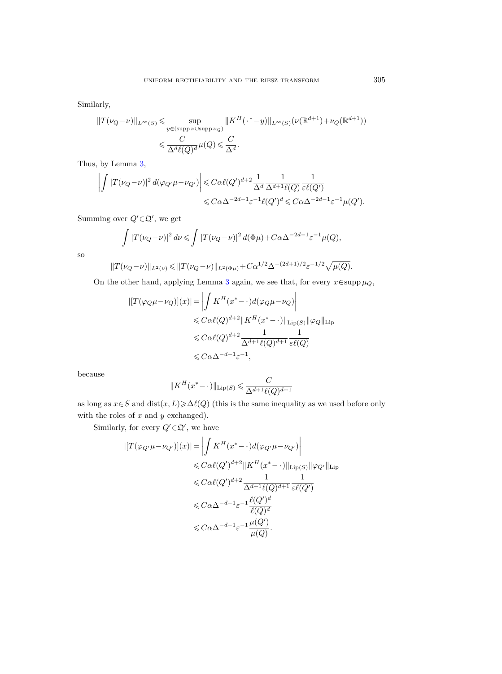Similarly,

$$
||T(\nu_Q - \nu)||_{L^{\infty}(S)} \leq \sup_{y \in (\text{supp }\nu \cup \text{supp }\nu_Q)} ||K^H(\cdot^* - y)||_{L^{\infty}(S)}(\nu(\mathbb{R}^{d+1}) + \nu_Q(\mathbb{R}^{d+1}))
$$
  

$$
\leq \frac{C}{\Delta^d \ell(Q)^d} \mu(Q) \leq \frac{C}{\Delta^d}.
$$

Thus, by Lemma [3,](#page-21-0)

$$
\begin{aligned} \left|\int |T(\nu_Q-\nu)|^2\,d(\varphi_{Q'}\mu-\nu_{Q'})\right| \leqslant & C\alpha \ell(Q')^{d+2}\frac{1}{\Delta^d}\frac{1}{\Delta^{d+1}\ell(Q)}\frac{1}{\varepsilon \ell(Q')}\notag\\ \leqslant & C\alpha \Delta^{-2d-1}\varepsilon^{-1}\ell(Q')^d \leqslant C\alpha \Delta^{-2d-1}\varepsilon^{-1}\mu(Q'). \end{aligned}
$$

Summing over  $Q' \in \mathfrak{Q}'$ , we get

$$
\int |T(\nu_Q - \nu)|^2 d\nu \leq \int |T(\nu_Q - \nu)|^2 d(\Phi \mu) + C\alpha \Delta^{-2d-1} \varepsilon^{-1} \mu(Q),
$$

so

$$
||T(\nu_Q - \nu)||_{L^2(\nu)} \le ||T(\nu_Q - \nu)||_{L^2(\Phi\mu)} + C\alpha^{1/2}\Delta^{-(2d+1)/2}\varepsilon^{-1/2}\sqrt{\mu(Q)}.
$$

On the other hand, applying Lemma [3](#page-21-0) again, we see that, for every  $x \in \text{supp }\mu_Q$ ,

$$
\begin{aligned} | [T(\varphi_Q \mu - \nu_Q)](x)| &= \left| \int K^H(x^* - \cdot) d(\varphi_Q \mu - \nu_Q) \right| \\ &\leqslant C \alpha \ell(Q)^{d+2} \| K^H(x^* - \cdot) \|_{\text{Lip}(S)} \| \varphi_Q \|_{\text{Lip}} \\ &\leqslant C \alpha \ell(Q)^{d+2} \frac{1}{\Delta^{d+1} \ell(Q)^{d+1}} \frac{1}{\varepsilon \ell(Q)} \\ &\leqslant C \alpha \Delta^{-d-1} \varepsilon^{-1}, \end{aligned}
$$

because

$$
||K^H(x^*-\cdot)||_{\text{Lip}(S)} \leqslant \frac{C}{\Delta^{d+1}\ell(Q)^{d+1}}
$$

as long as  $x \in S$  and  $dist(x, L) \ge \Delta \ell(Q)$  (this is the same inequality as we used before only with the roles of  $x$  and  $y$  exchanged).

Similarly, for every  $Q' \in \mathfrak{Q}'$ , we have

$$
\begin{split} |[T(\varphi_{Q'}\mu - \nu_{Q'})](x)| &= \left| \int K^H(x^* - \cdot) d(\varphi_{Q'}\mu - \nu_{Q'}) \right| \\ &\leqslant C \alpha \ell(Q')^{d+2} \| K^H(x^* - \cdot) \|_{\text{Lip}(S)} \| \varphi_{Q'} \|_{\text{Lip}} \\ &\leqslant C \alpha \ell(Q')^{d+2} \frac{1}{\Delta^{d+1} \ell(Q)^{d+1}} \frac{1}{\varepsilon \ell(Q')} \\ &\leqslant C \alpha \Delta^{-d-1} \varepsilon^{-1} \frac{\ell(Q')^d}{\ell(Q)^d} \\ &\leqslant C \alpha \Delta^{-d-1} \varepsilon^{-1} \frac{\mu(Q')}{\mu(Q)}. \end{split}
$$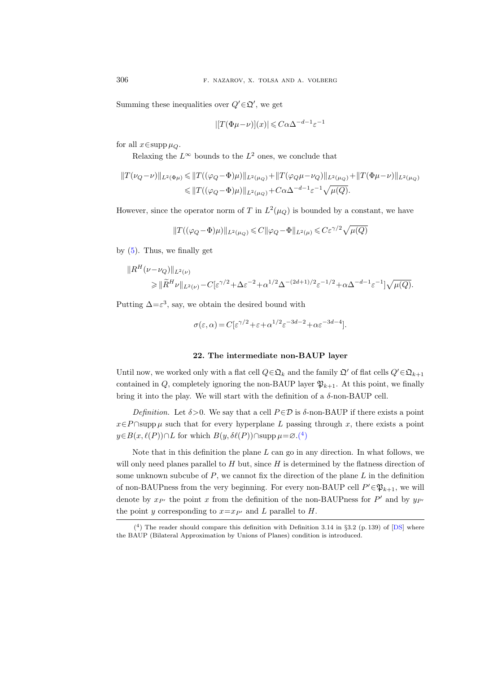Summing these inequalities over  $Q' \in \mathfrak{Q}'$ , we get

$$
|[T(\Phi\mu-\nu)](x)| \leqslant C\alpha \Delta^{-d-1} \varepsilon^{-1}
$$

for all  $x \in \text{supp }\mu_Q$ .

Relaxing the  $L^{\infty}$  bounds to the  $L^2$  ones, we conclude that

$$
||T(\nu_Q - \nu)||_{L^2(\Phi\mu)} \le ||T((\varphi_Q - \Phi)\mu)||_{L^2(\mu_Q)} + ||T(\varphi_Q\mu - \nu_Q)||_{L^2(\mu_Q)} + ||T(\Phi\mu - \nu)||_{L^2(\mu_Q)}
$$
  

$$
\le ||T((\varphi_Q - \Phi)\mu)||_{L^2(\mu_Q)} + C\alpha\Delta^{-d-1}\varepsilon^{-1}\sqrt{\mu(Q)}.
$$

However, since the operator norm of T in  $L^2(\mu_Q)$  is bounded by a constant, we have

$$
||T((\varphi_Q - \Phi)\mu)||_{L^2(\mu_Q)} \leqslant C ||\varphi_Q - \Phi||_{L^2(\mu)} \leqslant C\varepsilon^{\gamma/2}\sqrt{\mu(Q)}
$$

by [\(5\)](#page-60-0). Thus, we finally get

$$
||R^H(\nu-\nu_Q)||_{L^2(\nu)}
$$
  
\n
$$
\geq ||\widetilde{R}^H \nu||_{L^2(\nu)} - C[\varepsilon^{\gamma/2} + \Delta \varepsilon^{-2} + \alpha^{1/2} \Delta^{-(2d+1)/2} \varepsilon^{-1/2} + \alpha \Delta^{-d-1} \varepsilon^{-1}] \sqrt{\mu(Q)}.
$$

Putting  $\Delta = \varepsilon^3$ , say, we obtain the desired bound with

$$
\sigma(\varepsilon,\alpha) = C[\varepsilon^{\gamma/2} + \varepsilon + \alpha^{1/2}\varepsilon^{-3d-2} + \alpha \varepsilon^{-3d-4}].
$$

## 22. The intermediate non-BAUP layer

Until now, we worked only with a flat cell  $Q \in \mathfrak{Q}_k$  and the family  $\mathfrak{Q}'$  of flat cells  $Q' \in \mathfrak{Q}_{k+1}$ contained in Q, completely ignoring the non-BAUP layer  $\mathfrak{P}_{k+1}$ . At this point, we finally bring it into the play. We will start with the definition of a  $\delta$ -non-BAUP cell.

Definition. Let  $\delta > 0$ . We say that a cell  $P \in \mathcal{D}$  is  $\delta$ -non-BAUP if there exists a point  $x \in P \cap \text{supp }\mu$  such that for every hyperplane L passing through x, there exists a point  $y\in B(x,\ell(P))\cap L$  for which  $B(y,\delta\ell(P))\cap \text{supp }\mu=\varnothing.$ <sup>(4)</sup>

Note that in this definition the plane  $L$  can go in any direction. In what follows, we will only need planes parallel to  $H$  but, since  $H$  is determined by the flatness direction of some unknown subcube of  $P$ , we cannot fix the direction of the plane  $L$  in the definition of non-BAUPness from the very beginning. For every non-BAUP cell  $P' \in \mathfrak{P}_{k+1}$ , we will denote by  $x_{P'}$  the point x from the definition of the non-BAUPness for  $P'$  and by  $y_{P'}$ the point y corresponding to  $x=x_{P'}$  and L parallel to H.

<span id="page-69-0"></span> $(4)$  The reader should compare this definition with Definition 3.14 in §3.2 (p. 139) of [\[DS\]](#page-84-0) where the BAUP (Bilateral Approximation by Unions of Planes) condition is introduced.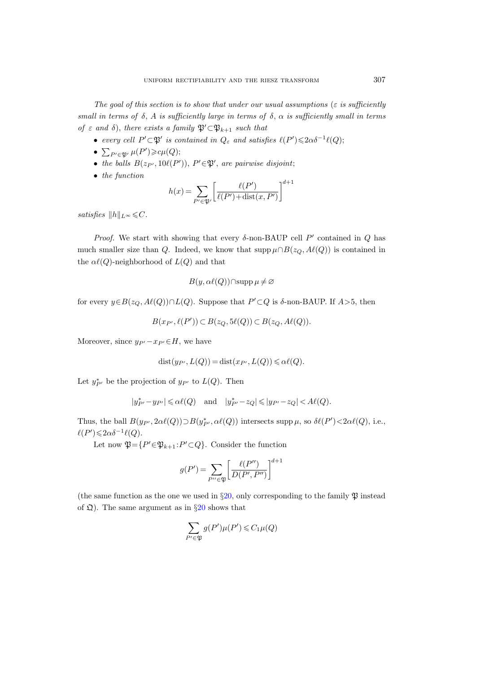The goal of this section is to show that under our usual assumptions ( $\varepsilon$  is sufficiently small in terms of  $\delta$ , A is sufficiently large in terms of  $\delta$ ,  $\alpha$  is sufficiently small in terms of  $\varepsilon$  and  $\delta$ ), there exists a family  $\mathfrak{P}' \subset \mathfrak{P}_{k+1}$  such that

- every cell  $P' \subset \mathfrak{P}'$  is contained in  $Q_{\varepsilon}$  and satisfies  $\ell(P') \leq 2\alpha \delta^{-1}\ell(Q)$ ;
- $\sum_{P' \in \mathfrak{P}'} \mu(P') \geq c\mu(Q);$
- the balls  $B(z_{P'}, 10\ell(P'))$ ,  $P' \in \mathfrak{P}'$ , are pairwise disjoint;
- the function

$$
h(x) = \sum_{P' \in \mathfrak{P}'} \left[ \frac{\ell(P')}{\ell(P') + \text{dist}(x, P')} \right]^{d+1}
$$

satisfies  $||h||_{L^{\infty}} \leq C$ .

Proof. We start with showing that every  $\delta$ -non-BAUP cell P' contained in Q has much smaller size than Q. Indeed, we know that supp  $\mu \cap B(z_Q, A\ell(Q))$  is contained in the  $\alpha \ell(Q)$ -neighborhood of  $L(Q)$  and that

$$
B(y, \alpha \ell(Q)) \cap \operatorname{supp} \mu \neq \varnothing
$$

for every  $y \in B(z_Q, A\ell(Q)) \cap L(Q)$ . Suppose that  $P' \subset Q$  is  $\delta$ -non-BAUP. If  $A > 5$ , then

$$
B(x_{P'}, \ell(P')) \subset B(z_Q, 5\ell(Q)) \subset B(z_Q, A\ell(Q)).
$$

Moreover, since  $y_{P'} - x_{P'} \in H$ , we have

$$
dist(y_{P'}, L(Q)) = dist(x_{P'}, L(Q)) \leq \alpha \ell(Q).
$$

Let  $y_{P'}^*$  be the projection of  $y_{P'}$  to  $L(Q)$ . Then

$$
|y^*_{P'}-y_{P'}|\leqslant \alpha \ell(Q)\quad \text{and}\quad |y^*_{P'}-z_Q|\leqslant |y_{P'}-z_Q|< A\ell(Q).
$$

Thus, the ball  $B(y_{P'}, 2\alpha\ell(Q)) \supset B(y_{P'}^*, \alpha\ell(Q))$  intersects supp  $\mu$ , so  $\delta\ell(P') < 2\alpha\ell(Q)$ , i.e.,  $\ell(P') \leqslant 2\alpha \delta^{-1} \ell(Q).$ 

Let now  $\mathfrak{P} = \{ P' \in \mathfrak{P}_{k+1} : P' \subset Q \}$ . Consider the function

$$
g(P') = \sum_{P'' \in \mathfrak{P}} \left[ \frac{\ell(P'')}{D(P',P'')} \right]^{d+1}
$$

(the same function as the one we used in §[20,](#page-58-0) only corresponding to the family  $\mathfrak P$  instead of  $\mathfrak{Q}$ ). The same argument as in §[20](#page-58-0) shows that

$$
\sum_{P' \in \mathfrak{P}} g(P')\mu(P') \leqslant C_1 \mu(Q)
$$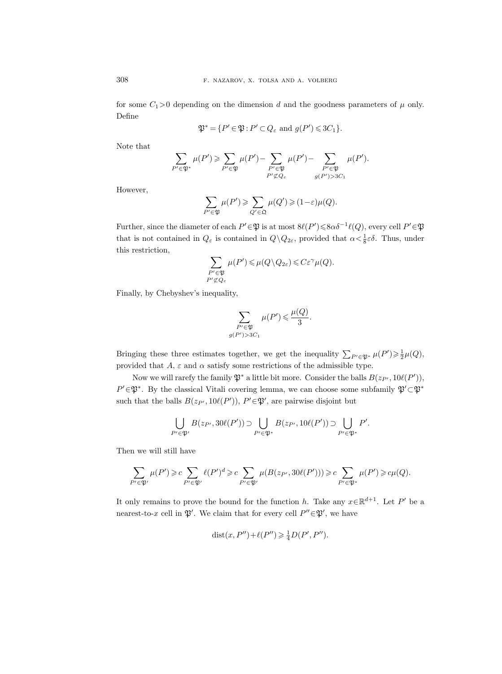for some  $C_1>0$  depending on the dimension d and the goodness parameters of  $\mu$  only. Define

$$
\mathfrak{P}^* = \{ P' \in \mathfrak{P} : P' \subset Q_\varepsilon \text{ and } g(P') \leqslant 3C_1 \}.
$$

Note that

$$
\sum_{P'\in\mathfrak{P}^*}\mu(P')\geqslant \sum_{P'\in\mathfrak{P}}\mu(P')-\sum_{\substack{P'\in\mathfrak{P}\\P'\not\subset Q_\varepsilon}}\mu(P')-\sum_{\substack{P'\in\mathfrak{P}\\g(P')>3C_1}}\mu(P').
$$

However,

$$
\sum_{P' \in \mathfrak{P}} \mu(P') \geqslant \sum_{Q' \in \mathfrak{Q}} \mu(Q') \geqslant (1 - \varepsilon)\mu(Q).
$$

Further, since the diameter of each  $P' \in \mathfrak{P}$  is at most  $8\ell(P') \leq 8\alpha \delta^{-1}\ell(Q)$ , every cell  $P' \in \mathfrak{P}$ that is not contained in  $Q_{\varepsilon}$  is contained in  $Q \setminus Q_{2\varepsilon}$ , provided that  $\alpha < \frac{1}{8}\varepsilon\delta$ . Thus, under this restriction,

$$
\sum_{\substack{P' \in \mathfrak{P} \\ P' \nsubseteq Q_{\varepsilon}}} \mu(P') \leqslant \mu(Q \setminus Q_{2\varepsilon}) \leqslant C \varepsilon^{\gamma} \mu(Q).
$$

Finally, by Chebyshev's inequality,

$$
\sum_{\substack{P' \in \mathfrak{P} \\ g(P') > 3C_1}} \mu(P') \leqslant \frac{\mu(Q)}{3}.
$$

Bringing these three estimates together, we get the inequality  $\sum_{P' \in \mathfrak{P}^*} \mu(P') \geq \frac{1}{2} \mu(Q)$ , provided that  $A, \varepsilon$  and  $\alpha$  satisfy some restrictions of the admissible type.

Now we will rarefy the family  $\mathfrak{P}^*$  a little bit more. Consider the balls  $B(z_{P'}, 10\ell(P'))$ ,  $P' \in \mathfrak{P}^*$ . By the classical Vitali covering lemma, we can choose some subfamily  $\mathfrak{P}' \subset \mathfrak{P}^*$ such that the balls  $B(z_{P'}, 10\ell(P'))$ ,  $P' \in \mathfrak{P}'$ , are pairwise disjoint but

$$
\bigcup_{P' \in \mathfrak{P}'} B(z_{P'}, 30\ell(P')) \supset \bigcup_{P' \in \mathfrak{P}^*} B(z_{P'}, 10\ell(P')) \supset \bigcup_{P' \in \mathfrak{P}^*} P'.
$$

Then we will still have

$$
\sum_{P'\in\mathfrak{P}'}\mu(P')\geqslant c\sum_{P'\in\mathfrak{P}'}\ell(P')^d\geqslant c\sum_{P'\in\mathfrak{P}'}\mu(B(z_{P'},30\ell(P')))\geqslant c\sum_{P'\in\mathfrak{P}^*}\mu(P')\geqslant c\mu(Q).
$$

It only remains to prove the bound for the function h. Take any  $x \in \mathbb{R}^{d+1}$ . Let P' be a nearest-to-x cell in  $\mathfrak{P}'$ . We claim that for every cell  $P'' \in \mathfrak{P}'$ , we have

$$
dist(x, P'') + \ell(P'') \geq \frac{1}{4}D(P', P'').
$$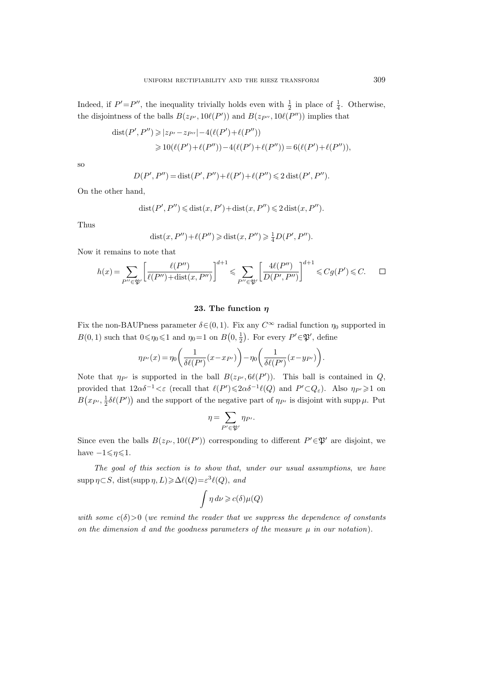Indeed, if  $P' = P''$ , the inequality trivially holds even with  $\frac{1}{2}$  in place of  $\frac{1}{4}$ . Otherwise, the disjointness of the balls  $B(z_{P'}, 10\ell(P'))$  and  $B(z_{P''}, 10\ell(P''))$  implies that

$$
dist(P', P'') \geq |z_{P'} - z_{P''}| - 4(\ell(P') + \ell(P''))
$$
  
\n
$$
\geq 10(\ell(P') + \ell(P'')) - 4(\ell(P') + \ell(P'')) = 6(\ell(P') + \ell(P'')),
$$

so

$$
D(P', P'') = \text{dist}(P', P'') + \ell(P') + \ell(P'') \leq 2 \text{dist}(P', P'').
$$

On the other hand,

$$
dist(P',P'') \leq dist(x,P') + dist(x,P'') \leq 2 dist(x,P'').
$$

Thus

$$
dist(x, P'') + \ell(P'') \geq 3 \text{dist}(x, P'') \geq \frac{1}{4} D(P', P'').
$$

Now it remains to note that

$$
h(x) = \sum_{P'' \in \mathfrak{P}'} \left[ \frac{\ell(P'')}{\ell(P'') + \text{dist}(x, P'')} \right]^{d+1} \leq \sum_{P'' \in \mathfrak{P}'} \left[ \frac{4\ell(P'')}{D(P', P'')} \right]^{d+1} \leq Cg(P') \leq C. \qquad \Box
$$

# 23. The function  $\eta$

Fix the non-BAUPness parameter  $\delta \in (0, 1)$ . Fix any  $C^{\infty}$  radial function  $\eta_0$  supported in  $B(0, 1)$  such that  $0 \le \eta_0 \le 1$  and  $\eta_0 = 1$  on  $B(0, \frac{1}{2})$ . For every  $P' \in \mathfrak{P}'$ , define

$$
\eta_{P'}(x)=\eta_0\bigg(\frac{1}{\delta\ell(P')}(x-x_{P'})\bigg)-\eta_0\bigg(\frac{1}{\delta\ell(P')}(x-y_{P'})\bigg).
$$

Note that  $\eta_{P'}$  is supported in the ball  $B(z_{P'}, \theta(\ell P'))$ . This ball is contained in Q, provided that  $12\alpha\delta^{-1} < \varepsilon$  (recall that  $\ell(P') \leq 2\alpha\delta^{-1}\ell(Q)$  and  $P' \subset Q_{\varepsilon}$ ). Also  $\eta_{P'} \geq 1$  on  $B(x_{P'}, \frac{1}{2}\delta\ell(P'))$  and the support of the negative part of  $\eta_{P'}$  is disjoint with supp  $\mu$ . Put

$$
\eta = \sum_{P' \in \mathfrak{P}'} \eta_{P'}.
$$

Since even the balls  $B(z_{P'}, 10\ell(P'))$  corresponding to different  $P' \in \mathfrak{P}'$  are disjoint, we have  $-1 \leq \eta \leq 1$ .

The goal of this section is to show that, under our usual assumptions, we have  $\text{supp }\eta\subset S, \text{ dist}(\text{supp }\eta,L)\geq \Delta \ell(Q)=\varepsilon^3\ell(Q), \text{ and}$ 

$$
\int \eta \, d\nu \geqslant c(\delta) \mu(Q)
$$

with some  $c(\delta) > 0$  (we remind the reader that we suppress the dependence of constants on the dimension  $d$  and the goodness parameters of the measure  $\mu$  in our notation).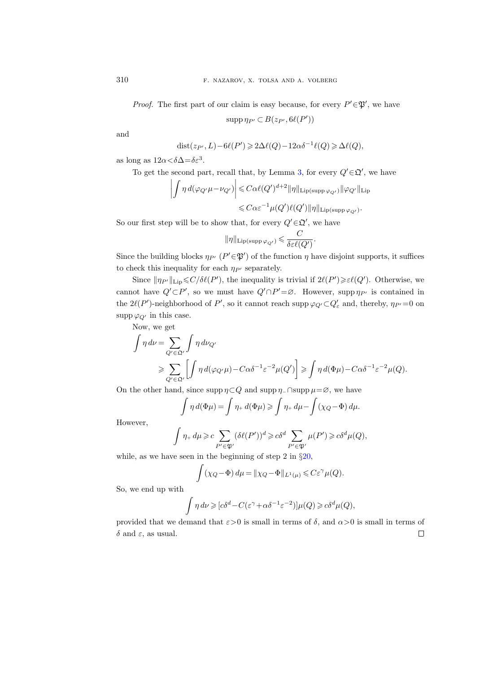*Proof.* The first part of our claim is easy because, for every  $P' \in \mathfrak{P}'$ , we have

$$
\operatorname{supp} \eta_{P'} \subset B(z_{P'}, 6\ell(P'))
$$

and

$$
dist(z_{P'}, L) - 6\ell(P') \geq 2\Delta \ell(Q) - 12\alpha \delta^{-1} \ell(Q) \geq \Delta \ell(Q),
$$

as long as  $12\alpha < \delta \Delta = \delta \varepsilon^3$ .

To get the second part, recall that, by Lemma [3,](#page-21-0) for every  $Q' \in \mathfrak{Q}'$ , we have

$$
\left| \int \eta \, d(\varphi_{Q'}\mu - \nu_{Q'}) \right| \leq C \alpha \ell(Q')^{d+2} \|\eta\|_{\text{Lip}(\text{supp }\varphi_{Q'})} \|\varphi_{Q'}\|_{\text{Lip}} \leq C \alpha \varepsilon^{-1} \mu(Q') \ell(Q') \|\eta\|_{\text{Lip}(\text{supp }\varphi_{Q'})}.
$$

So our first step will be to show that, for every  $Q' \in \mathfrak{Q}'$ , we have

$$
\|\eta\|_{\mathrm{Lip}(\mathrm{supp}\,\varphi_{Q'})}\leqslant \frac{C}{\delta\varepsilon\ell(Q')}.
$$

Since the building blocks  $\eta_{P'}(P' \in \mathfrak{P}')$  of the function  $\eta$  have disjoint supports, it suffices to check this inequality for each  $\eta_{P'}$  separately.

Since  $\|\eta_{P'}\|_{\text{Lip}} \leq C/\delta\ell(P')$ , the inequality is trivial if  $2\ell(P') \geq \varepsilon\ell(Q')$ . Otherwise, we cannot have  $Q' \subset P'$ , so we must have  $Q' \cap P' = \emptyset$ . However, supp  $\eta_{P'}$  is contained in the  $2\ell(P')$ -neighborhood of  $P'$ , so it cannot reach supp  $\varphi_{Q'} \subset Q'_\varepsilon$  and, thereby,  $\eta_{P'} = 0$  on supp  $\varphi_{Q'}$  in this case.

Now, we get

$$
\int \eta \, d\nu = \sum_{Q' \in \mathfrak{Q'}} \int \eta \, d\nu_{Q'}
$$
\n
$$
\geqslant \sum_{Q' \in \mathfrak{Q'}} \left[ \int \eta \, d(\varphi_{Q'}\mu) - C\alpha \delta^{-1} \varepsilon^{-2} \mu(Q') \right] \geqslant \int \eta \, d(\Phi \mu) - C\alpha \delta^{-1} \varepsilon^{-2} \mu(Q).
$$

On the other hand, since supp  $\eta \subset Q$  and supp  $\eta$ -∩supp  $\mu = \varnothing$ , we have

$$
\int \eta \, d(\Phi \mu) = \int \eta_+ \, d(\Phi \mu) \geqslant \int \eta_+ \, d\mu - \int (\chi_Q - \Phi) \, d\mu.
$$

However,

$$
\int \eta_+ d\mu \geqslant c \sum_{P' \in \mathfrak{P}'} (\delta \ell(P'))^d \geqslant c\delta^d \sum_{P' \in \mathfrak{P}'} \mu(P') \geqslant c\delta^d \mu(Q),
$$

while, as we have seen in the beginning of step 2 in  $\S20$ ,

$$
\int (\chi_Q - \Phi) d\mu = \|\chi_Q - \Phi\|_{L^1(\mu)} \leqslant C\varepsilon^\gamma \mu(Q).
$$

So, we end up with

$$
\int \eta \, d\nu \geqslant [c\delta^d-C(\varepsilon^\gamma+\alpha\delta^{-1}\varepsilon^{-2})]\mu(Q) \geqslant c\delta^d\mu(Q),
$$

provided that we demand that  $\varepsilon > 0$  is small in terms of  $\delta$ , and  $\alpha > 0$  is small in terms of  $\delta$  and  $\varepsilon$ , as usual.  $\Box$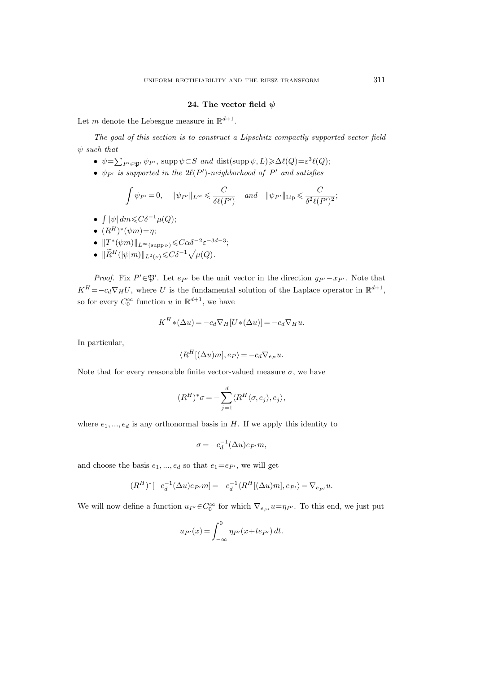#### 24. The vector field  $\psi$

<span id="page-74-0"></span>Let m denote the Lebesgue measure in  $\mathbb{R}^{d+1}$ .

The goal of this section is to construct a Lipschitz compactly supported vector field  $\psi$  such that

- $\psi = \sum_{P' \in \mathfrak{P}'} \psi_{P'}$ , supp  $\psi \subset S$  and dist(supp  $\psi, L$ ) $\geq \Delta \ell(Q) = \varepsilon^3 \ell(Q);$
- $\psi_{P'}$  is supported in the  $2\ell(P')$ -neighborhood of  $P'$  and satisfies

$$
\int \psi_{P'}=0, \quad \|\psi_{P'}\|_{L^\infty} \leq \frac{C}{\delta \ell(P')} \quad \text{and} \quad \|\psi_{P'}\|_{\text{Lip}} \leq \frac{C}{\delta^2 \ell(P')^2};
$$

- $\int |\psi| dm \leqslant C\delta^{-1} \mu(Q);$
- $(R^H)^*(\psi m) = \eta;$
- $||T^*(\psi m)||_{L^{\infty}(\text{supp }\nu)} \leqslant C\alpha \delta^{-2} \varepsilon^{-3d-3};$
- $\|\widetilde{R}^H(|\psi|m)\|_{L^2(\nu)} \leqslant C\delta^{-1}\sqrt{\mu(Q)}$ .

*Proof.* Fix  $P' \in \mathfrak{P}'$ . Let  $e_{P'}$  be the unit vector in the direction  $y_{P'}-x_{P'}$ . Note that  $K^H = -c_d \nabla_H U$ , where U is the fundamental solution of the Laplace operator in  $\mathbb{R}^{d+1}$ , so for every  $C_0^{\infty}$  function u in  $\mathbb{R}^{d+1}$ , we have

$$
K^H * (\Delta u) = -c_d \nabla_H [U * (\Delta u)] = -c_d \nabla_H u.
$$

In particular,

$$
\langle R^H[(\Delta u)m], e_P \rangle = -c_d \nabla_{e_P} u.
$$

Note that for every reasonable finite vector-valued measure  $\sigma$ , we have

$$
(\boldsymbol{R}^{H})^{*}\sigma=-\sum_{j=1}^{d}\langle\boldsymbol{R}^{H}\langle\sigma,\boldsymbol{e}_{j}\rangle,\boldsymbol{e}_{j}\rangle,
$$

where  $e_1, ..., e_d$  is any orthonormal basis in H. If we apply this identity to

$$
\sigma = -c_d^{-1}(\Delta u)e_{P'}m,
$$

and choose the basis  $e_1, ..., e_d$  so that  $e_1=e_{P'}$ , we will get

$$
(R^H)^*[-c_d^{-1}(\Delta u)e_{P'}m] = -c_d^{-1}\langle R^H[(\Delta u)m], e_{P'}\rangle = \nabla_{e_{P'}}u.
$$

We will now define a function  $u_{P'} \in C_0^{\infty}$  for which  $\nabla_{e_{P'}} u = \eta_{P'}$ . To this end, we just put

$$
u_{P'}(x) = \int_{-\infty}^{0} \eta_{P'}(x + t e_{P'}) dt.
$$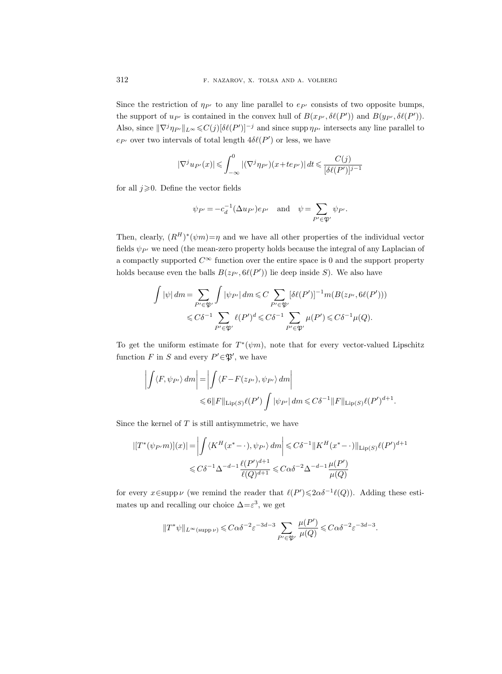Since the restriction of  $\eta_{P'}$  to any line parallel to  $e_{P'}$  consists of two opposite bumps, the support of  $u_{P'}$  is contained in the convex hull of  $B(x_{P'}, \delta\ell(P'))$  and  $B(y_{P'}, \delta\ell(P'))$ . Also, since  $\|\nabla^j \eta_{P'}\|_{L^\infty} \leq C(j)[\delta\ell(P')]^{-j}$  and since supp  $\eta_{P'}$  intersects any line parallel to  $e_{P'}$  over two intervals of total length  $4\delta\ell(P')$  or less, we have

$$
|\nabla^j u_{P'}(x)| \leqslant \int_{-\infty}^0 |(\nabla^j \eta_{P'})(x + t e_{P'})| dt \leqslant \frac{C(j)}{[\delta \ell(P')]^{j-1}}
$$

for all  $j\geqslant 0$ . Define the vector fields

$$
\psi_{P'} = -c_d^{-1} (\Delta u_{P'}) e_{P'} \quad \text{and} \quad \psi = \sum_{P' \in \mathfrak{P}'} \psi_{P'}.
$$

Then, clearly,  $(R^H)^*(\psi m) = \eta$  and we have all other properties of the individual vector fields  $\psi_{P'}$  we need (the mean-zero property holds because the integral of any Laplacian of a compactly supported  $C^{\infty}$  function over the entire space is 0 and the support property holds because even the balls  $B(z_{P'}, \theta(\overline{P'}))$  lie deep inside S). We also have

$$
\int |\psi| dm = \sum_{P' \in \mathfrak{P}'} \int |\psi_{P'}| dm \leq C \sum_{P' \in \mathfrak{P}'} [\delta \ell(P')]^{-1} m(B(z_{P'}, \delta \ell(P')))
$$
  

$$
\leq C \delta^{-1} \sum_{P' \in \mathfrak{P}'} \ell(P')^d \leq C \delta^{-1} \sum_{P' \in \mathfrak{P}'} \mu(P') \leq C \delta^{-1} \mu(Q).
$$

To get the uniform estimate for  $T^*(\psi m)$ , note that for every vector-valued Lipschitz function F in S and every  $P' \in \mathfrak{P}'$ , we have

$$
\left| \int \langle F, \psi_{P'} \rangle \, dm \right| = \left| \int \langle F - F(z_{P'}), \psi_{P'} \rangle \, dm \right|
$$
  

$$
\leq 6 \|F\|_{\text{Lip}(S)} \ell(P') \int |\psi_{P'}| \, dm \leq C \delta^{-1} \|F\|_{\text{Lip}(S)} \ell(P')^{d+1}.
$$

Since the kernel of  $T$  is still antisymmetric, we have

$$
\left| \left[ T^*(\psi_{P'} m) \right](x) \right| = \left| \int \langle K^H(x^* - \cdot), \psi_{P'} \rangle dm \right| \leq C \delta^{-1} \| K^H(x^* - \cdot) \|_{\text{Lip}(S)} \ell(P')^{d+1}
$$
  

$$
\leq C \delta^{-1} \Delta^{-d-1} \frac{\ell(P')^{d+1}}{\ell(Q)^{d+1}} \leq C \alpha \delta^{-2} \Delta^{-d-1} \frac{\mu(P')}{\mu(Q)}
$$

for every  $x \in \text{supp }\nu$  (we remind the reader that  $\ell(P') \leq 2\alpha \delta^{-1}\ell(Q)$ ). Adding these estimates up and recalling our choice  $\Delta = \varepsilon^3$ , we get

$$
\|T^*\psi\|_{L^\infty(\mathrm{supp}\,\nu)}\leqslant C\alpha\delta^{-2}\varepsilon^{-3d-3}\sum_{P'\in\mathfrak{P}'}\frac{\mu(P')}{\mu(Q)}\leqslant C\alpha\delta^{-2}\varepsilon^{-3d-3}.
$$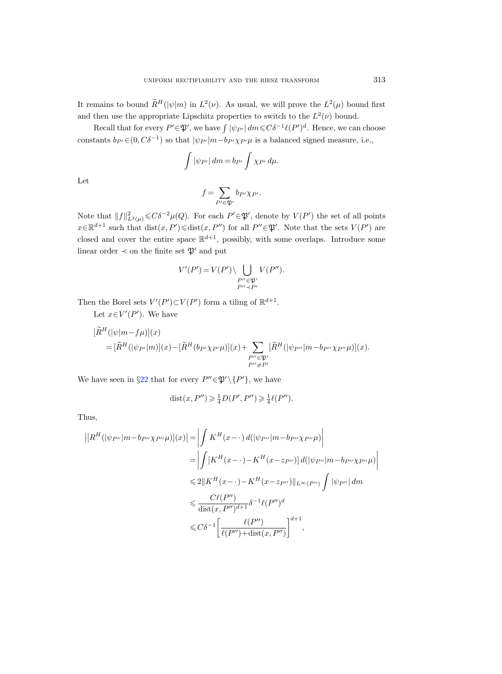It remains to bound  $R^H(|\psi|m)$  in  $L^2(\nu)$ . As usual, we will prove the  $L^2(\mu)$  bound first and then use the appropriate Lipschitz properties to switch to the  $L^2(\nu)$  bound.

Recall that for every  $P' \in \mathfrak{P}'$ , we have  $\int |\psi_{P'}| dm \leqslant C \delta^{-1} \ell(P')^d$ . Hence, we can choose constants  $b_{P'} \in (0, C\delta^{-1})$  so that  $|\psi_{P'}| m - b_{P'} \chi_{P'} \mu$  is a balanced signed measure, i.e.,

$$
\int |\psi_{P'}| dm = b_{P'} \int \chi_{P'} d\mu.
$$

Let

$$
f = \sum_{P' \in \mathfrak{P}'} b_{P'} \chi_{P'}.
$$

Note that  $||f||_{L^2(\mu)}^2 \leq C\delta^{-2}\mu(Q)$ . For each  $P' \in \mathfrak{P}'$ , denote by  $V(P')$  the set of all points  $x \in \mathbb{R}^{d+1}$  such that  $dist(x, P') \leq dist(x, P'')$  for all  $P'' \in \mathfrak{P}'$ . Note that the sets  $V(P')$  are closed and cover the entire space  $\mathbb{R}^{d+1}$ , possibly, with some overlaps. Introduce some linear order  $\prec$  on the finite set  ${\mathfrak P}'$  and put

$$
V'(P') = V(P') \setminus \bigcup_{\substack{P'' \in \mathfrak{P}' \\ P'' \prec P'}} V(P'').
$$

Then the Borel sets  $V'(P') \subset V(P')$  form a tiling of  $\mathbb{R}^{d+1}$ .

Let  $x \in V'(P')$ . We have

$$
\begin{aligned} [\widetilde{R}^H(|\psi|m - f\mu)](x) \\ &= [\widetilde{R}^H(|\psi_{P'}|m)](x) - [\widetilde{R}^H(b_{P'}\chi_{P'}\mu)](x) + \sum_{\substack{P'' \in \mathfrak{P}' \\ P'' \neq P'}} [\widetilde{R}^H(|\psi_{P''}|m - b_{P''}\chi_{P''}\mu)](x). \end{aligned}
$$

We have seen in §[22](#page-69-0) that for every  $P'' \in \mathfrak{P}' \setminus \{P'\}$ , we have

$$
dist(x, P'') \geq \frac{1}{4}D(P', P'') \geq \frac{1}{4}\ell(P'').
$$

Thus,

$$
\left| [R^H(|\psi_{P''}|m - b_{P''}\chi_{P''}\mu)](x) \right| = \left| \int K^H(x - \cdot) d(|\psi_{P''}|m - b_{P''}\chi_{P''}\mu) \right|
$$
  
\n
$$
= \left| \int [K^H(x - \cdot) - K^H(x - z_{P''})] d(|\psi_{P''}|m - b_{P''}\chi_{P''}\mu) \right|
$$
  
\n
$$
\leq 2 \| K^H(x - \cdot) - K^H(x - z_{P''}) \|_{L^{\infty}(P'')} \int |\psi_{P''}| dm
$$
  
\n
$$
\leq \frac{C\ell(P'')}{\text{dist}(x, P'')^{d+1}} \delta^{-1}\ell(P'')^d
$$
  
\n
$$
\leq C\delta^{-1} \left[ \frac{\ell(P'')}{\ell(P'') + \text{dist}(x, P'')} \right]^{d+1},
$$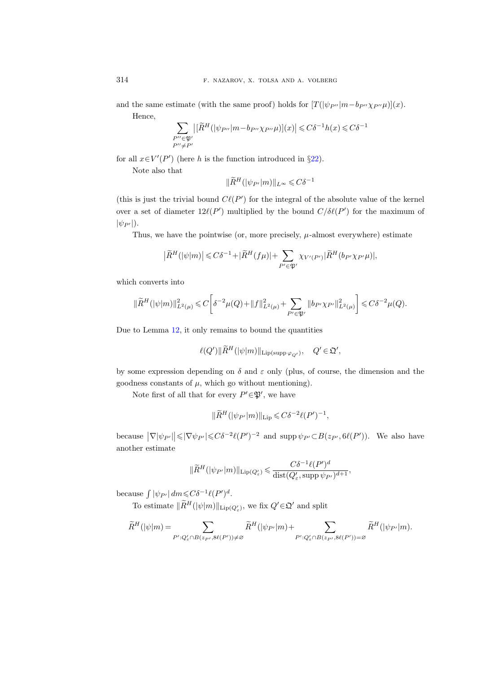and the same estimate (with the same proof) holds for  $[T(|\psi_{P''}|m-b_{P''}\chi_{P''}\mu)](x)$ . Hence,

$$
\sum_{\substack{P''\in \mathfrak{P}'\\P''\neq P'}}\!\!\!\big|\big[\widetilde{R}^H\big(|\psi_{P''}|m-b_{P''}\chi_{P''}\mu\big)\big](x)\big|\leqslant C\delta^{-1}h(x)\leqslant C\delta^{-1}
$$

for all  $x \in V'(P')$  (here h is the function introduced in §[22\)](#page-69-0).

Note also that

$$
\|\widetilde{R}^H(|\psi_{P'}|m)\|_{L^\infty} \leqslant C\delta^{-1}
$$

(this is just the trivial bound  $C\ell(P')$  for the integral of the absolute value of the kernel over a set of diameter  $12\ell(P')$  multiplied by the bound  $C/\delta\ell(P')$  for the maximum of  $|\psi_{P'}|$ ).

Thus, we have the pointwise (or, more precisely,  $\mu$ -almost everywhere) estimate

$$
\big|\widetilde{R}^H(|\psi|m)\big|\!\leqslant\! C\delta^{-1}\!+\!|\widetilde{R}^H(f\mu)|\!+\!\sum_{P'\in\mathfrak{P}'}\chi_{V'(P')}|\widetilde{R}^H(b_{P'}\chi_{P'}\mu)|,
$$

which converts into

$$
\|\widetilde{R}^H(|\psi|m)\|_{L^2(\mu)}^2 \leq C\bigg[\delta^{-2}\mu(Q) + \|f\|_{L^2(\mu)}^2 + \sum_{P' \in \mathfrak{P}'} \|b_{P'}\chi_{P'}\|_{L^2(\mu)}^2\bigg] \leq C\delta^{-2}\mu(Q).
$$

Due to Lemma [12,](#page-63-0) it only remains to bound the quantities

$$
\ell(Q') \|\widetilde{R}^H(|\psi|m)\|_{\text{Lip}(\text{supp }\varphi_{Q'})}, \quad Q' \in \mathfrak{Q}',
$$

by some expression depending on  $\delta$  and  $\varepsilon$  only (plus, of course, the dimension and the goodness constants of  $\mu$ , which go without mentioning).

Note first of all that for every  $P' \in \mathfrak{P}'$ , we have

$$
\|\widetilde{R}^H(|\psi_{P'}|m)\|_{\text{Lip}} \leqslant C\delta^{-2}\ell(P')^{-1},
$$

because  $|\nabla |\psi_{P'}| \leq |\nabla \psi_{P'}| \leq C\delta^{-2}\ell(P')^{-2}$  and supp  $\psi_{P'} \subset B(z_{P'}, \theta \ell(P'))$ . We also have another estimate

$$
\|\widetilde{R}^{H}(|\psi_{P'}|m)\|_{\text{Lip}(Q'_{\varepsilon})} \leq \frac{C\delta^{-1}\ell(P')^d}{\text{dist}(Q'_{\varepsilon}, \text{supp}\,\psi_{P'})^{d+1}},
$$

because  $\int |\psi_{P'}| dm \leqslant C\delta^{-1} \ell(P')^d$ .

To estimate  $\|\tilde{R}^H(|\psi|m)\|_{\text{Lip}(Q'_{\varepsilon})}$ , we fix  $Q' \in \mathfrak{Q}'$  and split

$$
\widetilde{R}^H(|\psi|m) = \sum_{P': Q'_\varepsilon \cap B(z_{P'}, 8\ell(P')) \neq \varnothing} \widetilde{R}^H(|\psi_{P'}|m) + \sum_{P': Q'_\varepsilon \cap B(z_{P'}, 8\ell(P')) = \varnothing} \widetilde{R}^H(|\psi_{P'}|m).
$$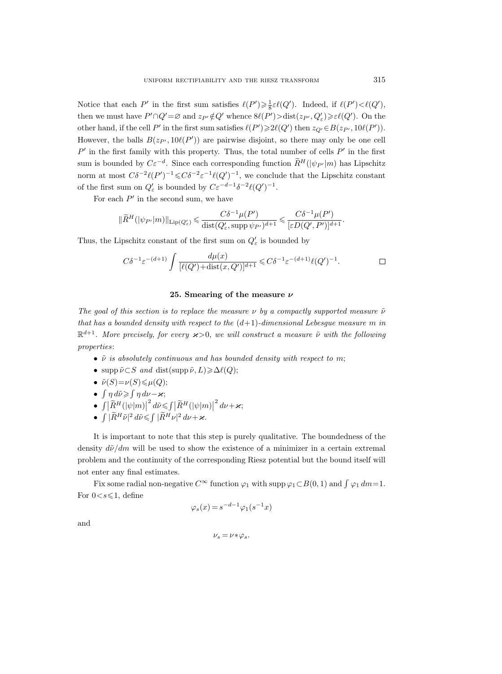Notice that each P' in the first sum satisfies  $\ell(P') \geq \frac{1}{8} \varepsilon \ell(Q')$ . Indeed, if  $\ell(P') < \ell(Q')$ , then we must have  $P' \cap Q' = \emptyset$  and  $z_{P'} \notin Q'$  whence  $\mathcal{E}(P') > \text{dist}(z_{P'}, Q'_{\varepsilon}) \geq \varepsilon \ell(Q')$ . On the other hand, if the cell P' in the first sum satisfies  $\ell(P') \geq \ell(Q')$  then  $z_{Q'} \in B(z_{P'}, 10\ell(P'))$ . However, the balls  $B(z_{P'}, 10\ell(P'))$  are pairwise disjoint, so there may only be one cell  $P'$  in the first family with this property. Thus, the total number of cells  $P'$  in the first sum is bounded by  $C\varepsilon^{-d}$ . Since each corresponding function  $\tilde{R}^H(|\psi_{P'}|m)$  has Lipschitz norm at most  $C\delta^{-2}\ell(P')^{-1} \leq C\delta^{-2}\varepsilon^{-1}\ell(Q')^{-1}$ , we conclude that the Lipschitz constant of the first sum on  $Q'_\varepsilon$  is bounded by  $C\varepsilon^{-d-1}\delta^{-2}\ell(Q')^{-1}$ .

For each  $P'$  in the second sum, we have

$$
\|\widetilde{R}^H(|\psi_{P'}|m)\|_{\text{Lip}(Q'_{\varepsilon})} \leqslant \frac{C \delta^{-1}\mu(P')}{\text{dist}(Q'_{\varepsilon}, \operatorname{supp} \psi_{P'})^{d+1}} \leqslant \frac{C \delta^{-1}\mu(P')}{[\varepsilon D(Q', P')]^{d+1}}.
$$

Thus, the Lipschitz constant of the first sum on  $Q'_\varepsilon$  is bounded by

$$
C\delta^{-1}\varepsilon^{-(d+1)}\int \frac{d\mu(x)}{[\ell(Q')+\text{dist}(x,Q')]^{d+1}} \leq C\delta^{-1}\varepsilon^{-(d+1)}\ell(Q')^{-1}.
$$

#### 25. Smearing of the measure  $\nu$

The goal of this section is to replace the measure  $\nu$  by a compactly supported measure  $\tilde{\nu}$ that has a bounded density with respect to the  $(d+1)$ -dimensional Lebesgue measure m in  $\mathbb{R}^{d+1}$ . More precisely, for every  $\varkappa > 0$ , we will construct a measure  $\tilde{\nu}$  with the following properties:

- $\tilde{\nu}$  is absolutely continuous and has bounded density with respect to m;
- supp  $\tilde{\nu} \subset S$  and dist(supp  $\tilde{\nu}, L$ ) $\geq \Delta \ell(Q);$
- $\tilde{\nu}(S) = \nu(S) \leq \mu(Q);$
- $\int \eta d\tilde{\nu} \geqslant \int \eta d\nu \varkappa;$
- $\bullet$   $\iint \frac{R^H(|\psi|m)}{2\pi}$  $\int_{0}^{2} d\tilde{\nu} \leqslant \int \left|\widetilde{R}^{H}(|\psi|m)\right|$  $^{2}$  dv +  $\varkappa$ ;
- $\int |\widetilde{R}^H \tilde{\nu}|^2 d\tilde{\nu} \leqslant \int |\widetilde{R}^H \nu|^2 d\nu + \varkappa.$

It is important to note that this step is purely qualitative. The boundedness of the density  $d\tilde{\nu}/dm$  will be used to show the existence of a minimizer in a certain extremal problem and the continuity of the corresponding Riesz potential but the bound itself will not enter any final estimates.

Fix some radial non-negative  $C^{\infty}$  function  $\varphi_1$  with supp  $\varphi_1 \subset B(0,1)$  and  $\int \varphi_1 dm = 1$ . For  $0 < s \leq 1$ , define

$$
\varphi_s(x) = s^{-d-1}\varphi_1(s^{-1}x)
$$

and

$$
\nu_s = \nu \ast \varphi_s.
$$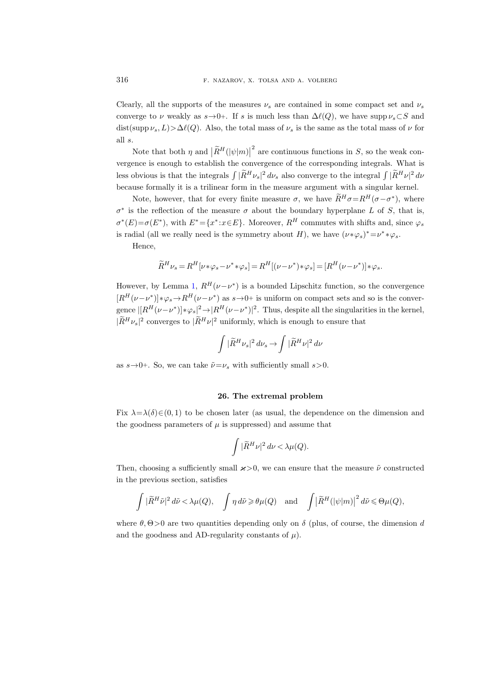Clearly, all the supports of the measures  $\nu_s$  are contained in some compact set and  $\nu_s$ converge to  $\nu$  weakly as  $s \rightarrow 0+$ . If s is much less than  $\Delta \ell(Q)$ , we have supp  $\nu_s \subset S$  and dist(supp  $\nu_s, L$ )> $\Delta \ell(Q)$ . Also, the total mass of  $\nu_s$  is the same as the total mass of  $\nu$  for all s.

Note that both  $\eta$  and  $|R^H(|\psi|m)|$  $2^{2}$  are continuous functions in S, so the weak convergence is enough to establish the convergence of the corresponding integrals. What is less obvious is that the integrals  $\int |R^H \nu_s|^2 d\nu_s$  also converge to the integral  $\int |R^H \nu|^2 d\nu_s$ because formally it is a trilinear form in the measure argument with a singular kernel.

Note, however, that for every finite measure  $\sigma$ , we have  $\overline{R}^H \sigma = R^H(\sigma - \sigma^*)$ , where  $\sigma^*$  is the reflection of the measure  $\sigma$  about the boundary hyperplane L of S, that is,  $\sigma^*(E) = \sigma(E^*)$ , with  $E^* = \{x^* : x \in E\}$ . Moreover,  $R^H$  commutes with shifts and, since  $\varphi_s$ is radial (all we really need is the symmetry about H), we have  $(\nu * \varphi_s)^* = \nu^* * \varphi_s$ .

Hence,

$$
\widetilde{R}^H \nu_s = R^H [\nu * \varphi_s - \nu^* * \varphi_s] = R^H [(\nu - \nu^*) * \varphi_s] = [R^H (\nu - \nu^*) * \varphi_s.
$$

However, by Lemma [1,](#page-10-0)  $R^H(\nu-\nu^*)$  is a bounded Lipschitz function, so the convergence  $[R^H(\nu-\nu^*)]*\varphi_s \rightarrow R^H(\nu-\nu^*)$  as  $s\rightarrow 0+$  is uniform on compact sets and so is the convergence  $|[R^H(\nu-\nu^*)]*\varphi_s|^2 \rightarrow |R^H(\nu-\nu^*)|^2$ . Thus, despite all the singularities in the kernel,  $|R^H \nu_s|^2$  converges to  $|R^H \nu|^2$  uniformly, which is enough to ensure that

$$
\int |\tilde{R}^H \nu_s|^2 \, d\nu_s \rightarrow \int |\tilde{R}^H \nu|^2 \, d\nu
$$

as  $s \rightarrow 0^+$ . So, we can take  $\tilde{\nu} = \nu_s$  with sufficiently small  $s > 0$ .

#### 26. The extremal problem

Fix  $\lambda = \lambda(\delta) \in (0, 1)$  to be chosen later (as usual, the dependence on the dimension and the goodness parameters of  $\mu$  is suppressed) and assume that

$$
\int |\widetilde{R}^H \nu|^2 \, d\nu < \lambda \mu(Q).
$$

Then, choosing a sufficiently small  $\varkappa > 0$ , we can ensure that the measure  $\tilde{\nu}$  constructed in the previous section, satisfies

$$
\int |\widetilde{R}^H \tilde{\nu}|^2 d\tilde{\nu} < \lambda \mu(Q), \quad \int \eta d\tilde{\nu} \ge \theta \mu(Q) \quad \text{and} \quad \int |\widetilde{R}^H(|\psi|m)|^2 d\tilde{\nu} \le \Theta \mu(Q),
$$

where  $\theta$ ,  $\Theta$  > 0 are two quantities depending only on  $\delta$  (plus, of course, the dimension d and the goodness and AD-regularity constants of  $\mu$ ).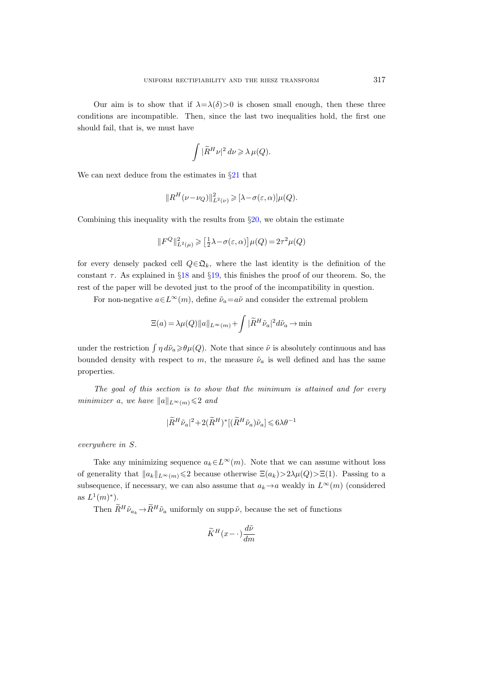Our aim is to show that if  $\lambda = \lambda(\delta) > 0$  is chosen small enough, then these three conditions are incompatible. Then, since the last two inequalities hold, the first one should fail, that is, we must have

$$
\int |\tilde{R}^H \nu|^2\,d\nu\geqslant \lambda\,\mu(Q).
$$

We can next deduce from the estimates in  $\S 21$  $\S 21$  that

$$
||R^H(\nu-\nu_Q)||^2_{L^2(\nu)} \geqslant [\lambda-\sigma(\varepsilon,\alpha)]\mu(Q).
$$

Combining this inequality with the results from  $\S20$ , we obtain the estimate

$$
\|F^Q\|_{L^2(\mu)}^2\geqslant\big[\tfrac{1}{2}\lambda-\sigma(\varepsilon,\alpha)\big]\mu(Q)=2\tau^2\mu(Q)
$$

for every densely packed cell  $Q \in \mathfrak{Q}_k$ , where the last identity is the definition of the constant  $\tau$ . As explained in §[18](#page-56-0) and §[19,](#page-57-0) this finishes the proof of our theorem. So, the rest of the paper will be devoted just to the proof of the incompatibility in question.

For non-negative  $a \in L^{\infty}(m)$ , define  $\tilde{\nu}_a = a\tilde{\nu}$  and consider the extremal problem

$$
\Xi(a) = \lambda \mu(Q) ||a||_{L^{\infty}(m)} + \int |\tilde{R}^{H} \tilde{\nu}_{a}|^{2} d\tilde{\nu}_{a} \to \min
$$

under the restriction  $\int \eta d\tilde{\nu}_a \geq \theta \mu(Q)$ . Note that since  $\tilde{\nu}$  is absolutely continuous and has bounded density with respect to m, the measure  $\tilde{\nu}_a$  is well defined and has the same properties.

The goal of this section is to show that the minimum is attained and for every minimizer a, we have  $||a||_{L^{\infty}(m)} \leq 2$  and

$$
|\widetilde{R}^H \widetilde{\nu}_a|^2 + 2(\widetilde{R}^H)^* [(\widetilde{R}^H \widetilde{\nu}_a) \widetilde{\nu}_a] \leqslant 6 \lambda \theta^{-1}
$$

everywhere in S.

Take any minimizing sequence  $a_k \in L^{\infty}(m)$ . Note that we can assume without loss of generality that  $||a_k||_{L^{\infty}(m)} \leq 2$  because otherwise  $\Xi(a_k) > 2\lambda\mu(Q) > \Xi(1)$ . Passing to a subsequence, if necessary, we can also assume that  $a_k \to a$  weakly in  $L^{\infty}(m)$  (considered as  $L^1(m)^*$ ).

Then  $\widetilde{R}^H \widetilde{\nu}_{a_k} \to \widetilde{R}^H \widetilde{\nu}_a$  uniformly on supp  $\widetilde{\nu}$ , because the set of functions

$$
\widetilde{K}^H(x-\cdot)\frac{d\widetilde{\nu}}{dm}
$$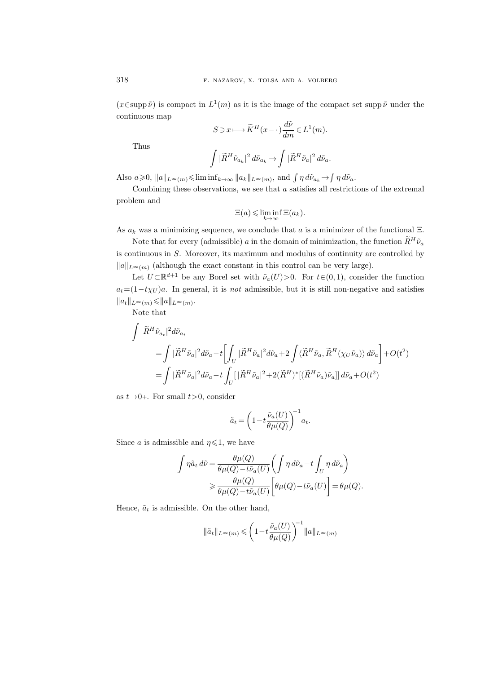$(x \in \text{supp }\tilde{\nu})$  is compact in  $L^1(m)$  as it is the image of the compact set supp  $\tilde{\nu}$  under the continuous map

$$
S \ni x \longmapsto \widetilde{K}^{H}(x - \cdot) \frac{d\widetilde{\nu}}{dm} \in L^{1}(m).
$$

Thus

$$
\int |\tilde{R}^H \tilde{\nu}_{a_k}|^2 \, d\tilde{\nu}_{a_k} \rightarrow \int |\tilde{R}^H \tilde{\nu}_{a}|^2 \, d\tilde{\nu}_{a}.
$$

Also  $a \ge 0$ ,  $||a||_{L^{\infty}(m)} \le \liminf_{k \to \infty} ||a_k||_{L^{\infty}(m)}$ , and  $\int \eta d\tilde{\nu}_{a_k} \to \int \eta d\tilde{\nu}_a$ .

Combining these observations, we see that  $a$  satisfies all restrictions of the extremal problem and

$$
\Xi(a) \leqslant \liminf_{k \to \infty} \Xi(a_k).
$$

As  $a_k$  was a minimizing sequence, we conclude that a is a minimizer of the functional  $\Xi$ .

Note that for every (admissible) a in the domain of minimization, the function  $\widetilde{R}^H\widetilde{\nu}_a$ is continuous in  $S$ . Moreover, its maximum and modulus of continuity are controlled by  $||a||_{L^{\infty}(m)}$  (although the exact constant in this control can be very large).

Let  $U \subset \mathbb{R}^{d+1}$  be any Borel set with  $\tilde{\nu}_a(U) > 0$ . For  $t \in (0,1)$ , consider the function  $a_t=(1-t\chi_U)a$ . In general, it is *not* admissible, but it is still non-negative and satisfies  $||a_t||_{L^{\infty}(m)} \leq ||a||_{L^{\infty}(m)}.$ 

Note that

$$
\begin{split} \int |\tilde{R}^H \tilde{\nu}_{a_t}|^2 d\tilde{\nu}_{a_t} \\ = & \int |\tilde{R}^H \tilde{\nu}_{a}|^2 d\tilde{\nu}_{a} - t \biggl[ \int_U |\tilde{R}^H \tilde{\nu}_{a}|^2 d\tilde{\nu}_{a} + 2 \int \langle \tilde{R}^H \tilde{\nu}_{a}, \tilde{R}^H(\chi_U \tilde{\nu}_{a}) \rangle \, d\tilde{\nu}_{a} \biggr] + O(t^2) \\ = & \int |\tilde{R}^H \tilde{\nu}_{a}|^2 d\tilde{\nu}_{a} - t \int_U [|\tilde{R}^H \tilde{\nu}_{a}|^2 + 2 (\tilde{R}^H)^* [(\tilde{R}^H \tilde{\nu}_{a}) \tilde{\nu}_{a}]] \, d\tilde{\nu}_{a} + O(t^2) \end{split}
$$

as  $t\rightarrow 0+$ . For small  $t>0$ , consider

$$
\tilde{a}_t = \left(1 - t \frac{\tilde{\nu}_a(U)}{\theta \mu(Q)}\right)^{-1} a_t.
$$

Since a is admissible and  $\eta \leq 1$ , we have

$$
\int \eta \tilde{a}_t d\tilde{\nu} = \frac{\theta \mu(Q)}{\theta \mu(Q) - t \tilde{\nu}_a(U)} \left( \int \eta d\tilde{\nu}_a - t \int_U \eta d\tilde{\nu}_a \right)
$$
  

$$
\geq \frac{\theta \mu(Q)}{\theta \mu(Q) - t \tilde{\nu}_a(U)} \left[ \theta \mu(Q) - t \tilde{\nu}_a(U) \right] = \theta \mu(Q).
$$

Hence,  $\tilde{a}_t$  is admissible. On the other hand,

$$
\|\tilde{a}_t\|_{L^\infty(m)}\leqslant \left(1-t\frac{\tilde{\nu}_a(U)}{\theta\mu(Q)}\right)^{\!-1}\!\|a\|_{L^\infty(m)}
$$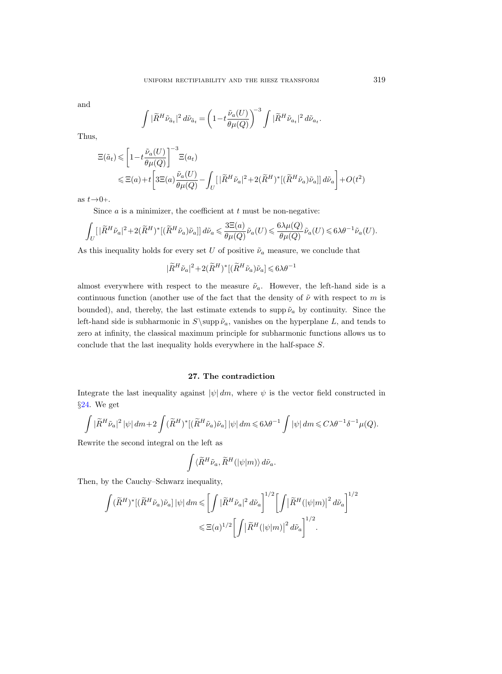and

$$
\int |\widetilde{R}^H \tilde{\nu}_{\tilde{a}_t}|^2 \, d\tilde{\nu}_{\tilde{a}_t} = \left(1 - t \frac{\tilde{\nu}_a(U)}{\theta \mu(Q)}\right)^{-3} \int |\widetilde{R}^H \tilde{\nu}_{a_t}|^2 \, d\tilde{\nu}_{a_t}.
$$

Thus,

$$
\begin{split} \Xi(\tilde{a}_{t}) &\leqslant \left[1-t\frac{\tilde{\nu}_{a}(U)}{\theta\mu(Q)}\right]^{-3}\Xi(a_{t})\\ &\leqslant \Xi(a)+t\bigg[3\Xi(a)\frac{\tilde{\nu}_{a}(U)}{\theta\mu(Q)}-\int_{U}[\,|\widetilde{R}^{H}\tilde{\nu}_{a}|^{2}+2(\widetilde{R}^{H})^{*}[(\widetilde{R}^{H}\tilde{\nu}_{a})\tilde{\nu}_{a}]]\,d\tilde{\nu}_{a}\bigg]+O(t^{2}) \end{split}
$$

as  $t\rightarrow 0+$ .

Since  $a$  is a minimizer, the coefficient at  $t$  must be non-negative:

$$
\int_U [ \,|\widetilde{R}^H \tilde{\nu}_a|^2 + 2(\widetilde{R}^H)^* [(\widetilde{R}^H \tilde{\nu}_a) \tilde{\nu}_a]] \, d\tilde{\nu}_a \leqslant \frac{3\Xi(a)}{\theta \mu(Q)} \tilde{\nu}_a(U) \leqslant \frac{6 \lambda \mu(Q)}{\theta \mu(Q)} \tilde{\nu}_a(U) \leqslant 6 \lambda \theta^{-1} \tilde{\nu}_a(U).
$$

As this inequality holds for every set U of positive  $\tilde{\nu}_a$  measure, we conclude that

$$
|\widetilde{R}^H\widetilde{\nu}_a|^2+2(\widetilde{R}^H)^*[(\widetilde{R}^H\widetilde{\nu}_a)\widetilde{\nu}_a]\leqslant 6\lambda\theta^{-1}
$$

almost everywhere with respect to the measure  $\tilde{\nu}_a$ . However, the left-hand side is a continuous function (another use of the fact that the density of  $\tilde{\nu}$  with respect to m is bounded), and, thereby, the last estimate extends to supp  $\tilde{\nu}_a$  by continuity. Since the left-hand side is subharmonic in  $S\$ supp  $\tilde{\nu}_a$ , vanishes on the hyperplane L, and tends to zero at infinity, the classical maximum principle for subharmonic functions allows us to conclude that the last inequality holds everywhere in the half-space S.

### 27. The contradiction

Integrate the last inequality against  $|\psi| dm$ , where  $\psi$  is the vector field constructed in §[24.](#page-74-0) We get

$$
\int |\tilde{R}^H \tilde{\nu}_a|^2 \, |\psi| \, dm + 2 \int (\tilde{R}^H)^* [(\tilde{R}^H \tilde{\nu}_a) \tilde{\nu}_a] \, |\psi| \, dm \leqslant 6 \lambda \theta^{-1} \int |\psi| \, dm \leqslant C \lambda \theta^{-1} \delta^{-1} \mu(Q).
$$

Rewrite the second integral on the left as

$$
\int \langle \widetilde{R}^H \widetilde{\nu}_a, \widetilde{R}^H(|\psi|m)\rangle \, d\widetilde{\nu}_a.
$$

Then, by the Cauchy–Schwarz inequality,

$$
\begin{split} \int (\widetilde{R}^H)^* [(\widetilde{R}^H \widetilde{\nu}_a) \widetilde{\nu}_a] \, |\psi| \, dm \leqslant \biggl[ \int |\widetilde{R}^H \widetilde{\nu}_a|^2 \, d\widetilde{\nu}_a \biggr]^{1/2} \biggl[ \int \bigl| \widetilde{R}^H (|\psi|m) \bigr|^2 \, d\widetilde{\nu}_a \biggr]^{1/2} \\ \leqslant \Xi(a)^{1/2} \biggl[ \int \bigl| \widetilde{R}^H (|\psi|m) \bigr|^2 \, d\widetilde{\nu}_a \biggr]^{1/2} \, . \end{split}
$$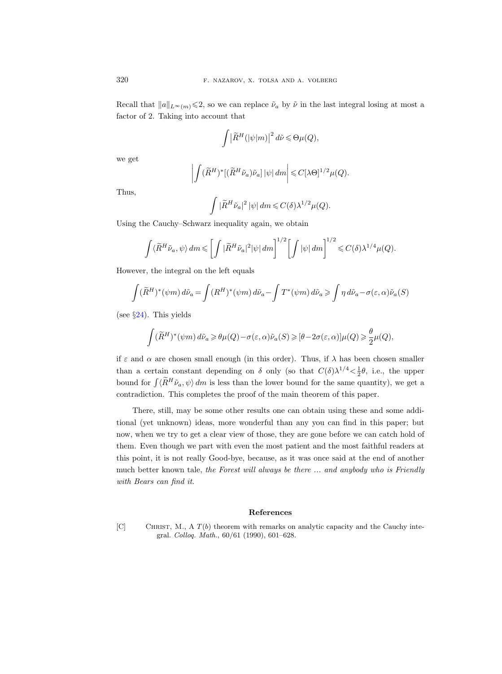Recall that  $||a||_{L^{\infty}(m)} \leq 2$ , so we can replace  $\tilde{\nu}_a$  by  $\tilde{\nu}$  in the last integral losing at most a factor of 2. Taking into account that

$$
\int \left|\widetilde{R}^{H}(|\psi|m)\right|^{2} d\widetilde{\nu} \leq \Theta_{\mu}(Q),
$$

we get

$$
\left| \int (\widetilde{R}^H)^* [(\widetilde{R}^H \widetilde{\nu}_a) \widetilde{\nu}_a] |\psi| dm \right| \leq C [\lambda \Theta]^{1/2} \mu(Q).
$$

Thus,

$$
\int |\tilde{R}^H \tilde{\nu}_a|^2 \, |\psi| \, dm \leqslant C(\delta) \lambda^{1/2} \mu(Q).
$$

Using the Cauchy–Schwarz inequality again, we obtain

$$
\int \langle \widetilde{R}^H \tilde{\nu}_a, \psi \rangle dm \leqslant \left[ \int |\widetilde{R}^H \tilde{\nu}_a|^2 |\psi| dm \right]^{1/2} \left[ \int |\psi| dm \right]^{1/2} \leqslant C(\delta) \lambda^{1/4} \mu(Q).
$$

However, the integral on the left equals

$$
\int (\widetilde{R}^H)^*(\psi m) d\widetilde{\nu}_a = \int (R^H)^*(\psi m) d\widetilde{\nu}_a - \int T^*(\psi m) d\widetilde{\nu}_a \ge \int \eta d\widetilde{\nu}_a - \sigma(\varepsilon, \alpha) \widetilde{\nu}_a(S)
$$

(see  $\S 24$ ). This yields

$$
\int (\widetilde{R}^{H})^{*}(\psi m) d\widetilde{\nu}_{a} \geq \theta \mu(Q) - \sigma(\varepsilon, \alpha) \widetilde{\nu}_{a}(S) \geq [\theta - 2\sigma(\varepsilon, \alpha)] \mu(Q) \geq \frac{\theta}{2} \mu(Q),
$$

if  $\varepsilon$  and  $\alpha$  are chosen small enough (in this order). Thus, if  $\lambda$  has been chosen smaller than a certain constant depending on  $\delta$  only (so that  $C(\delta)\lambda^{1/4} < \frac{1}{2}\theta$ , i.e., the upper bound for  $\int \langle R^H \tilde{\nu}_a, \psi \rangle dm$  is less than the lower bound for the same quantity), we get a contradiction. This completes the proof of the main theorem of this paper.

There, still, may be some other results one can obtain using these and some additional (yet unknown) ideas, more wonderful than any you can find in this paper; but now, when we try to get a clear view of those, they are gone before we can catch hold of them. Even though we part with even the most patient and the most faithful readers at this point, it is not really Good-bye, because, as it was once said at the end of another much better known tale, the Forest will always be there ... and anybody who is Friendly with Bears can find it.

## References

[C] CHRIST, M., A  $T(b)$  theorem with remarks on analytic capacity and the Cauchy integral. Colloq. Math., 60/61 (1990), 601–628.